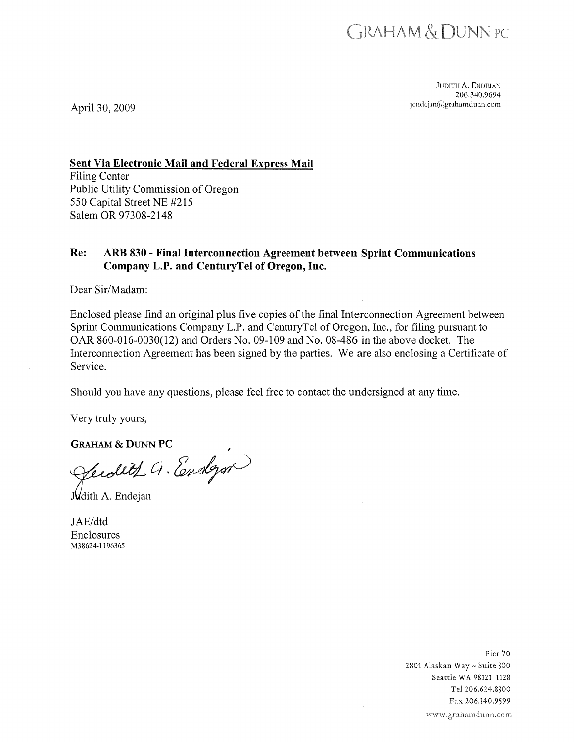

**JUDITH A. ENDEJAN** 206.340.9694 jendejan@grahamdunn.com

April 30, 2009

**Sent Via Electronic Mail and Federal Express Mail** 

**Filing Center** Public Utility Commission of Oregon 550 Capital Street NE #215 Salem OR 97308-2148

#### Re: ARB 830 - Final Interconnection Agreement between Sprint Communications Company L.P. and CenturyTel of Oregon, Inc.

Dear Sir/Madam:

Enclosed please find an original plus five copies of the final Interconnection Agreement between Sprint Communications Company L.P. and Century Tel of Oregon, Inc., for filing pursuant to OAR 860-016-0030(12) and Orders No. 09-109 and No. 08-486 in the above docket. The Interconnection Agreement has been signed by the parties. We are also enclosing a Certificate of Service.

Should you have any questions, please feel free to contact the undersigned at any time.

Very truly yours,

**GRAHAM & DUNN PC** 

fecolite Q. Endgar

Judith A. Endejan

JAE/dtd **Enclosures** M38624-1196365

> Pier 70 2801 Alaskan Way ~ Suite 300 Seattle WA 98121-1128 Tel 206.624.8300 Fax 206.340.9599 www.grahamdunn.com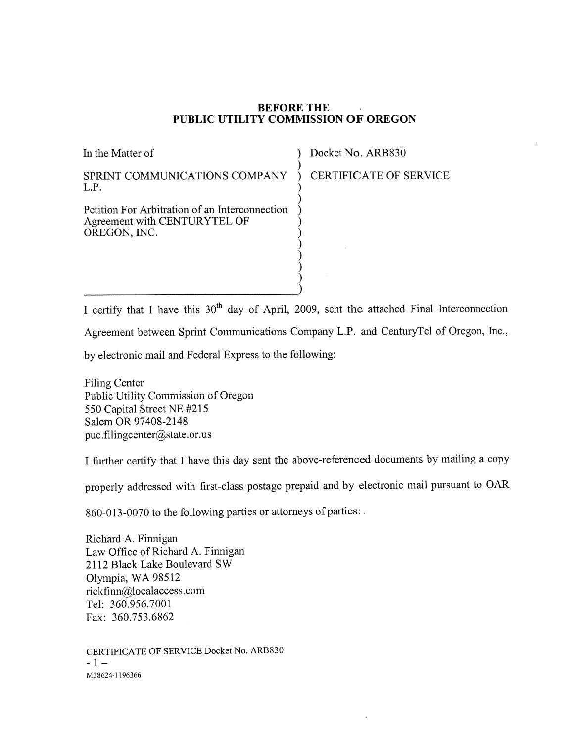#### **BEFORE THE** PUBLIC UTILITY COMMISSION OF OREGON

| In the Matter of                                                                 |
|----------------------------------------------------------------------------------|
| SPRINT COMMUNICATIONS COMPANY<br>L.P.                                            |
| Petition For Arbitration of an Interconnection<br>A greement with CENTUR YTEL OF |

OREGON, INC.

Docket No. ARB830

CERTIFICATE OF SERVICE

I certify that I have this 30<sup>th</sup> day of April, 2009, sent the attached Final Interconnection

Agreement between Sprint Communications Company L.P. and CenturyTel of Oregon, Inc.,

by electronic mail and Federal Express to the following:

**Filing Center** Public Utility Commission of Oregon 550 Capital Street NE #215 Salem OR 97408-2148 puc.filingcenter@state.or.us

I further certify that I have this day sent the above-referenced documents by mailing a copy

properly addressed with first-class postage prepaid and by electronic mail pursuant to OAR

860-013-0070 to the following parties or attorneys of parties:

Richard A. Finnigan Law Office of Richard A. Finnigan 2112 Black Lake Boulevard SW Olympia, WA 98512 rickfinn@localaccess.com Tel: 360.956.7001 Fax: 360.753.6862

CERTIFICATE OF SERVICE Docket No. ARB830  $-1-$ M38624-1196366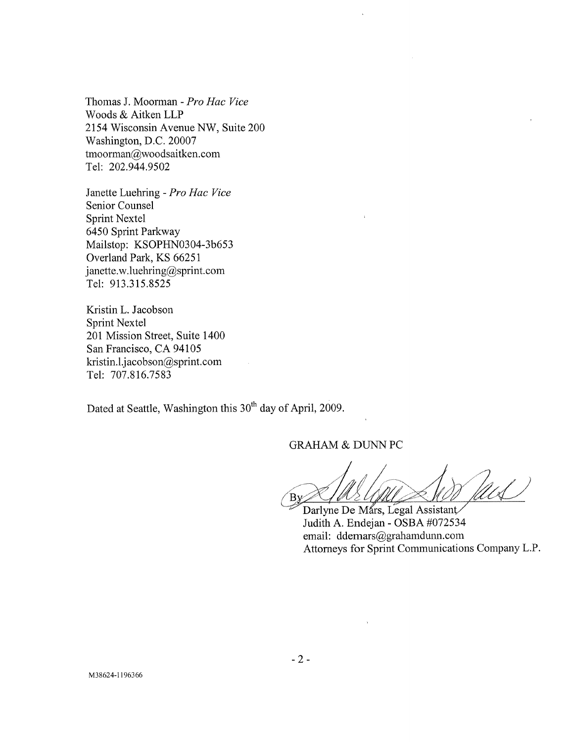Thomas J. Moorman - Pro Hac Vice Woods & Aitken LLP 2154 Wisconsin Avenue NW, Suite 200 Washington, D.C. 20007 tmoorman@woodsaitken.com Tel: 202.944.9502

Janette Luehring - Pro Hac Vice Senior Counsel **Sprint Nextel** 6450 Sprint Parkway Mailstop: KSOPHN0304-3b653 Overland Park, KS 66251 janette.w.luehring@sprint.com Tel: 913.315.8525

Kristin L. Jacobson Sprint Nextel 201 Mission Street, Suite 1400 San Francisco, CA 94105 kristin.l.jacobson@sprint.com Tel: 707.816.7583

Dated at Seattle, Washington this 30<sup>th</sup> day of April, 2009.

**GRAHAM & DUNN PC** 

 $By$ 

Darlyne De Mars, Legal Assistant Judith A. Endejan - OSBA #072534 email: ddemars@grahamdunn.com Attorneys for Sprint Communications Company L.P.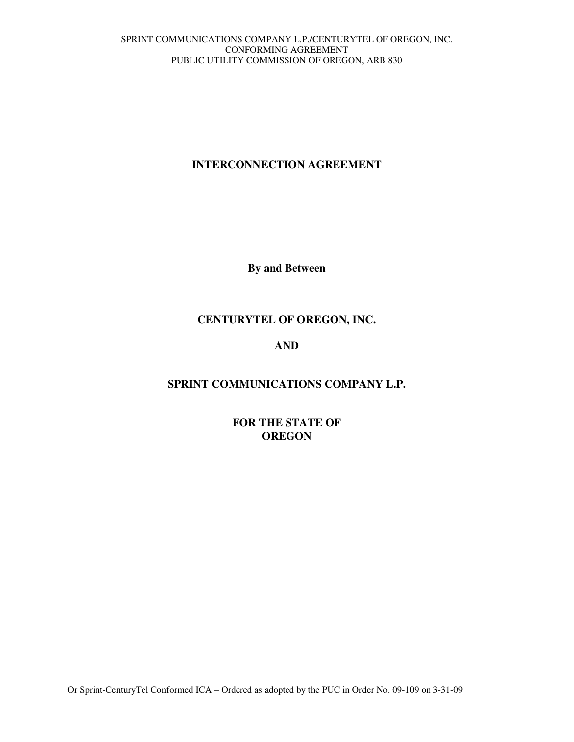# **INTERCONNECTION AGREEMENT**

**By and Between** 

# **CENTURYTEL OF OREGON, INC.**

# **AND**

# **SPRINT COMMUNICATIONS COMPANY L.P.**

**FOR THE STATE OF OREGON**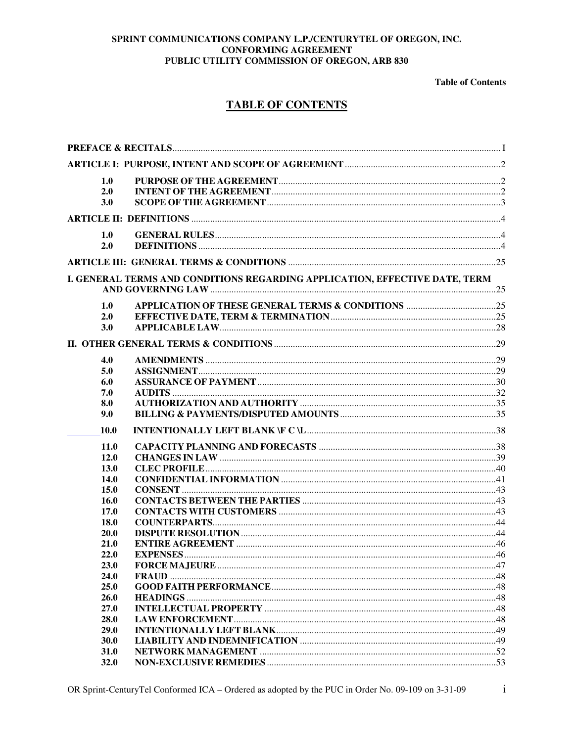**Table of Contents** 

# **TABLE OF CONTENTS**

| 1.0          |                                                                             |  |
|--------------|-----------------------------------------------------------------------------|--|
| 2.0          |                                                                             |  |
| 3.0          |                                                                             |  |
|              |                                                                             |  |
| 1.0          |                                                                             |  |
| 2.0          |                                                                             |  |
|              |                                                                             |  |
|              | I. GENERAL TERMS AND CONDITIONS REGARDING APPLICATION, EFFECTIVE DATE, TERM |  |
|              |                                                                             |  |
| 1.0          |                                                                             |  |
| 2.0          |                                                                             |  |
| 3.0          |                                                                             |  |
|              |                                                                             |  |
| 4.0          |                                                                             |  |
| 5.0          |                                                                             |  |
| 6.0          |                                                                             |  |
| 7.0          |                                                                             |  |
| 8.0          |                                                                             |  |
| 9.0          |                                                                             |  |
| <b>10.0</b>  |                                                                             |  |
| <b>11.0</b>  |                                                                             |  |
| 12.0         |                                                                             |  |
| <b>13.0</b>  |                                                                             |  |
| 14.0         |                                                                             |  |
| 15.0         |                                                                             |  |
| <b>16.0</b>  |                                                                             |  |
| 17.0         |                                                                             |  |
| <b>18.0</b>  |                                                                             |  |
| 20.0         |                                                                             |  |
| 21.0         |                                                                             |  |
| 22.0         |                                                                             |  |
| 23.0<br>24.0 |                                                                             |  |
| 25.0         |                                                                             |  |
| 26.0         |                                                                             |  |
| 27.0         |                                                                             |  |
| 28.0         |                                                                             |  |
| 29.0         |                                                                             |  |
| 30.0         |                                                                             |  |
| 31.0         |                                                                             |  |
| 32.0         |                                                                             |  |

 $\rm i$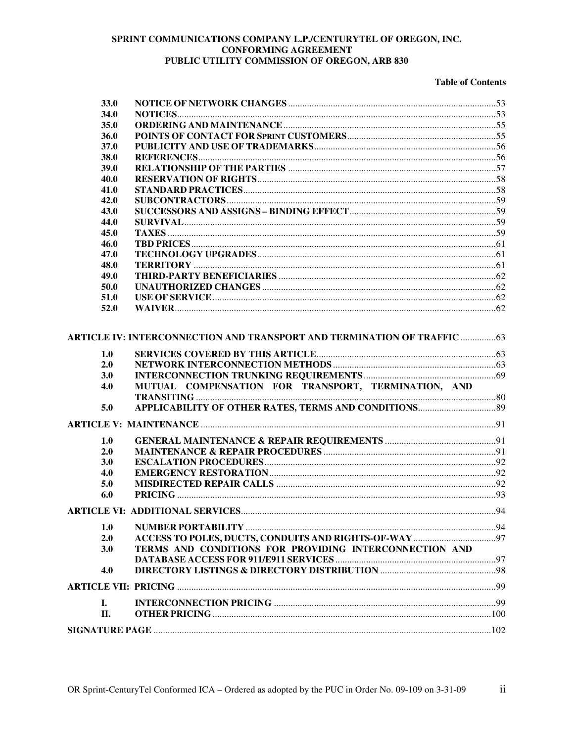#### **Table of Contents**

| 33.0       |                                                                          |  |
|------------|--------------------------------------------------------------------------|--|
| 34.0       |                                                                          |  |
| 35.0       |                                                                          |  |
| 36.0       |                                                                          |  |
| 37.0       |                                                                          |  |
| 38.0       |                                                                          |  |
| 39.0       |                                                                          |  |
| 40.0       |                                                                          |  |
| 41.0       |                                                                          |  |
| 42.0       |                                                                          |  |
| 43.0       |                                                                          |  |
| 44.0       |                                                                          |  |
| 45.0       |                                                                          |  |
| 46.0       |                                                                          |  |
| 47.0       |                                                                          |  |
| 48.0       |                                                                          |  |
| 49.0       |                                                                          |  |
| 50.0       |                                                                          |  |
| 51.0       |                                                                          |  |
| 52.0       |                                                                          |  |
| 1.0<br>2.0 | ARTICLE IV: INTERCONNECTION AND TRANSPORT AND TERMINATION OF TRAFFIC  63 |  |
| 3.0        |                                                                          |  |
| 4.0        | MUTUAL COMPENSATION FOR TRANSPORT, TERMINATION, AND                      |  |
|            |                                                                          |  |
| 5.0        |                                                                          |  |
|            |                                                                          |  |
|            |                                                                          |  |
| 1.0        |                                                                          |  |
| 2.0<br>3.0 |                                                                          |  |
| 4.0        |                                                                          |  |
| 5.0        |                                                                          |  |
| 6.0        |                                                                          |  |
|            |                                                                          |  |
|            |                                                                          |  |
| 1.0        |                                                                          |  |
| 2.0        |                                                                          |  |
| 3.0        | TERMS AND CONDITIONS FOR PROVIDING INTERCONNECTION AND                   |  |
| 4.0        |                                                                          |  |
|            |                                                                          |  |
|            |                                                                          |  |
| I.         |                                                                          |  |
| <b>II.</b> |                                                                          |  |
|            |                                                                          |  |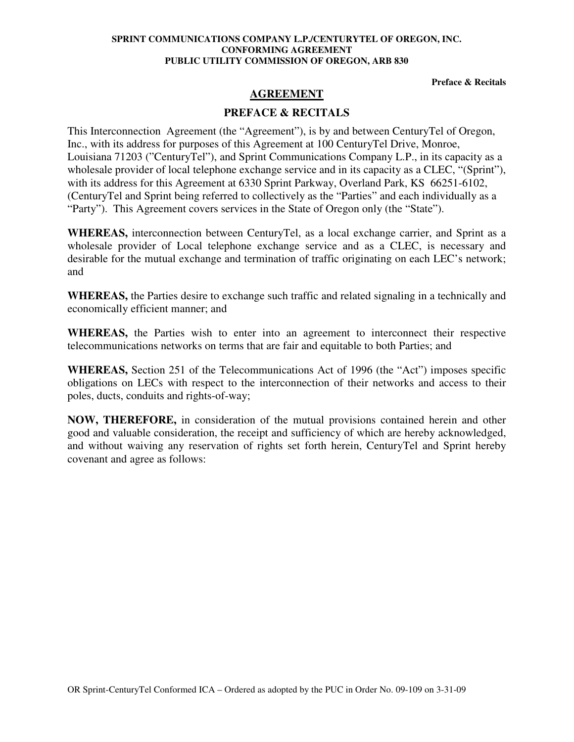**Preface & Recitals** 

# **AGREEMENT**

# **PREFACE & RECITALS**

This Interconnection Agreement (the "Agreement"), is by and between CenturyTel of Oregon, Inc., with its address for purposes of this Agreement at 100 CenturyTel Drive, Monroe, Louisiana 71203 ("CenturyTel"), and Sprint Communications Company L.P., in its capacity as a wholesale provider of local telephone exchange service and in its capacity as a CLEC, "(Sprint"), with its address for this Agreement at 6330 Sprint Parkway, Overland Park, KS 66251-6102, (CenturyTel and Sprint being referred to collectively as the "Parties" and each individually as a "Party"). This Agreement covers services in the State of Oregon only (the "State").

**WHEREAS,** interconnection between CenturyTel, as a local exchange carrier, and Sprint as a wholesale provider of Local telephone exchange service and as a CLEC, is necessary and desirable for the mutual exchange and termination of traffic originating on each LEC's network; and

**WHEREAS,** the Parties desire to exchange such traffic and related signaling in a technically and economically efficient manner; and

**WHEREAS,** the Parties wish to enter into an agreement to interconnect their respective telecommunications networks on terms that are fair and equitable to both Parties; and

**WHEREAS,** Section 251 of the Telecommunications Act of 1996 (the "Act") imposes specific obligations on LECs with respect to the interconnection of their networks and access to their poles, ducts, conduits and rights-of-way;

**NOW, THEREFORE,** in consideration of the mutual provisions contained herein and other good and valuable consideration, the receipt and sufficiency of which are hereby acknowledged, and without waiving any reservation of rights set forth herein, CenturyTel and Sprint hereby covenant and agree as follows: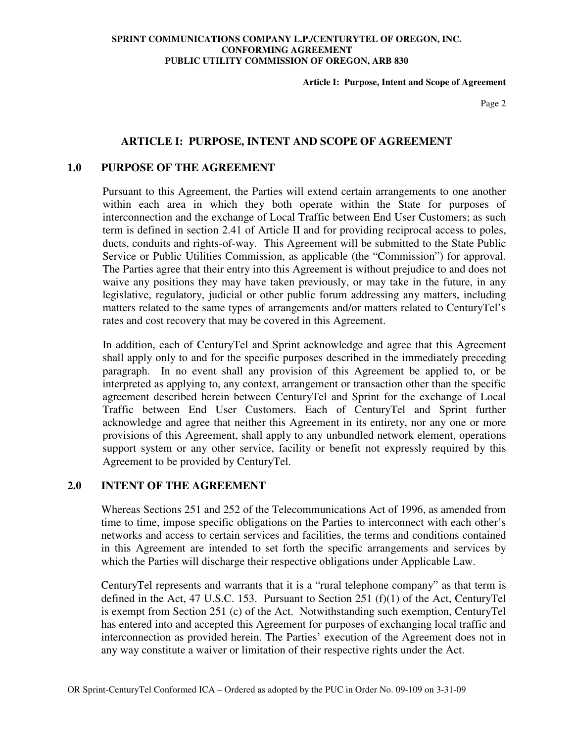**Article I: Purpose, Intent and Scope of Agreement** 

Page 2

## **ARTICLE I: PURPOSE, INTENT AND SCOPE OF AGREEMENT**

## **1.0 PURPOSE OF THE AGREEMENT**

Pursuant to this Agreement, the Parties will extend certain arrangements to one another within each area in which they both operate within the State for purposes of interconnection and the exchange of Local Traffic between End User Customers; as such term is defined in section 2.41 of Article II and for providing reciprocal access to poles, ducts, conduits and rights-of-way. This Agreement will be submitted to the State Public Service or Public Utilities Commission, as applicable (the "Commission") for approval. The Parties agree that their entry into this Agreement is without prejudice to and does not waive any positions they may have taken previously, or may take in the future, in any legislative, regulatory, judicial or other public forum addressing any matters, including matters related to the same types of arrangements and/or matters related to CenturyTel's rates and cost recovery that may be covered in this Agreement.

In addition, each of CenturyTel and Sprint acknowledge and agree that this Agreement shall apply only to and for the specific purposes described in the immediately preceding paragraph. In no event shall any provision of this Agreement be applied to, or be interpreted as applying to, any context, arrangement or transaction other than the specific agreement described herein between CenturyTel and Sprint for the exchange of Local Traffic between End User Customers. Each of CenturyTel and Sprint further acknowledge and agree that neither this Agreement in its entirety, nor any one or more provisions of this Agreement, shall apply to any unbundled network element, operations support system or any other service, facility or benefit not expressly required by this Agreement to be provided by CenturyTel.

### **2.0 INTENT OF THE AGREEMENT**

Whereas Sections 251 and 252 of the Telecommunications Act of 1996, as amended from time to time, impose specific obligations on the Parties to interconnect with each other's networks and access to certain services and facilities, the terms and conditions contained in this Agreement are intended to set forth the specific arrangements and services by which the Parties will discharge their respective obligations under Applicable Law.

CenturyTel represents and warrants that it is a "rural telephone company" as that term is defined in the Act, 47 U.S.C. 153. Pursuant to Section 251 (f)(1) of the Act, CenturyTel is exempt from Section 251 (c) of the Act. Notwithstanding such exemption, CenturyTel has entered into and accepted this Agreement for purposes of exchanging local traffic and interconnection as provided herein. The Parties' execution of the Agreement does not in any way constitute a waiver or limitation of their respective rights under the Act.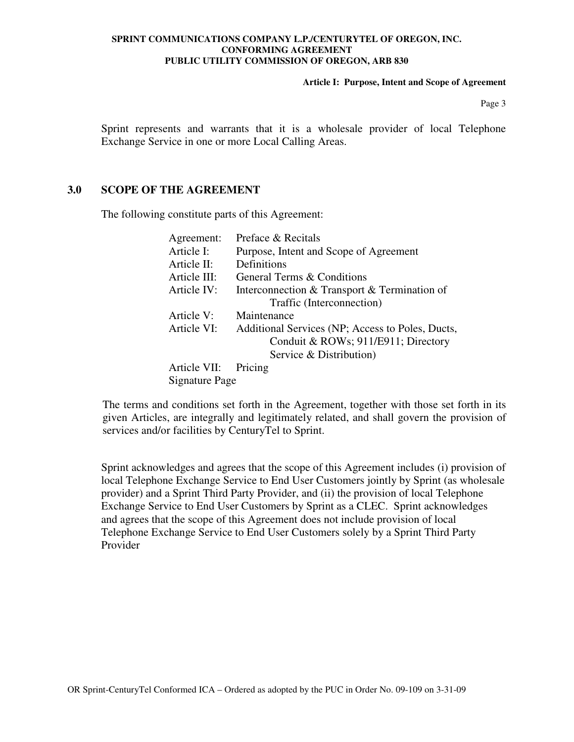**Article I: Purpose, Intent and Scope of Agreement** 

Page 3

Sprint represents and warrants that it is a wholesale provider of local Telephone Exchange Service in one or more Local Calling Areas.

#### **3.0 SCOPE OF THE AGREEMENT**

The following constitute parts of this Agreement:

| Agreement:     | Preface & Recitals                               |  |  |  |
|----------------|--------------------------------------------------|--|--|--|
| Article I:     | Purpose, Intent and Scope of Agreement           |  |  |  |
| Article II:    | Definitions                                      |  |  |  |
| Article III:   | General Terms & Conditions                       |  |  |  |
| Article IV:    | Interconnection & Transport & Termination of     |  |  |  |
|                | Traffic (Interconnection)                        |  |  |  |
| Article V:     | Maintenance                                      |  |  |  |
| Article VI:    | Additional Services (NP; Access to Poles, Ducts, |  |  |  |
|                | Conduit & ROWs; 911/E911; Directory              |  |  |  |
|                | Service & Distribution)                          |  |  |  |
| Article VII:   | Pricing                                          |  |  |  |
| Signature Page |                                                  |  |  |  |

The terms and conditions set forth in the Agreement, together with those set forth in its given Articles, are integrally and legitimately related, and shall govern the provision of services and/or facilities by CenturyTel to Sprint.

Sprint acknowledges and agrees that the scope of this Agreement includes (i) provision of local Telephone Exchange Service to End User Customers jointly by Sprint (as wholesale provider) and a Sprint Third Party Provider, and (ii) the provision of local Telephone Exchange Service to End User Customers by Sprint as a CLEC. Sprint acknowledges and agrees that the scope of this Agreement does not include provision of local Telephone Exchange Service to End User Customers solely by a Sprint Third Party Provider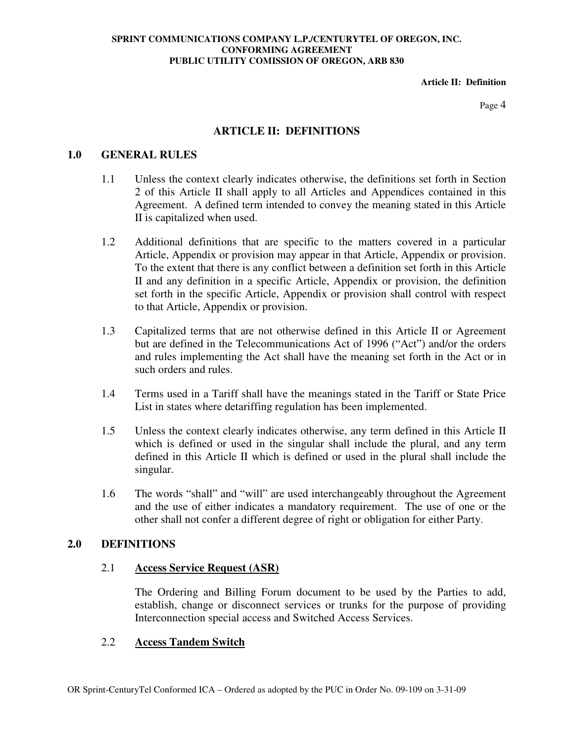**Article II: Definition** 

Page 4

## **ARTICLE II: DEFINITIONS**

## **1.0 GENERAL RULES**

- 1.1 Unless the context clearly indicates otherwise, the definitions set forth in Section 2 of this Article II shall apply to all Articles and Appendices contained in this Agreement. A defined term intended to convey the meaning stated in this Article II is capitalized when used.
- 1.2 Additional definitions that are specific to the matters covered in a particular Article, Appendix or provision may appear in that Article, Appendix or provision. To the extent that there is any conflict between a definition set forth in this Article II and any definition in a specific Article, Appendix or provision, the definition set forth in the specific Article, Appendix or provision shall control with respect to that Article, Appendix or provision.
- 1.3 Capitalized terms that are not otherwise defined in this Article II or Agreement but are defined in the Telecommunications Act of 1996 ("Act") and/or the orders and rules implementing the Act shall have the meaning set forth in the Act or in such orders and rules.
- 1.4 Terms used in a Tariff shall have the meanings stated in the Tariff or State Price List in states where detariffing regulation has been implemented.
- 1.5 Unless the context clearly indicates otherwise, any term defined in this Article II which is defined or used in the singular shall include the plural, and any term defined in this Article II which is defined or used in the plural shall include the singular.
- 1.6 The words "shall" and "will" are used interchangeably throughout the Agreement and the use of either indicates a mandatory requirement. The use of one or the other shall not confer a different degree of right or obligation for either Party.

## **2.0 DEFINITIONS**

## 2.1 **Access Service Request (ASR)**

The Ordering and Billing Forum document to be used by the Parties to add, establish, change or disconnect services or trunks for the purpose of providing Interconnection special access and Switched Access Services.

## 2.2 **Access Tandem Switch**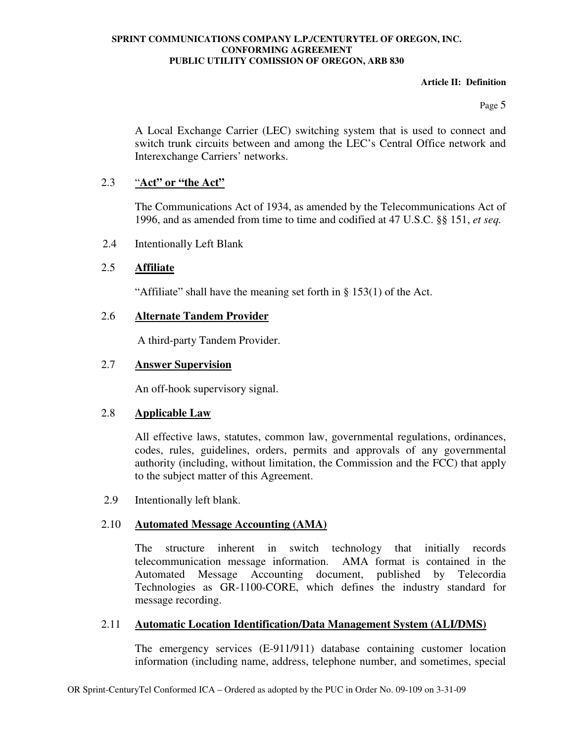#### **Article II: Definition**

Page 5

A Local Exchange Carrier (LEC) switching system that is used to connect and switch trunk circuits between and among the LEC's Central Office network and Interexchange Carriers' networks.

## 2.3 "**Act" or "the Act"**

The Communications Act of 1934, as amended by the Telecommunications Act of 1996, and as amended from time to time and codified at 47 U.S.C. §§ 151, *et seq.*

2.4 Intentionally Left Blank

# 2.5 **Affiliate**

"Affiliate" shall have the meaning set forth in § 153(1) of the Act.

## 2.6 **Alternate Tandem Provider**

A third-party Tandem Provider.

## 2.7 **Answer Supervision**

An off-hook supervisory signal.

## 2.8 **Applicable Law**

All effective laws, statutes, common law, governmental regulations, ordinances, codes, rules, guidelines, orders, permits and approvals of any governmental authority (including, without limitation, the Commission and the FCC) that apply to the subject matter of this Agreement.

2.9 Intentionally left blank.

# 2.10 **Automated Message Accounting (AMA)**

The structure inherent in switch technology that initially records telecommunication message information. AMA format is contained in the Automated Message Accounting document, published by Telecordia Technologies as GR-1100-CORE, which defines the industry standard for message recording.

## 2.11 **Automatic Location Identification/Data Management System (ALI/DMS)**

The emergency services (E-911/911) database containing customer location information (including name, address, telephone number, and sometimes, special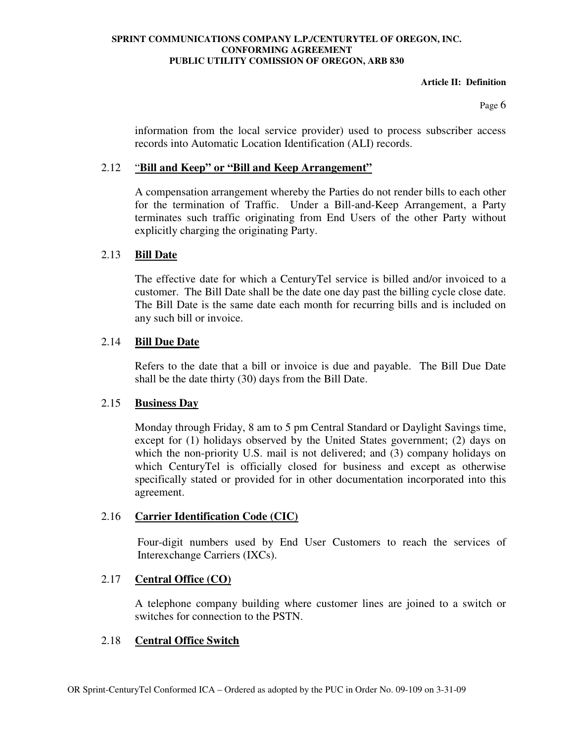#### **Article II: Definition**

Page 6

information from the local service provider) used to process subscriber access records into Automatic Location Identification (ALI) records.

## 2.12 "**Bill and Keep" or "Bill and Keep Arrangement"**

A compensation arrangement whereby the Parties do not render bills to each other for the termination of Traffic. Under a Bill-and-Keep Arrangement, a Party terminates such traffic originating from End Users of the other Party without explicitly charging the originating Party.

## 2.13 **Bill Date**

The effective date for which a CenturyTel service is billed and/or invoiced to a customer. The Bill Date shall be the date one day past the billing cycle close date. The Bill Date is the same date each month for recurring bills and is included on any such bill or invoice.

## 2.14 **Bill Due Date**

Refers to the date that a bill or invoice is due and payable. The Bill Due Date shall be the date thirty (30) days from the Bill Date.

## 2.15 **Business Day**

Monday through Friday, 8 am to 5 pm Central Standard or Daylight Savings time, except for (1) holidays observed by the United States government; (2) days on which the non-priority U.S. mail is not delivered; and (3) company holidays on which CenturyTel is officially closed for business and except as otherwise specifically stated or provided for in other documentation incorporated into this agreement.

# 2.16 **Carrier Identification Code (CIC)**

Four-digit numbers used by End User Customers to reach the services of Interexchange Carriers (IXCs).

# 2.17 **Central Office (CO)**

A telephone company building where customer lines are joined to a switch or switches for connection to the PSTN.

# 2.18 **Central Office Switch**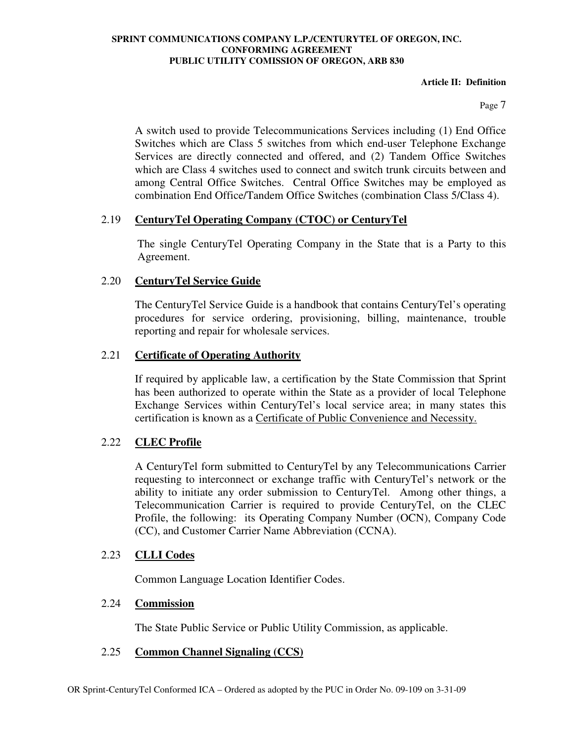#### **Article II: Definition**

Page 7

A switch used to provide Telecommunications Services including (1) End Office Switches which are Class 5 switches from which end-user Telephone Exchange Services are directly connected and offered, and (2) Tandem Office Switches which are Class 4 switches used to connect and switch trunk circuits between and among Central Office Switches. Central Office Switches may be employed as combination End Office/Tandem Office Switches (combination Class 5/Class 4).

## 2.19 **CenturyTel Operating Company (CTOC) or CenturyTel**

The single CenturyTel Operating Company in the State that is a Party to this Agreement.

## 2.20 **CenturyTel Service Guide**

The CenturyTel Service Guide is a handbook that contains CenturyTel's operating procedures for service ordering, provisioning, billing, maintenance, trouble reporting and repair for wholesale services.

## 2.21 **Certificate of Operating Authority**

If required by applicable law, a certification by the State Commission that Sprint has been authorized to operate within the State as a provider of local Telephone Exchange Services within CenturyTel's local service area; in many states this certification is known as a Certificate of Public Convenience and Necessity.

## 2.22 **CLEC Profile**

A CenturyTel form submitted to CenturyTel by any Telecommunications Carrier requesting to interconnect or exchange traffic with CenturyTel's network or the ability to initiate any order submission to CenturyTel. Among other things, a Telecommunication Carrier is required to provide CenturyTel, on the CLEC Profile, the following: its Operating Company Number (OCN), Company Code (CC), and Customer Carrier Name Abbreviation (CCNA).

## 2.23 **CLLI Codes**

Common Language Location Identifier Codes.

## 2.24 **Commission**

The State Public Service or Public Utility Commission, as applicable.

## 2.25 **Common Channel Signaling (CCS)**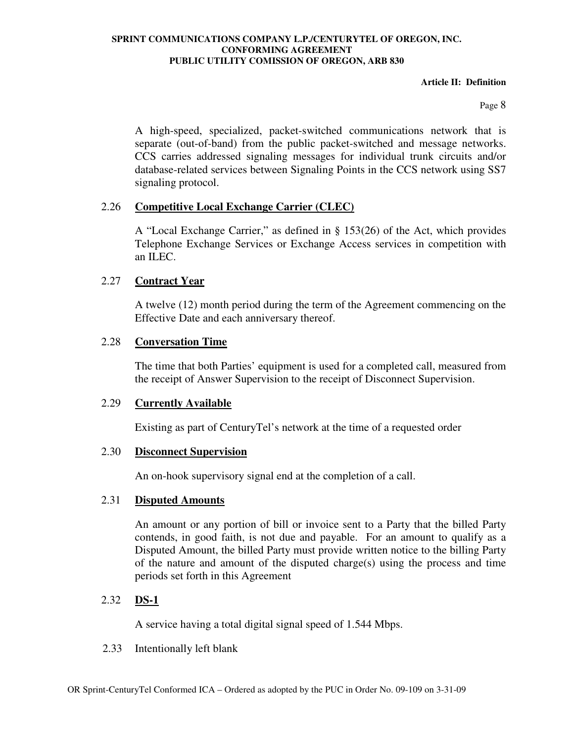#### **Article II: Definition**

Page 8

A high-speed, specialized, packet-switched communications network that is separate (out-of-band) from the public packet-switched and message networks. CCS carries addressed signaling messages for individual trunk circuits and/or database-related services between Signaling Points in the CCS network using SS7 signaling protocol.

## 2.26 **Competitive Local Exchange Carrier (CLEC)**

A "Local Exchange Carrier," as defined in § 153(26) of the Act, which provides Telephone Exchange Services or Exchange Access services in competition with an ILEC.

## 2.27 **Contract Year**

A twelve (12) month period during the term of the Agreement commencing on the Effective Date and each anniversary thereof.

## 2.28 **Conversation Time**

The time that both Parties' equipment is used for a completed call, measured from the receipt of Answer Supervision to the receipt of Disconnect Supervision.

## 2.29 **Currently Available**

Existing as part of CenturyTel's network at the time of a requested order

## 2.30 **Disconnect Supervision**

An on-hook supervisory signal end at the completion of a call.

## 2.31 **Disputed Amounts**

An amount or any portion of bill or invoice sent to a Party that the billed Party contends, in good faith, is not due and payable. For an amount to qualify as a Disputed Amount, the billed Party must provide written notice to the billing Party of the nature and amount of the disputed charge(s) using the process and time periods set forth in this Agreement

# 2.32 **DS-1**

A service having a total digital signal speed of 1.544 Mbps.

2.33 Intentionally left blank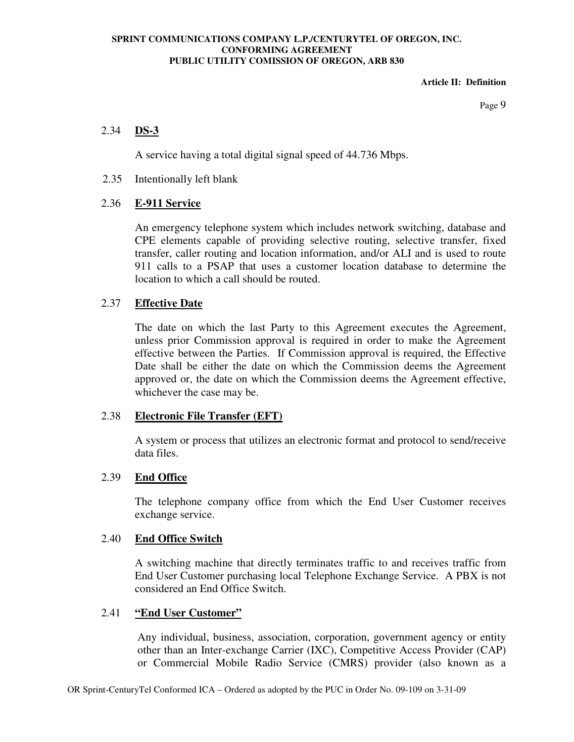**Article II: Definition** 

Page 9

## 2.34 **DS-3**

A service having a total digital signal speed of 44.736 Mbps.

2.35 Intentionally left blank

## 2.36 **E-911 Service**

An emergency telephone system which includes network switching, database and CPE elements capable of providing selective routing, selective transfer, fixed transfer, caller routing and location information, and/or ALI and is used to route 911 calls to a PSAP that uses a customer location database to determine the location to which a call should be routed.

## 2.37 **Effective Date**

The date on which the last Party to this Agreement executes the Agreement, unless prior Commission approval is required in order to make the Agreement effective between the Parties. If Commission approval is required, the Effective Date shall be either the date on which the Commission deems the Agreement approved or, the date on which the Commission deems the Agreement effective, whichever the case may be.

## 2.38 **Electronic File Transfer (EFT)**

A system or process that utilizes an electronic format and protocol to send/receive data files.

#### 2.39 **End Office**

The telephone company office from which the End User Customer receives exchange service.

#### 2.40 **End Office Switch**

A switching machine that directly terminates traffic to and receives traffic from End User Customer purchasing local Telephone Exchange Service. A PBX is not considered an End Office Switch.

#### 2.41 **"End User Customer"**

Any individual, business, association, corporation, government agency or entity other than an Inter-exchange Carrier (IXC), Competitive Access Provider (CAP) or Commercial Mobile Radio Service (CMRS) provider (also known as a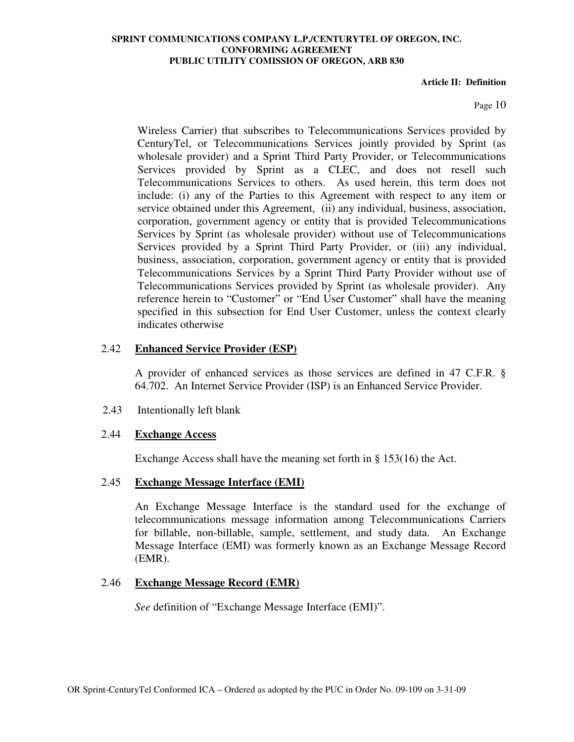#### **Article II: Definition**

Page 10

Wireless Carrier) that subscribes to Telecommunications Services provided by CenturyTel, or Telecommunications Services jointly provided by Sprint (as wholesale provider) and a Sprint Third Party Provider, or Telecommunications Services provided by Sprint as a CLEC, and does not resell such Telecommunications Services to others. As used herein, this term does not include: (i) any of the Parties to this Agreement with respect to any item or service obtained under this Agreement, (ii) any individual, business, association, corporation, government agency or entity that is provided Telecommunications Services by Sprint (as wholesale provider) without use of Telecommunications Services provided by a Sprint Third Party Provider, or (iii) any individual, business, association, corporation, government agency or entity that is provided Telecommunications Services by a Sprint Third Party Provider without use of Telecommunications Services provided by Sprint (as wholesale provider). Any reference herein to "Customer" or "End User Customer" shall have the meaning specified in this subsection for End User Customer, unless the context clearly indicates otherwise

#### 2.42 **Enhanced Service Provider (ESP)**

A provider of enhanced services as those services are defined in 47 C.F.R. § 64.702. An Internet Service Provider (ISP) is an Enhanced Service Provider.

2.43 Intentionally left blank

#### 2.44 **Exchange Access**

Exchange Access shall have the meaning set forth in § 153(16) the Act.

## 2.45 **Exchange Message Interface (EMI)**

An Exchange Message Interface is the standard used for the exchange of telecommunications message information among Telecommunications Carriers for billable, non-billable, sample, settlement, and study data. An Exchange Message Interface (EMI) was formerly known as an Exchange Message Record (EMR).

## 2.46 **Exchange Message Record (EMR)**

*See* definition of "Exchange Message Interface (EMI)".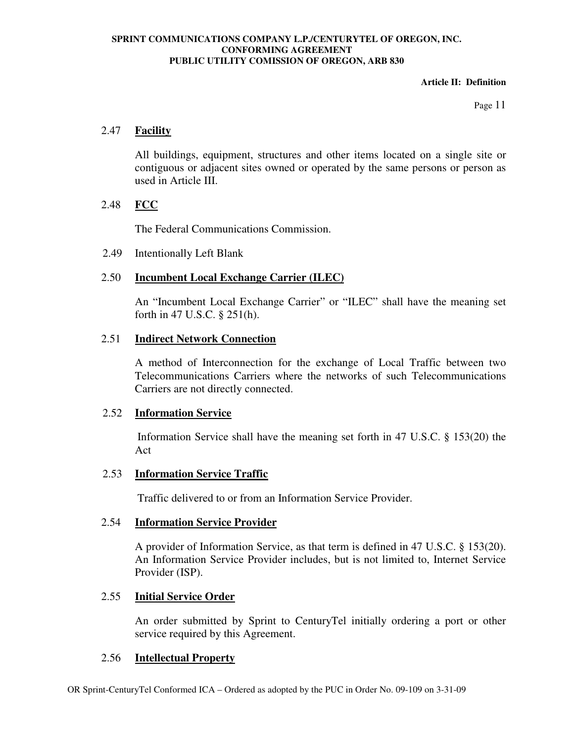#### **Article II: Definition**

Page 11

## 2.47 **Facility**

All buildings, equipment, structures and other items located on a single site or contiguous or adjacent sites owned or operated by the same persons or person as used in Article III.

## 2.48 **FCC**

The Federal Communications Commission.

2.49 Intentionally Left Blank

# 2.50 **Incumbent Local Exchange Carrier (ILEC)**

An "Incumbent Local Exchange Carrier" or "ILEC" shall have the meaning set forth in 47 U.S.C. § 251(h).

## 2.51 **Indirect Network Connection**

A method of Interconnection for the exchange of Local Traffic between two Telecommunications Carriers where the networks of such Telecommunications Carriers are not directly connected.

## 2.52 **Information Service**

Information Service shall have the meaning set forth in 47 U.S.C. § 153(20) the Act

# 2.53 **Information Service Traffic**

Traffic delivered to or from an Information Service Provider.

## 2.54 **Information Service Provider**

A provider of Information Service, as that term is defined in 47 U.S.C. § 153(20). An Information Service Provider includes, but is not limited to, Internet Service Provider (ISP).

# 2.55 **Initial Service Order**

An order submitted by Sprint to CenturyTel initially ordering a port or other service required by this Agreement.

## 2.56 **Intellectual Property**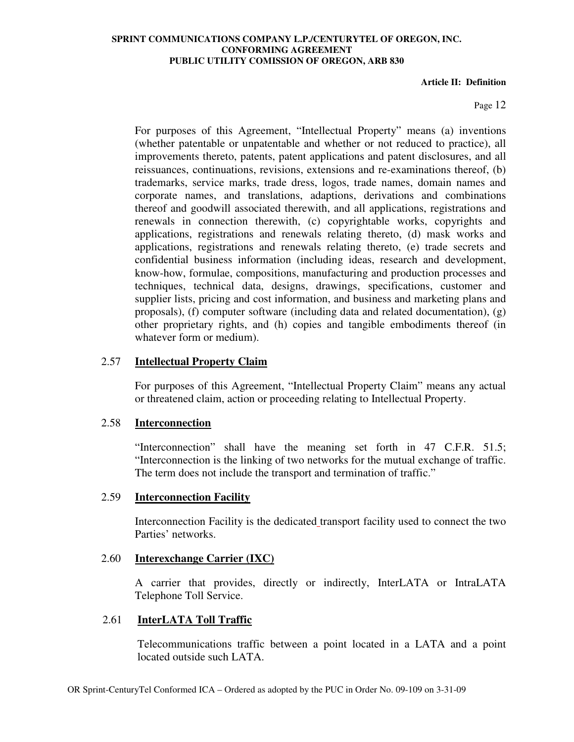#### **Article II: Definition**

#### Page 12

For purposes of this Agreement, "Intellectual Property" means (a) inventions (whether patentable or unpatentable and whether or not reduced to practice), all improvements thereto, patents, patent applications and patent disclosures, and all reissuances, continuations, revisions, extensions and re-examinations thereof, (b) trademarks, service marks, trade dress, logos, trade names, domain names and corporate names, and translations, adaptions, derivations and combinations thereof and goodwill associated therewith, and all applications, registrations and renewals in connection therewith, (c) copyrightable works, copyrights and applications, registrations and renewals relating thereto, (d) mask works and applications, registrations and renewals relating thereto, (e) trade secrets and confidential business information (including ideas, research and development, know-how, formulae, compositions, manufacturing and production processes and techniques, technical data, designs, drawings, specifications, customer and supplier lists, pricing and cost information, and business and marketing plans and proposals), (f) computer software (including data and related documentation), (g) other proprietary rights, and (h) copies and tangible embodiments thereof (in whatever form or medium).

## 2.57 **Intellectual Property Claim**

For purposes of this Agreement, "Intellectual Property Claim" means any actual or threatened claim, action or proceeding relating to Intellectual Property.

#### 2.58 **Interconnection**

"Interconnection" shall have the meaning set forth in 47 C.F.R. 51.5; "Interconnection is the linking of two networks for the mutual exchange of traffic. The term does not include the transport and termination of traffic."

#### 2.59 **Interconnection Facility**

Interconnection Facility is the dedicated transport facility used to connect the two Parties' networks.

#### 2.60 **Interexchange Carrier (IXC)**

A carrier that provides, directly or indirectly, InterLATA or IntraLATA Telephone Toll Service.

#### 2.61 **InterLATA Toll Traffic**

Telecommunications traffic between a point located in a LATA and a point located outside such LATA.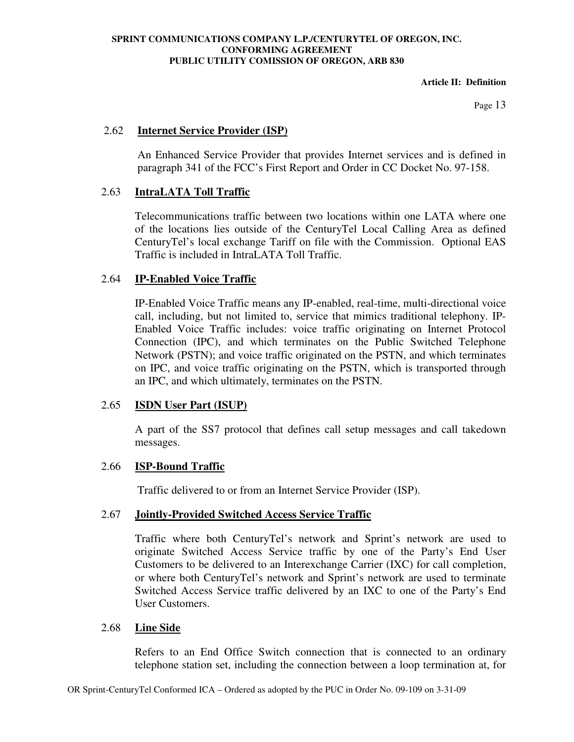#### **Article II: Definition**

Page 13

## 2.62 **Internet Service Provider (ISP)**

An Enhanced Service Provider that provides Internet services and is defined in paragraph 341 of the FCC's First Report and Order in CC Docket No. 97-158.

## 2.63 **IntraLATA Toll Traffic**

Telecommunications traffic between two locations within one LATA where one of the locations lies outside of the CenturyTel Local Calling Area as defined CenturyTel's local exchange Tariff on file with the Commission. Optional EAS Traffic is included in IntraLATA Toll Traffic.

## 2.64 **IP-Enabled Voice Traffic**

IP-Enabled Voice Traffic means any IP-enabled, real-time, multi-directional voice call, including, but not limited to, service that mimics traditional telephony. IP-Enabled Voice Traffic includes: voice traffic originating on Internet Protocol Connection (IPC), and which terminates on the Public Switched Telephone Network (PSTN); and voice traffic originated on the PSTN, and which terminates on IPC, and voice traffic originating on the PSTN, which is transported through an IPC, and which ultimately, terminates on the PSTN.

## 2.65 **ISDN User Part (ISUP)**

A part of the SS7 protocol that defines call setup messages and call takedown messages.

## 2.66 **ISP-Bound Traffic**

Traffic delivered to or from an Internet Service Provider (ISP).

## 2.67 **Jointly-Provided Switched Access Service Traffic**

Traffic where both CenturyTel's network and Sprint's network are used to originate Switched Access Service traffic by one of the Party's End User Customers to be delivered to an Interexchange Carrier (IXC) for call completion, or where both CenturyTel's network and Sprint's network are used to terminate Switched Access Service traffic delivered by an IXC to one of the Party's End User Customers.

## 2.68 **Line Side**

Refers to an End Office Switch connection that is connected to an ordinary telephone station set, including the connection between a loop termination at, for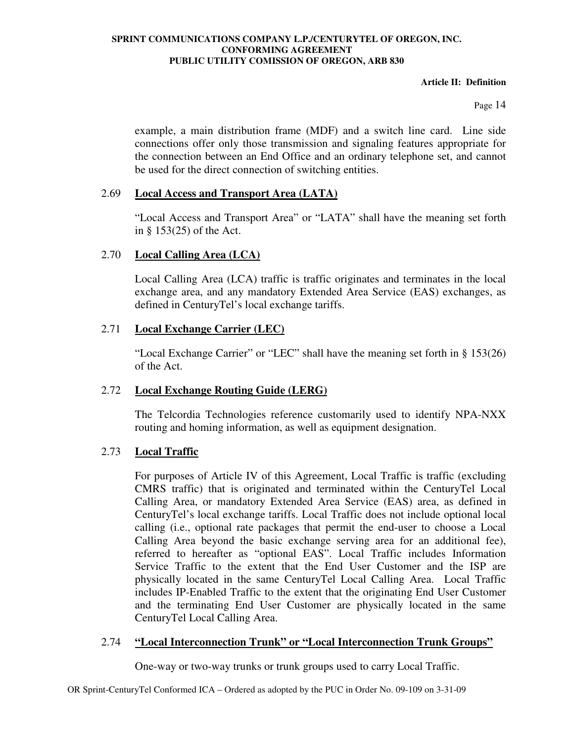#### **Article II: Definition**

Page 14

example, a main distribution frame (MDF) and a switch line card. Line side connections offer only those transmission and signaling features appropriate for the connection between an End Office and an ordinary telephone set, and cannot be used for the direct connection of switching entities.

## 2.69 **Local Access and Transport Area (LATA)**

"Local Access and Transport Area" or "LATA" shall have the meaning set forth in § 153(25) of the Act.

# 2.70 **Local Calling Area (LCA)**

Local Calling Area (LCA) traffic is traffic originates and terminates in the local exchange area, and any mandatory Extended Area Service (EAS) exchanges, as defined in CenturyTel's local exchange tariffs.

# 2.71 **Local Exchange Carrier (LEC)**

"Local Exchange Carrier" or "LEC" shall have the meaning set forth in § 153(26) of the Act.

# 2.72 **Local Exchange Routing Guide (LERG)**

The Telcordia Technologies reference customarily used to identify NPA-NXX routing and homing information, as well as equipment designation.

# 2.73 **Local Traffic**

For purposes of Article IV of this Agreement, Local Traffic is traffic (excluding CMRS traffic) that is originated and terminated within the CenturyTel Local Calling Area, or mandatory Extended Area Service (EAS) area, as defined in CenturyTel's local exchange tariffs. Local Traffic does not include optional local calling (i.e., optional rate packages that permit the end-user to choose a Local Calling Area beyond the basic exchange serving area for an additional fee), referred to hereafter as "optional EAS". Local Traffic includes Information Service Traffic to the extent that the End User Customer and the ISP are physically located in the same CenturyTel Local Calling Area. Local Traffic includes IP-Enabled Traffic to the extent that the originating End User Customer and the terminating End User Customer are physically located in the same CenturyTel Local Calling Area.

## 2.74 **"Local Interconnection Trunk" or "Local Interconnection Trunk Groups"**

One-way or two-way trunks or trunk groups used to carry Local Traffic.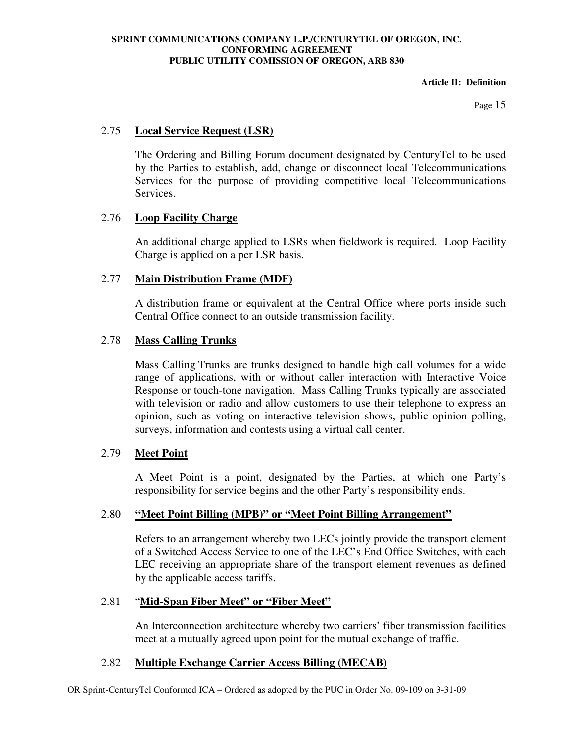#### **Article II: Definition**

Page 15

## 2.75 **Local Service Request (LSR)**

The Ordering and Billing Forum document designated by CenturyTel to be used by the Parties to establish, add, change or disconnect local Telecommunications Services for the purpose of providing competitive local Telecommunications Services.

## 2.76 **Loop Facility Charge**

An additional charge applied to LSRs when fieldwork is required. Loop Facility Charge is applied on a per LSR basis.

## 2.77 **Main Distribution Frame (MDF)**

A distribution frame or equivalent at the Central Office where ports inside such Central Office connect to an outside transmission facility.

## 2.78 **Mass Calling Trunks**

Mass Calling Trunks are trunks designed to handle high call volumes for a wide range of applications, with or without caller interaction with Interactive Voice Response or touch-tone navigation. Mass Calling Trunks typically are associated with television or radio and allow customers to use their telephone to express an opinion, such as voting on interactive television shows, public opinion polling, surveys, information and contests using a virtual call center.

## 2.79 **Meet Point**

A Meet Point is a point, designated by the Parties, at which one Party's responsibility for service begins and the other Party's responsibility ends.

## 2.80 **"Meet Point Billing (MPB)" or "Meet Point Billing Arrangement"**

Refers to an arrangement whereby two LECs jointly provide the transport element of a Switched Access Service to one of the LEC's End Office Switches, with each LEC receiving an appropriate share of the transport element revenues as defined by the applicable access tariffs.

## 2.81 "**Mid-Span Fiber Meet" or "Fiber Meet"**

An Interconnection architecture whereby two carriers' fiber transmission facilities meet at a mutually agreed upon point for the mutual exchange of traffic.

## 2.82 **Multiple Exchange Carrier Access Billing (MECAB)**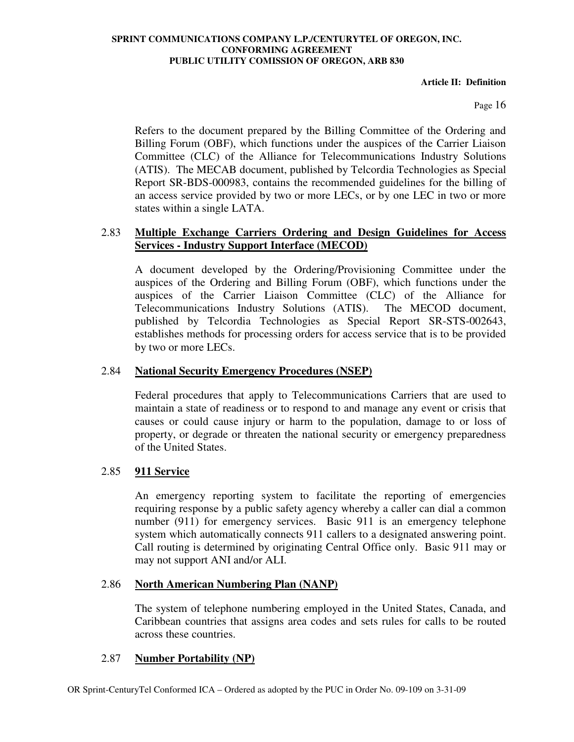**Article II: Definition** 

Page 16

Refers to the document prepared by the Billing Committee of the Ordering and Billing Forum (OBF), which functions under the auspices of the Carrier Liaison Committee (CLC) of the Alliance for Telecommunications Industry Solutions (ATIS). The MECAB document, published by Telcordia Technologies as Special Report SR-BDS-000983, contains the recommended guidelines for the billing of an access service provided by two or more LECs, or by one LEC in two or more states within a single LATA.

## 2.83 **Multiple Exchange Carriers Ordering and Design Guidelines for Access Services - Industry Support Interface (MECOD)**

A document developed by the Ordering/Provisioning Committee under the auspices of the Ordering and Billing Forum (OBF), which functions under the auspices of the Carrier Liaison Committee (CLC) of the Alliance for Telecommunications Industry Solutions (ATIS). The MECOD document, published by Telcordia Technologies as Special Report SR-STS-002643, establishes methods for processing orders for access service that is to be provided by two or more LECs.

## 2.84 **National Security Emergency Procedures (NSEP)**

Federal procedures that apply to Telecommunications Carriers that are used to maintain a state of readiness or to respond to and manage any event or crisis that causes or could cause injury or harm to the population, damage to or loss of property, or degrade or threaten the national security or emergency preparedness of the United States.

# 2.85 **911 Service**

An emergency reporting system to facilitate the reporting of emergencies requiring response by a public safety agency whereby a caller can dial a common number (911) for emergency services. Basic 911 is an emergency telephone system which automatically connects 911 callers to a designated answering point. Call routing is determined by originating Central Office only. Basic 911 may or may not support ANI and/or ALI.

## 2.86 **North American Numbering Plan (NANP)**

The system of telephone numbering employed in the United States, Canada, and Caribbean countries that assigns area codes and sets rules for calls to be routed across these countries.

## 2.87 **Number Portability (NP)**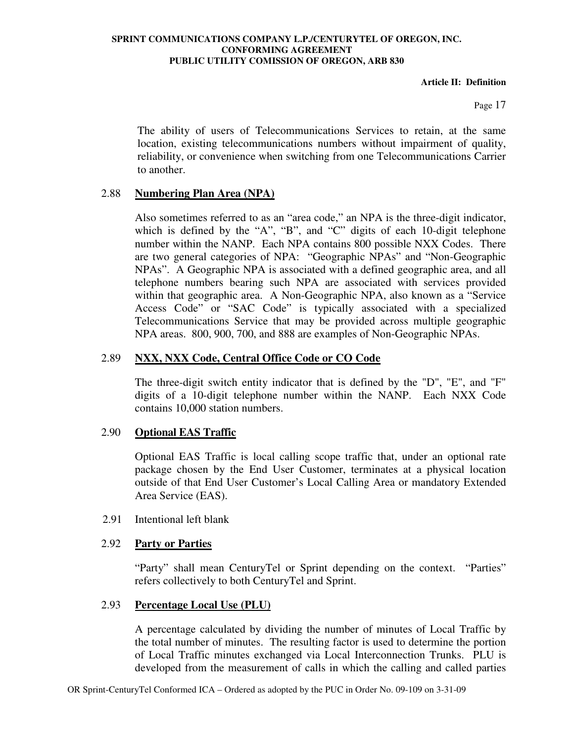#### **Article II: Definition**

Page 17

The ability of users of Telecommunications Services to retain, at the same location, existing telecommunications numbers without impairment of quality, reliability, or convenience when switching from one Telecommunications Carrier to another.

## 2.88 **Numbering Plan Area (NPA)**

Also sometimes referred to as an "area code," an NPA is the three-digit indicator, which is defined by the "A", "B", and "C" digits of each 10-digit telephone number within the NANP. Each NPA contains 800 possible NXX Codes. There are two general categories of NPA: "Geographic NPAs" and "Non-Geographic NPAs". A Geographic NPA is associated with a defined geographic area, and all telephone numbers bearing such NPA are associated with services provided within that geographic area. A Non-Geographic NPA, also known as a "Service Access Code" or "SAC Code" is typically associated with a specialized Telecommunications Service that may be provided across multiple geographic NPA areas. 800, 900, 700, and 888 are examples of Non-Geographic NPAs.

## 2.89 **NXX, NXX Code, Central Office Code or CO Code**

The three-digit switch entity indicator that is defined by the "D", "E", and "F" digits of a 10-digit telephone number within the NANP. Each NXX Code contains 10,000 station numbers.

# 2.90 **Optional EAS Traffic**

Optional EAS Traffic is local calling scope traffic that, under an optional rate package chosen by the End User Customer, terminates at a physical location outside of that End User Customer's Local Calling Area or mandatory Extended Area Service (EAS).

## 2.91 Intentional left blank

## 2.92 **Party or Parties**

"Party" shall mean CenturyTel or Sprint depending on the context. "Parties" refers collectively to both CenturyTel and Sprint.

## 2.93 **Percentage Local Use (PLU)**

A percentage calculated by dividing the number of minutes of Local Traffic by the total number of minutes. The resulting factor is used to determine the portion of Local Traffic minutes exchanged via Local Interconnection Trunks. PLU is developed from the measurement of calls in which the calling and called parties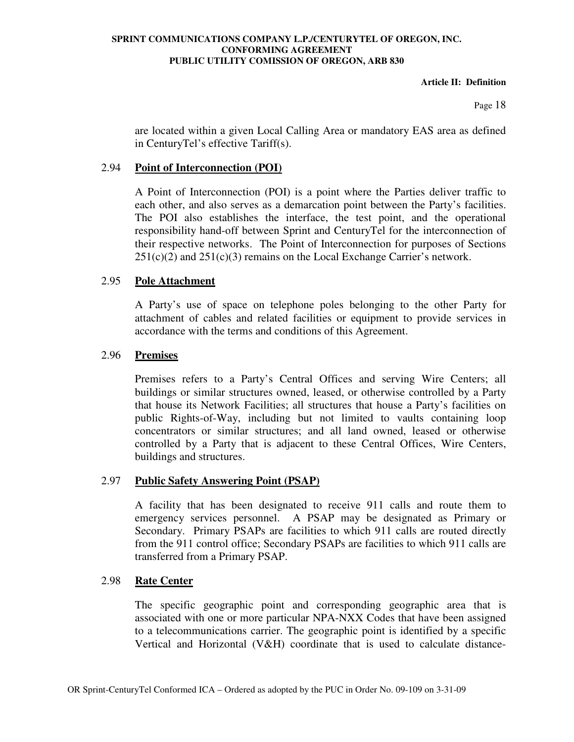#### **Article II: Definition**

Page 18

are located within a given Local Calling Area or mandatory EAS area as defined in CenturyTel's effective Tariff(s).

## 2.94 **Point of Interconnection (POI)**

A Point of Interconnection (POI) is a point where the Parties deliver traffic to each other, and also serves as a demarcation point between the Party's facilities. The POI also establishes the interface, the test point, and the operational responsibility hand-off between Sprint and CenturyTel for the interconnection of their respective networks. The Point of Interconnection for purposes of Sections  $251(c)(2)$  and  $251(c)(3)$  remains on the Local Exchange Carrier's network.

## 2.95 **Pole Attachment**

A Party's use of space on telephone poles belonging to the other Party for attachment of cables and related facilities or equipment to provide services in accordance with the terms and conditions of this Agreement.

## 2.96 **Premises**

Premises refers to a Party's Central Offices and serving Wire Centers; all buildings or similar structures owned, leased, or otherwise controlled by a Party that house its Network Facilities; all structures that house a Party's facilities on public Rights-of-Way, including but not limited to vaults containing loop concentrators or similar structures; and all land owned, leased or otherwise controlled by a Party that is adjacent to these Central Offices, Wire Centers, buildings and structures.

## 2.97 **Public Safety Answering Point (PSAP)**

A facility that has been designated to receive 911 calls and route them to emergency services personnel. A PSAP may be designated as Primary or Secondary. Primary PSAPs are facilities to which 911 calls are routed directly from the 911 control office; Secondary PSAPs are facilities to which 911 calls are transferred from a Primary PSAP.

## 2.98 **Rate Center**

The specific geographic point and corresponding geographic area that is associated with one or more particular NPA-NXX Codes that have been assigned to a telecommunications carrier. The geographic point is identified by a specific Vertical and Horizontal (V&H) coordinate that is used to calculate distance-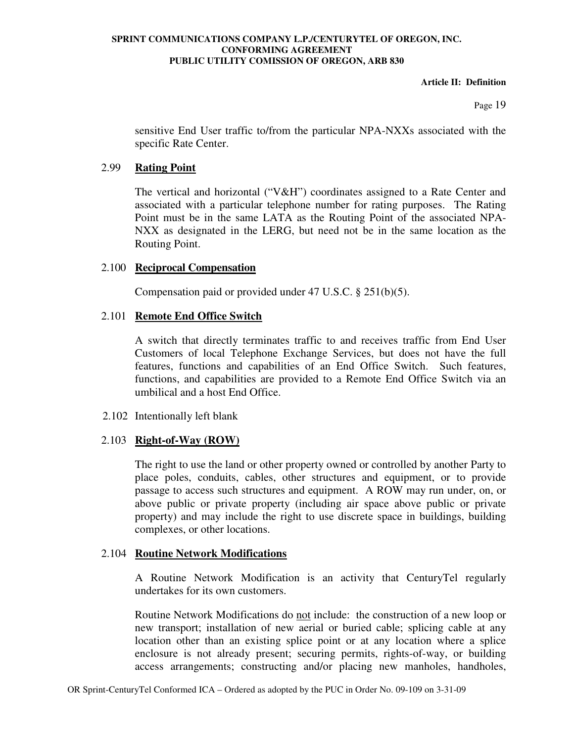#### **Article II: Definition**

Page 19

sensitive End User traffic to/from the particular NPA-NXXs associated with the specific Rate Center.

## 2.99 **Rating Point**

The vertical and horizontal (" $V&H$ ") coordinates assigned to a Rate Center and associated with a particular telephone number for rating purposes. The Rating Point must be in the same LATA as the Routing Point of the associated NPA-NXX as designated in the LERG, but need not be in the same location as the Routing Point.

## 2.100 **Reciprocal Compensation**

Compensation paid or provided under 47 U.S.C. § 251(b)(5).

# 2.101 **Remote End Office Switch**

A switch that directly terminates traffic to and receives traffic from End User Customers of local Telephone Exchange Services, but does not have the full features, functions and capabilities of an End Office Switch. Such features, functions, and capabilities are provided to a Remote End Office Switch via an umbilical and a host End Office.

## 2.102 Intentionally left blank

# 2.103 **Right-of-Way (ROW)**

The right to use the land or other property owned or controlled by another Party to place poles, conduits, cables, other structures and equipment, or to provide passage to access such structures and equipment. A ROW may run under, on, or above public or private property (including air space above public or private property) and may include the right to use discrete space in buildings, building complexes, or other locations.

## 2.104 **Routine Network Modifications**

A Routine Network Modification is an activity that CenturyTel regularly undertakes for its own customers.

Routine Network Modifications do not include: the construction of a new loop or new transport; installation of new aerial or buried cable; splicing cable at any location other than an existing splice point or at any location where a splice enclosure is not already present; securing permits, rights-of-way, or building access arrangements; constructing and/or placing new manholes, handholes,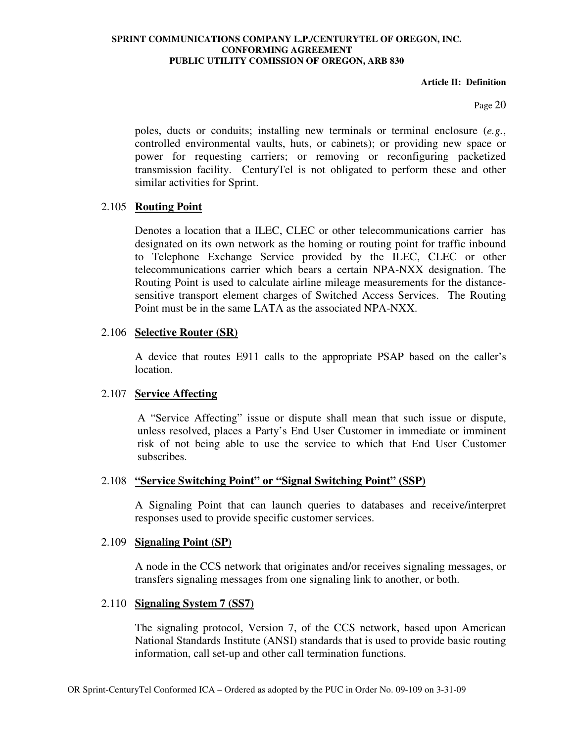#### **Article II: Definition**

Page 20

poles, ducts or conduits; installing new terminals or terminal enclosure (*e.g.*, controlled environmental vaults, huts, or cabinets); or providing new space or power for requesting carriers; or removing or reconfiguring packetized transmission facility. CenturyTel is not obligated to perform these and other similar activities for Sprint.

## 2.105 **Routing Point**

Denotes a location that a ILEC, CLEC or other telecommunications carrier has designated on its own network as the homing or routing point for traffic inbound to Telephone Exchange Service provided by the ILEC, CLEC or other telecommunications carrier which bears a certain NPA-NXX designation. The Routing Point is used to calculate airline mileage measurements for the distancesensitive transport element charges of Switched Access Services. The Routing Point must be in the same LATA as the associated NPA-NXX.

#### 2.106 **Selective Router (SR)**

A device that routes E911 calls to the appropriate PSAP based on the caller's location.

## 2.107 **Service Affecting**

A "Service Affecting" issue or dispute shall mean that such issue or dispute, unless resolved, places a Party's End User Customer in immediate or imminent risk of not being able to use the service to which that End User Customer subscribes.

#### 2.108 **"Service Switching Point" or "Signal Switching Point" (SSP)**

A Signaling Point that can launch queries to databases and receive/interpret responses used to provide specific customer services.

#### 2.109 **Signaling Point (SP)**

A node in the CCS network that originates and/or receives signaling messages, or transfers signaling messages from one signaling link to another, or both.

#### 2.110 **Signaling System 7 (SS7)**

The signaling protocol, Version 7, of the CCS network, based upon American National Standards Institute (ANSI) standards that is used to provide basic routing information, call set-up and other call termination functions.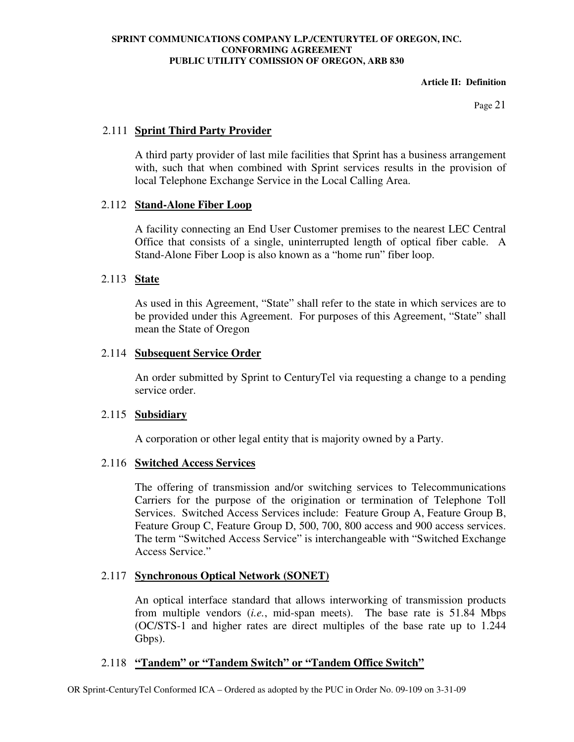#### **Article II: Definition**

Page 21

## 2.111 **Sprint Third Party Provider**

A third party provider of last mile facilities that Sprint has a business arrangement with, such that when combined with Sprint services results in the provision of local Telephone Exchange Service in the Local Calling Area.

## 2.112 **Stand-Alone Fiber Loop**

A facility connecting an End User Customer premises to the nearest LEC Central Office that consists of a single, uninterrupted length of optical fiber cable. A Stand-Alone Fiber Loop is also known as a "home run" fiber loop.

## 2.113 **State**

As used in this Agreement, "State" shall refer to the state in which services are to be provided under this Agreement. For purposes of this Agreement, "State" shall mean the State of Oregon

## 2.114 **Subsequent Service Order**

An order submitted by Sprint to CenturyTel via requesting a change to a pending service order.

## 2.115 **Subsidiary**

A corporation or other legal entity that is majority owned by a Party.

# 2.116 **Switched Access Services**

The offering of transmission and/or switching services to Telecommunications Carriers for the purpose of the origination or termination of Telephone Toll Services. Switched Access Services include: Feature Group A, Feature Group B, Feature Group C, Feature Group D, 500, 700, 800 access and 900 access services. The term "Switched Access Service" is interchangeable with "Switched Exchange Access Service."

# 2.117 **Synchronous Optical Network (SONET)**

An optical interface standard that allows interworking of transmission products from multiple vendors (*i.e.*, mid-span meets). The base rate is 51.84 Mbps (OC/STS-1 and higher rates are direct multiples of the base rate up to 1.244 Gbps).

## 2.118 **"Tandem" or "Tandem Switch" or "Tandem Office Switch"**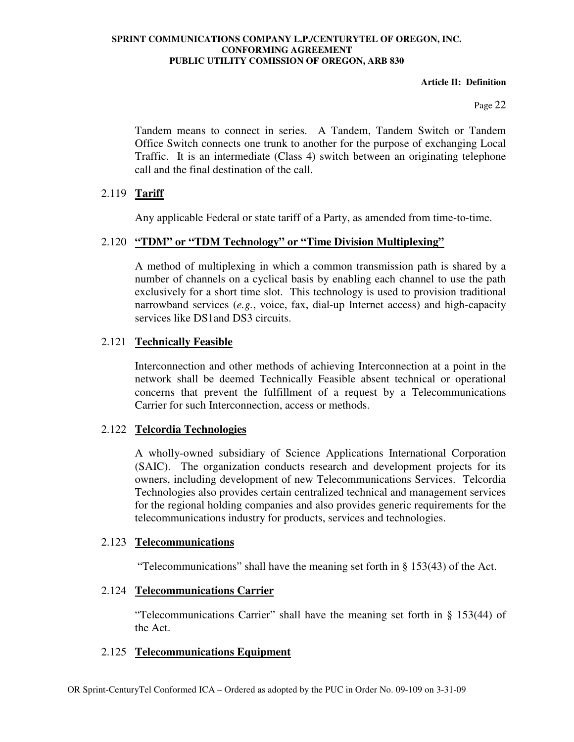#### **Article II: Definition**

Page 22

Tandem means to connect in series. A Tandem, Tandem Switch or Tandem Office Switch connects one trunk to another for the purpose of exchanging Local Traffic. It is an intermediate (Class 4) switch between an originating telephone call and the final destination of the call.

## 2.119 **Tariff**

Any applicable Federal or state tariff of a Party, as amended from time-to-time.

## 2.120 **"TDM" or "TDM Technology" or "Time Division Multiplexing"**

A method of multiplexing in which a common transmission path is shared by a number of channels on a cyclical basis by enabling each channel to use the path exclusively for a short time slot. This technology is used to provision traditional narrowband services (*e.g.*, voice, fax, dial-up Internet access) and high-capacity services like DS1and DS3 circuits.

## 2.121 **Technically Feasible**

Interconnection and other methods of achieving Interconnection at a point in the network shall be deemed Technically Feasible absent technical or operational concerns that prevent the fulfillment of a request by a Telecommunications Carrier for such Interconnection, access or methods.

## 2.122 **Telcordia Technologies**

A wholly-owned subsidiary of Science Applications International Corporation (SAIC). The organization conducts research and development projects for its owners, including development of new Telecommunications Services. Telcordia Technologies also provides certain centralized technical and management services for the regional holding companies and also provides generic requirements for the telecommunications industry for products, services and technologies.

#### 2.123 **Telecommunications**

"Telecommunications" shall have the meaning set forth in § 153(43) of the Act.

## 2.124 **Telecommunications Carrier**

"Telecommunications Carrier" shall have the meaning set forth in § 153(44) of the Act.

## 2.125 **Telecommunications Equipment**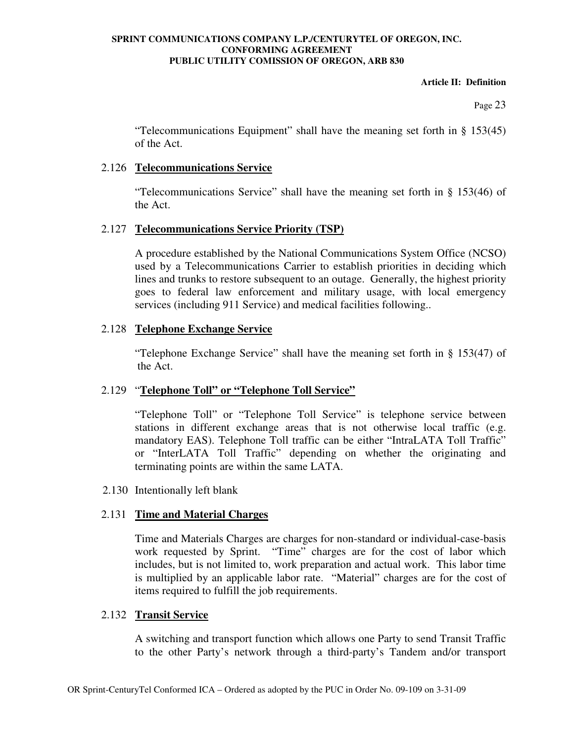#### **Article II: Definition**

Page 23

"Telecommunications Equipment" shall have the meaning set forth in § 153(45) of the Act.

## 2.126 **Telecommunications Service**

"Telecommunications Service" shall have the meaning set forth in § 153(46) of the Act.

## 2.127 **Telecommunications Service Priority (TSP)**

A procedure established by the National Communications System Office (NCSO) used by a Telecommunications Carrier to establish priorities in deciding which lines and trunks to restore subsequent to an outage. Generally, the highest priority goes to federal law enforcement and military usage, with local emergency services (including 911 Service) and medical facilities following..

## 2.128 **Telephone Exchange Service**

"Telephone Exchange Service" shall have the meaning set forth in § 153(47) of the Act.

# 2.129 "**Telephone Toll" or "Telephone Toll Service"**

"Telephone Toll" or "Telephone Toll Service" is telephone service between stations in different exchange areas that is not otherwise local traffic (e.g. mandatory EAS). Telephone Toll traffic can be either "IntraLATA Toll Traffic" or "InterLATA Toll Traffic" depending on whether the originating and terminating points are within the same LATA.

2.130 Intentionally left blank

# 2.131 **Time and Material Charges**

Time and Materials Charges are charges for non-standard or individual-case-basis work requested by Sprint. "Time" charges are for the cost of labor which includes, but is not limited to, work preparation and actual work. This labor time is multiplied by an applicable labor rate. "Material" charges are for the cost of items required to fulfill the job requirements.

## 2.132 **Transit Service**

A switching and transport function which allows one Party to send Transit Traffic to the other Party's network through a third-party's Tandem and/or transport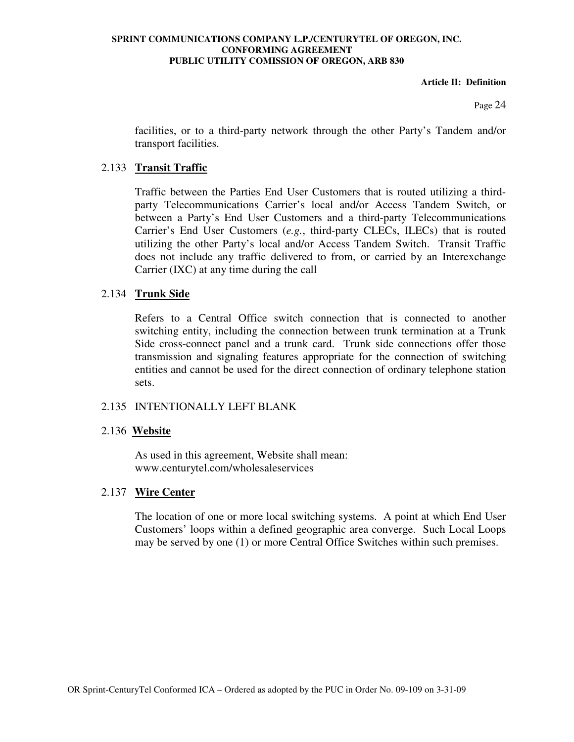**Article II: Definition** 

Page 24

facilities, or to a third-party network through the other Party's Tandem and/or transport facilities.

## 2.133 **Transit Traffic**

Traffic between the Parties End User Customers that is routed utilizing a thirdparty Telecommunications Carrier's local and/or Access Tandem Switch, or between a Party's End User Customers and a third-party Telecommunications Carrier's End User Customers (*e.g.*, third-party CLECs, ILECs) that is routed utilizing the other Party's local and/or Access Tandem Switch. Transit Traffic does not include any traffic delivered to from, or carried by an Interexchange Carrier (IXC) at any time during the call

#### 2.134 **Trunk Side**

Refers to a Central Office switch connection that is connected to another switching entity, including the connection between trunk termination at a Trunk Side cross-connect panel and a trunk card. Trunk side connections offer those transmission and signaling features appropriate for the connection of switching entities and cannot be used for the direct connection of ordinary telephone station sets.

## 2.135 INTENTIONALLY LEFT BLANK

#### 2.136 **Website**

As used in this agreement, Website shall mean: www.centurytel.com/wholesaleservices

## 2.137 **Wire Center**

The location of one or more local switching systems. A point at which End User Customers' loops within a defined geographic area converge. Such Local Loops may be served by one (1) or more Central Office Switches within such premises.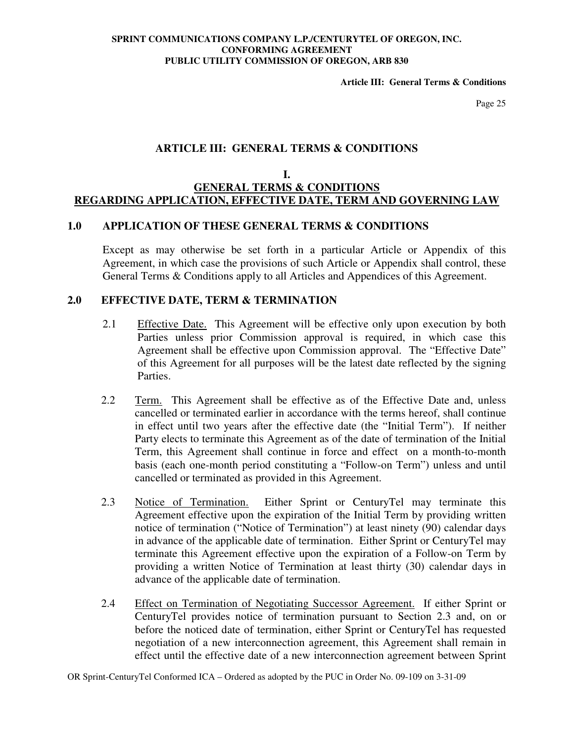**Article III: General Terms & Conditions** 

Page 25

## **ARTICLE III: GENERAL TERMS & CONDITIONS**

#### **I. GENERAL TERMS & CONDITIONS REGARDING APPLICATION, EFFECTIVE DATE, TERM AND GOVERNING LAW**

#### **1.0 APPLICATION OF THESE GENERAL TERMS & CONDITIONS**

Except as may otherwise be set forth in a particular Article or Appendix of this Agreement, in which case the provisions of such Article or Appendix shall control, these General Terms & Conditions apply to all Articles and Appendices of this Agreement.

### **2.0 EFFECTIVE DATE, TERM & TERMINATION**

- 2.1 Effective Date. This Agreement will be effective only upon execution by both Parties unless prior Commission approval is required, in which case this Agreement shall be effective upon Commission approval. The "Effective Date" of this Agreement for all purposes will be the latest date reflected by the signing Parties.
- 2.2 Term. This Agreement shall be effective as of the Effective Date and, unless cancelled or terminated earlier in accordance with the terms hereof, shall continue in effect until two years after the effective date (the "Initial Term"). If neither Party elects to terminate this Agreement as of the date of termination of the Initial Term, this Agreement shall continue in force and effect on a month-to-month basis (each one-month period constituting a "Follow-on Term") unless and until cancelled or terminated as provided in this Agreement.
- 2.3 Notice of Termination. Either Sprint or CenturyTel may terminate this Agreement effective upon the expiration of the Initial Term by providing written notice of termination ("Notice of Termination") at least ninety (90) calendar days in advance of the applicable date of termination. Either Sprint or CenturyTel may terminate this Agreement effective upon the expiration of a Follow-on Term by providing a written Notice of Termination at least thirty (30) calendar days in advance of the applicable date of termination.
- 2.4 Effect on Termination of Negotiating Successor Agreement. If either Sprint or CenturyTel provides notice of termination pursuant to Section 2.3 and, on or before the noticed date of termination, either Sprint or CenturyTel has requested negotiation of a new interconnection agreement, this Agreement shall remain in effect until the effective date of a new interconnection agreement between Sprint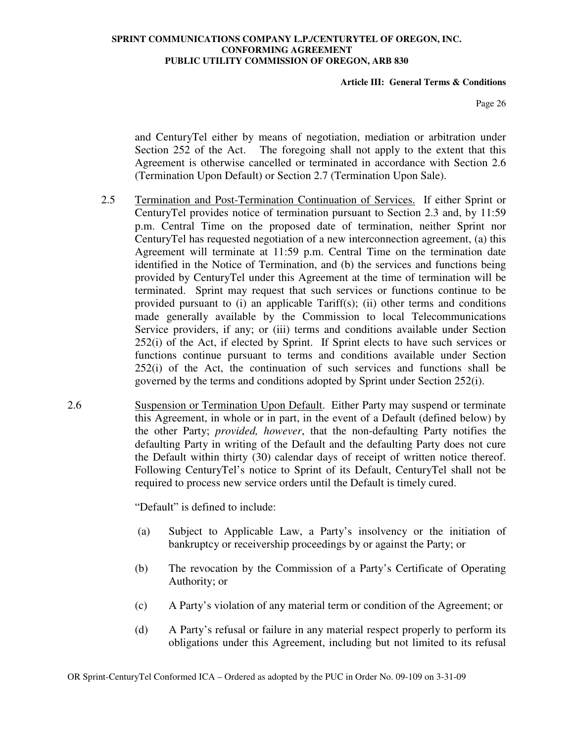#### **Article III: General Terms & Conditions**

Page 26

and CenturyTel either by means of negotiation, mediation or arbitration under Section 252 of the Act. The foregoing shall not apply to the extent that this Agreement is otherwise cancelled or terminated in accordance with Section 2.6 (Termination Upon Default) or Section 2.7 (Termination Upon Sale).

- 2.5 Termination and Post-Termination Continuation of Services. If either Sprint or CenturyTel provides notice of termination pursuant to Section 2.3 and, by 11:59 p.m. Central Time on the proposed date of termination, neither Sprint nor CenturyTel has requested negotiation of a new interconnection agreement, (a) this Agreement will terminate at 11:59 p.m. Central Time on the termination date identified in the Notice of Termination, and (b) the services and functions being provided by CenturyTel under this Agreement at the time of termination will be terminated. Sprint may request that such services or functions continue to be provided pursuant to (i) an applicable Tariff(s); (ii) other terms and conditions made generally available by the Commission to local Telecommunications Service providers, if any; or (iii) terms and conditions available under Section 252(i) of the Act, if elected by Sprint. If Sprint elects to have such services or functions continue pursuant to terms and conditions available under Section 252(i) of the Act, the continuation of such services and functions shall be governed by the terms and conditions adopted by Sprint under Section 252(i).
- 2.6 Suspension or Termination Upon Default. Either Party may suspend or terminate this Agreement, in whole or in part, in the event of a Default (defined below) by the other Party; *provided, however*, that the non-defaulting Party notifies the defaulting Party in writing of the Default and the defaulting Party does not cure the Default within thirty (30) calendar days of receipt of written notice thereof. Following CenturyTel's notice to Sprint of its Default, CenturyTel shall not be required to process new service orders until the Default is timely cured.

"Default" is defined to include:

- (a) Subject to Applicable Law, a Party's insolvency or the initiation of bankruptcy or receivership proceedings by or against the Party; or
- (b) The revocation by the Commission of a Party's Certificate of Operating Authority; or
- (c) A Party's violation of any material term or condition of the Agreement; or
- (d) A Party's refusal or failure in any material respect properly to perform its obligations under this Agreement, including but not limited to its refusal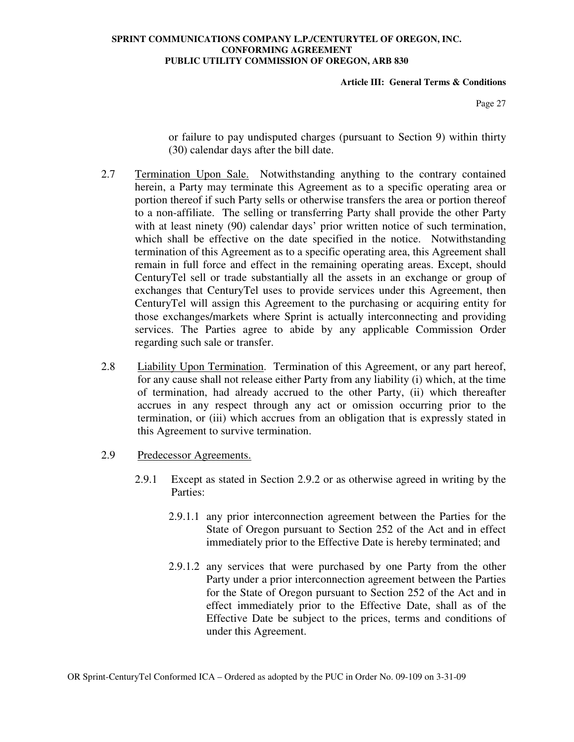#### **Article III: General Terms & Conditions**

Page 27

or failure to pay undisputed charges (pursuant to Section 9) within thirty (30) calendar days after the bill date.

- 2.7 Termination Upon Sale. Notwithstanding anything to the contrary contained herein, a Party may terminate this Agreement as to a specific operating area or portion thereof if such Party sells or otherwise transfers the area or portion thereof to a non-affiliate. The selling or transferring Party shall provide the other Party with at least ninety (90) calendar days' prior written notice of such termination, which shall be effective on the date specified in the notice. Notwithstanding termination of this Agreement as to a specific operating area, this Agreement shall remain in full force and effect in the remaining operating areas. Except, should CenturyTel sell or trade substantially all the assets in an exchange or group of exchanges that CenturyTel uses to provide services under this Agreement, then CenturyTel will assign this Agreement to the purchasing or acquiring entity for those exchanges/markets where Sprint is actually interconnecting and providing services. The Parties agree to abide by any applicable Commission Order regarding such sale or transfer.
- 2.8 Liability Upon Termination. Termination of this Agreement, or any part hereof, for any cause shall not release either Party from any liability (i) which, at the time of termination, had already accrued to the other Party, (ii) which thereafter accrues in any respect through any act or omission occurring prior to the termination, or (iii) which accrues from an obligation that is expressly stated in this Agreement to survive termination.
- 2.9 Predecessor Agreements.
	- 2.9.1 Except as stated in Section 2.9.2 or as otherwise agreed in writing by the Parties:
		- 2.9.1.1 any prior interconnection agreement between the Parties for the State of Oregon pursuant to Section 252 of the Act and in effect immediately prior to the Effective Date is hereby terminated; and
		- 2.9.1.2 any services that were purchased by one Party from the other Party under a prior interconnection agreement between the Parties for the State of Oregon pursuant to Section 252 of the Act and in effect immediately prior to the Effective Date, shall as of the Effective Date be subject to the prices, terms and conditions of under this Agreement.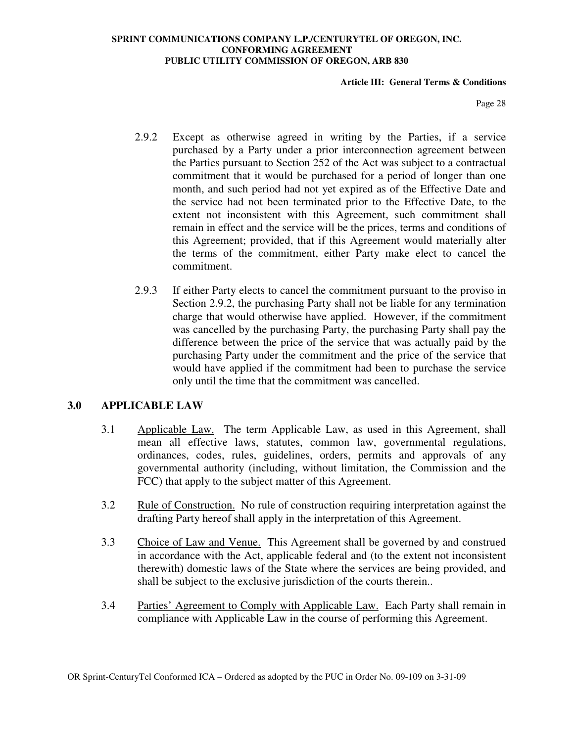#### **Article III: General Terms & Conditions**

Page 28

- 2.9.2 Except as otherwise agreed in writing by the Parties, if a service purchased by a Party under a prior interconnection agreement between the Parties pursuant to Section 252 of the Act was subject to a contractual commitment that it would be purchased for a period of longer than one month, and such period had not yet expired as of the Effective Date and the service had not been terminated prior to the Effective Date, to the extent not inconsistent with this Agreement, such commitment shall remain in effect and the service will be the prices, terms and conditions of this Agreement; provided, that if this Agreement would materially alter the terms of the commitment, either Party make elect to cancel the commitment.
- 2.9.3 If either Party elects to cancel the commitment pursuant to the proviso in Section 2.9.2, the purchasing Party shall not be liable for any termination charge that would otherwise have applied. However, if the commitment was cancelled by the purchasing Party, the purchasing Party shall pay the difference between the price of the service that was actually paid by the purchasing Party under the commitment and the price of the service that would have applied if the commitment had been to purchase the service only until the time that the commitment was cancelled.

## **3.0 APPLICABLE LAW**

- 3.1 Applicable Law. The term Applicable Law, as used in this Agreement, shall mean all effective laws, statutes, common law, governmental regulations, ordinances, codes, rules, guidelines, orders, permits and approvals of any governmental authority (including, without limitation, the Commission and the FCC) that apply to the subject matter of this Agreement.
- 3.2 Rule of Construction. No rule of construction requiring interpretation against the drafting Party hereof shall apply in the interpretation of this Agreement.
- 3.3 Choice of Law and Venue. This Agreement shall be governed by and construed in accordance with the Act, applicable federal and (to the extent not inconsistent therewith) domestic laws of the State where the services are being provided, and shall be subject to the exclusive jurisdiction of the courts therein..
- 3.4 Parties' Agreement to Comply with Applicable Law. Each Party shall remain in compliance with Applicable Law in the course of performing this Agreement.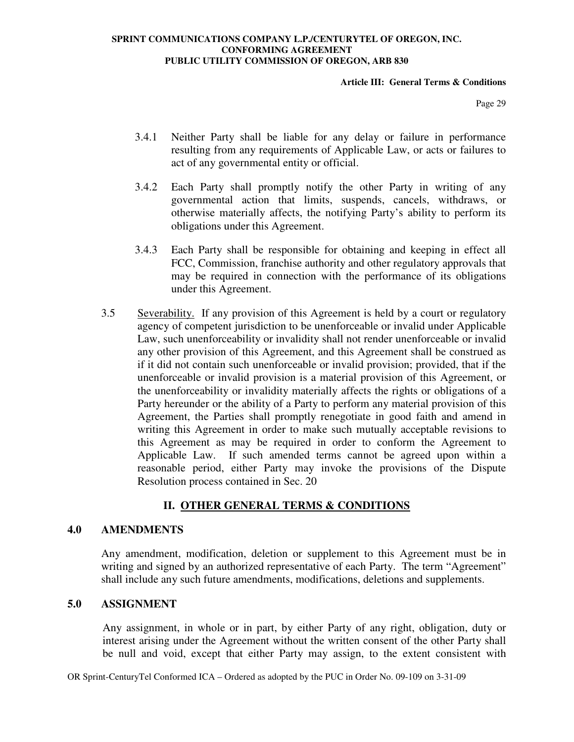#### **Article III: General Terms & Conditions**

Page 29

- 3.4.1 Neither Party shall be liable for any delay or failure in performance resulting from any requirements of Applicable Law, or acts or failures to act of any governmental entity or official.
- 3.4.2 Each Party shall promptly notify the other Party in writing of any governmental action that limits, suspends, cancels, withdraws, or otherwise materially affects, the notifying Party's ability to perform its obligations under this Agreement.
- 3.4.3 Each Party shall be responsible for obtaining and keeping in effect all FCC, Commission, franchise authority and other regulatory approvals that may be required in connection with the performance of its obligations under this Agreement.
- 3.5 Severability. If any provision of this Agreement is held by a court or regulatory agency of competent jurisdiction to be unenforceable or invalid under Applicable Law, such unenforceability or invalidity shall not render unenforceable or invalid any other provision of this Agreement, and this Agreement shall be construed as if it did not contain such unenforceable or invalid provision; provided, that if the unenforceable or invalid provision is a material provision of this Agreement, or the unenforceability or invalidity materially affects the rights or obligations of a Party hereunder or the ability of a Party to perform any material provision of this Agreement, the Parties shall promptly renegotiate in good faith and amend in writing this Agreement in order to make such mutually acceptable revisions to this Agreement as may be required in order to conform the Agreement to Applicable Law. If such amended terms cannot be agreed upon within a reasonable period, either Party may invoke the provisions of the Dispute Resolution process contained in Sec. 20

# **II. OTHER GENERAL TERMS & CONDITIONS**

#### **4.0 AMENDMENTS**

Any amendment, modification, deletion or supplement to this Agreement must be in writing and signed by an authorized representative of each Party. The term "Agreement" shall include any such future amendments, modifications, deletions and supplements.

#### **5.0 ASSIGNMENT**

Any assignment, in whole or in part, by either Party of any right, obligation, duty or interest arising under the Agreement without the written consent of the other Party shall be null and void, except that either Party may assign, to the extent consistent with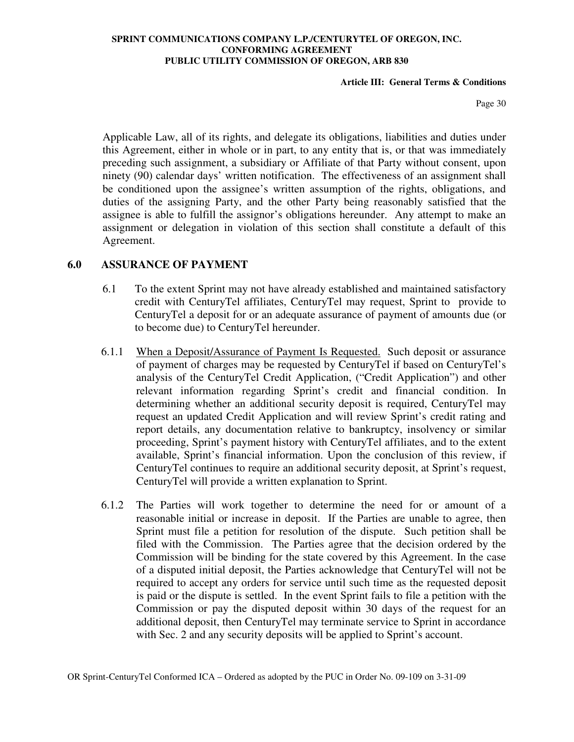#### **Article III: General Terms & Conditions**

Page 30

Applicable Law, all of its rights, and delegate its obligations, liabilities and duties under this Agreement, either in whole or in part, to any entity that is, or that was immediately preceding such assignment, a subsidiary or Affiliate of that Party without consent, upon ninety (90) calendar days' written notification. The effectiveness of an assignment shall be conditioned upon the assignee's written assumption of the rights, obligations, and duties of the assigning Party, and the other Party being reasonably satisfied that the assignee is able to fulfill the assignor's obligations hereunder. Any attempt to make an assignment or delegation in violation of this section shall constitute a default of this Agreement.

## **6.0 ASSURANCE OF PAYMENT**

- 6.1 To the extent Sprint may not have already established and maintained satisfactory credit with CenturyTel affiliates, CenturyTel may request, Sprint to provide to CenturyTel a deposit for or an adequate assurance of payment of amounts due (or to become due) to CenturyTel hereunder.
- 6.1.1 When a Deposit/Assurance of Payment Is Requested. Such deposit or assurance of payment of charges may be requested by CenturyTel if based on CenturyTel's analysis of the CenturyTel Credit Application, ("Credit Application") and other relevant information regarding Sprint's credit and financial condition. In determining whether an additional security deposit is required, CenturyTel may request an updated Credit Application and will review Sprint's credit rating and report details, any documentation relative to bankruptcy, insolvency or similar proceeding, Sprint's payment history with CenturyTel affiliates, and to the extent available, Sprint's financial information. Upon the conclusion of this review, if CenturyTel continues to require an additional security deposit, at Sprint's request, CenturyTel will provide a written explanation to Sprint.
- 6.1.2 The Parties will work together to determine the need for or amount of a reasonable initial or increase in deposit. If the Parties are unable to agree, then Sprint must file a petition for resolution of the dispute. Such petition shall be filed with the Commission. The Parties agree that the decision ordered by the Commission will be binding for the state covered by this Agreement. In the case of a disputed initial deposit, the Parties acknowledge that CenturyTel will not be required to accept any orders for service until such time as the requested deposit is paid or the dispute is settled. In the event Sprint fails to file a petition with the Commission or pay the disputed deposit within 30 days of the request for an additional deposit, then CenturyTel may terminate service to Sprint in accordance with Sec. 2 and any security deposits will be applied to Sprint's account.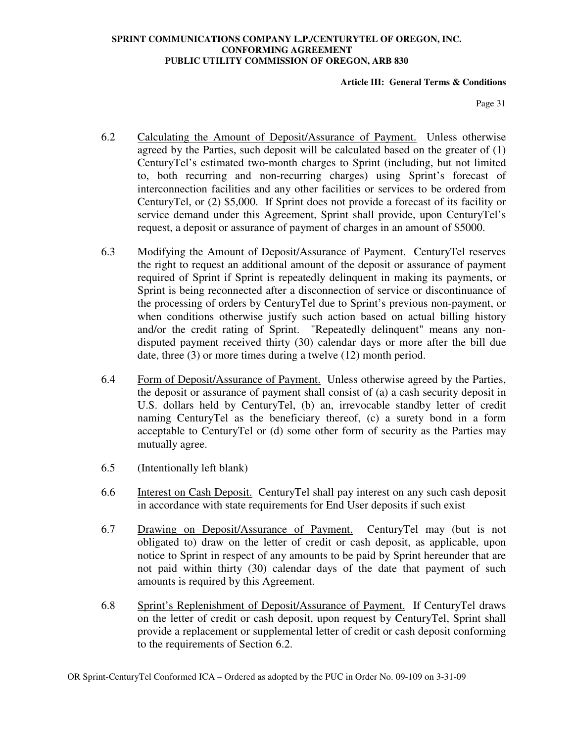### **Article III: General Terms & Conditions**

Page 31

- 6.2 Calculating the Amount of Deposit/Assurance of Payment. Unless otherwise agreed by the Parties, such deposit will be calculated based on the greater of (1) CenturyTel's estimated two-month charges to Sprint (including, but not limited to, both recurring and non-recurring charges) using Sprint's forecast of interconnection facilities and any other facilities or services to be ordered from CenturyTel, or (2) \$5,000. If Sprint does not provide a forecast of its facility or service demand under this Agreement, Sprint shall provide, upon CenturyTel's request, a deposit or assurance of payment of charges in an amount of \$5000.
- 6.3 Modifying the Amount of Deposit/Assurance of Payment. CenturyTel reserves the right to request an additional amount of the deposit or assurance of payment required of Sprint if Sprint is repeatedly delinquent in making its payments, or Sprint is being reconnected after a disconnection of service or discontinuance of the processing of orders by CenturyTel due to Sprint's previous non-payment, or when conditions otherwise justify such action based on actual billing history and/or the credit rating of Sprint. "Repeatedly delinquent" means any nondisputed payment received thirty (30) calendar days or more after the bill due date, three (3) or more times during a twelve (12) month period.
- 6.4 Form of Deposit/Assurance of Payment. Unless otherwise agreed by the Parties, the deposit or assurance of payment shall consist of (a) a cash security deposit in U.S. dollars held by CenturyTel, (b) an, irrevocable standby letter of credit naming CenturyTel as the beneficiary thereof, (c) a surety bond in a form acceptable to CenturyTel or (d) some other form of security as the Parties may mutually agree.
- 6.5 (Intentionally left blank)
- 6.6 Interest on Cash Deposit. CenturyTel shall pay interest on any such cash deposit in accordance with state requirements for End User deposits if such exist
- 6.7 Drawing on Deposit/Assurance of Payment. CenturyTel may (but is not obligated to) draw on the letter of credit or cash deposit, as applicable, upon notice to Sprint in respect of any amounts to be paid by Sprint hereunder that are not paid within thirty (30) calendar days of the date that payment of such amounts is required by this Agreement.
- 6.8 Sprint's Replenishment of Deposit/Assurance of Payment. If CenturyTel draws on the letter of credit or cash deposit, upon request by CenturyTel, Sprint shall provide a replacement or supplemental letter of credit or cash deposit conforming to the requirements of Section 6.2.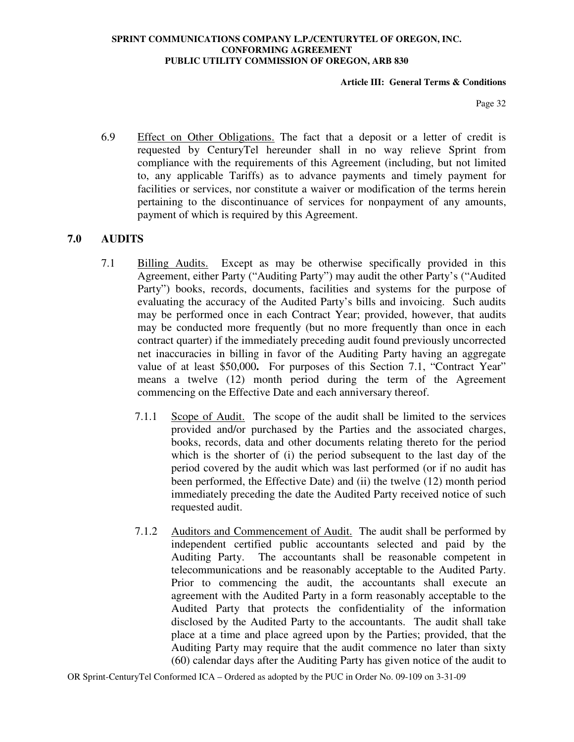### **Article III: General Terms & Conditions**

Page 32

6.9 Effect on Other Obligations. The fact that a deposit or a letter of credit is requested by CenturyTel hereunder shall in no way relieve Sprint from compliance with the requirements of this Agreement (including, but not limited to, any applicable Tariffs) as to advance payments and timely payment for facilities or services, nor constitute a waiver or modification of the terms herein pertaining to the discontinuance of services for nonpayment of any amounts, payment of which is required by this Agreement.

## **7.0 AUDITS**

- 7.1 Billing Audits. Except as may be otherwise specifically provided in this Agreement, either Party ("Auditing Party") may audit the other Party's ("Audited Party") books, records, documents, facilities and systems for the purpose of evaluating the accuracy of the Audited Party's bills and invoicing. Such audits may be performed once in each Contract Year; provided, however, that audits may be conducted more frequently (but no more frequently than once in each contract quarter) if the immediately preceding audit found previously uncorrected net inaccuracies in billing in favor of the Auditing Party having an aggregate value of at least \$50,000**.** For purposes of this Section 7.1, "Contract Year" means a twelve (12) month period during the term of the Agreement commencing on the Effective Date and each anniversary thereof.
	- 7.1.1 Scope of Audit. The scope of the audit shall be limited to the services provided and/or purchased by the Parties and the associated charges, books, records, data and other documents relating thereto for the period which is the shorter of (i) the period subsequent to the last day of the period covered by the audit which was last performed (or if no audit has been performed, the Effective Date) and (ii) the twelve (12) month period immediately preceding the date the Audited Party received notice of such requested audit.
	- 7.1.2 Auditors and Commencement of Audit. The audit shall be performed by independent certified public accountants selected and paid by the Auditing Party. The accountants shall be reasonable competent in telecommunications and be reasonably acceptable to the Audited Party. Prior to commencing the audit, the accountants shall execute an agreement with the Audited Party in a form reasonably acceptable to the Audited Party that protects the confidentiality of the information disclosed by the Audited Party to the accountants. The audit shall take place at a time and place agreed upon by the Parties; provided, that the Auditing Party may require that the audit commence no later than sixty (60) calendar days after the Auditing Party has given notice of the audit to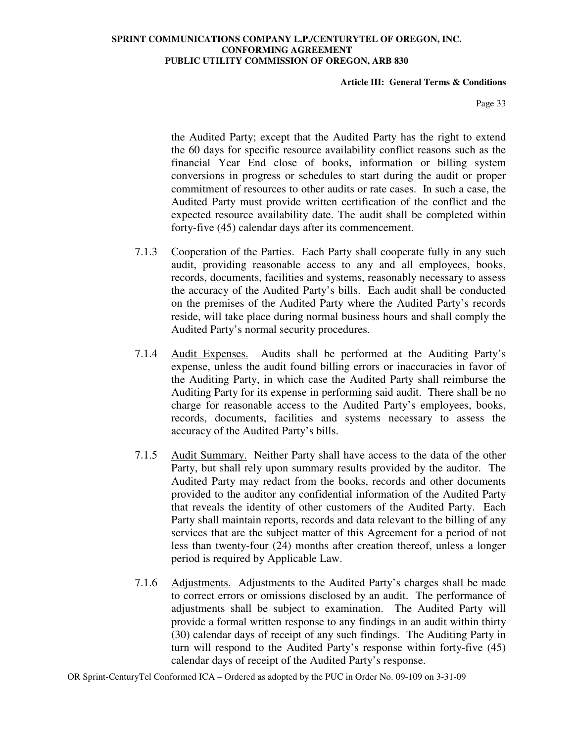### **Article III: General Terms & Conditions**

Page 33

the Audited Party; except that the Audited Party has the right to extend the 60 days for specific resource availability conflict reasons such as the financial Year End close of books, information or billing system conversions in progress or schedules to start during the audit or proper commitment of resources to other audits or rate cases. In such a case, the Audited Party must provide written certification of the conflict and the expected resource availability date. The audit shall be completed within forty-five (45) calendar days after its commencement.

- 7.1.3 Cooperation of the Parties. Each Party shall cooperate fully in any such audit, providing reasonable access to any and all employees, books, records, documents, facilities and systems, reasonably necessary to assess the accuracy of the Audited Party's bills. Each audit shall be conducted on the premises of the Audited Party where the Audited Party's records reside, will take place during normal business hours and shall comply the Audited Party's normal security procedures.
- 7.1.4 Audit Expenses. Audits shall be performed at the Auditing Party's expense, unless the audit found billing errors or inaccuracies in favor of the Auditing Party, in which case the Audited Party shall reimburse the Auditing Party for its expense in performing said audit. There shall be no charge for reasonable access to the Audited Party's employees, books, records, documents, facilities and systems necessary to assess the accuracy of the Audited Party's bills.
- 7.1.5 Audit Summary. Neither Party shall have access to the data of the other Party, but shall rely upon summary results provided by the auditor. The Audited Party may redact from the books, records and other documents provided to the auditor any confidential information of the Audited Party that reveals the identity of other customers of the Audited Party. Each Party shall maintain reports, records and data relevant to the billing of any services that are the subject matter of this Agreement for a period of not less than twenty-four (24) months after creation thereof, unless a longer period is required by Applicable Law.
- 7.1.6 Adjustments. Adjustments to the Audited Party's charges shall be made to correct errors or omissions disclosed by an audit. The performance of adjustments shall be subject to examination. The Audited Party will provide a formal written response to any findings in an audit within thirty (30) calendar days of receipt of any such findings. The Auditing Party in turn will respond to the Audited Party's response within forty-five (45) calendar days of receipt of the Audited Party's response.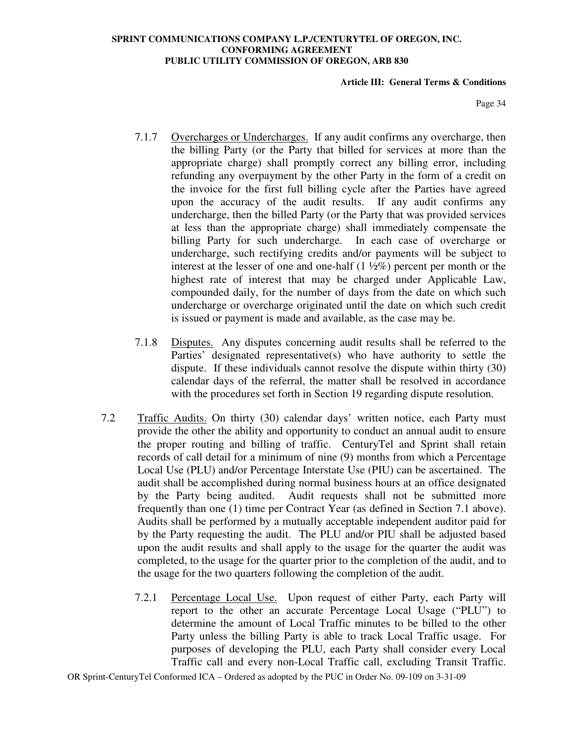### **Article III: General Terms & Conditions**

Page 34

- 7.1.7 Overcharges or Undercharges. If any audit confirms any overcharge, then the billing Party (or the Party that billed for services at more than the appropriate charge) shall promptly correct any billing error, including refunding any overpayment by the other Party in the form of a credit on the invoice for the first full billing cycle after the Parties have agreed upon the accuracy of the audit results. If any audit confirms any undercharge, then the billed Party (or the Party that was provided services at less than the appropriate charge) shall immediately compensate the billing Party for such undercharge. In each case of overcharge or undercharge, such rectifying credits and/or payments will be subject to interest at the lesser of one and one-half  $(1 \frac{1}{2}\%)$  percent per month or the highest rate of interest that may be charged under Applicable Law, compounded daily, for the number of days from the date on which such undercharge or overcharge originated until the date on which such credit is issued or payment is made and available, as the case may be.
- 7.1.8 Disputes. Any disputes concerning audit results shall be referred to the Parties' designated representative(s) who have authority to settle the dispute. If these individuals cannot resolve the dispute within thirty (30) calendar days of the referral, the matter shall be resolved in accordance with the procedures set forth in Section 19 regarding dispute resolution.
- 7.2 Traffic Audits. On thirty (30) calendar days' written notice, each Party must provide the other the ability and opportunity to conduct an annual audit to ensure the proper routing and billing of traffic. CenturyTel and Sprint shall retain records of call detail for a minimum of nine (9) months from which a Percentage Local Use (PLU) and/or Percentage Interstate Use (PIU) can be ascertained. The audit shall be accomplished during normal business hours at an office designated by the Party being audited. Audit requests shall not be submitted more frequently than one (1) time per Contract Year (as defined in Section 7.1 above). Audits shall be performed by a mutually acceptable independent auditor paid for by the Party requesting the audit. The PLU and/or PIU shall be adjusted based upon the audit results and shall apply to the usage for the quarter the audit was completed, to the usage for the quarter prior to the completion of the audit, and to the usage for the two quarters following the completion of the audit.
	- 7.2.1 Percentage Local Use. Upon request of either Party, each Party will report to the other an accurate Percentage Local Usage ("PLU") to determine the amount of Local Traffic minutes to be billed to the other Party unless the billing Party is able to track Local Traffic usage. For purposes of developing the PLU, each Party shall consider every Local Traffic call and every non-Local Traffic call, excluding Transit Traffic.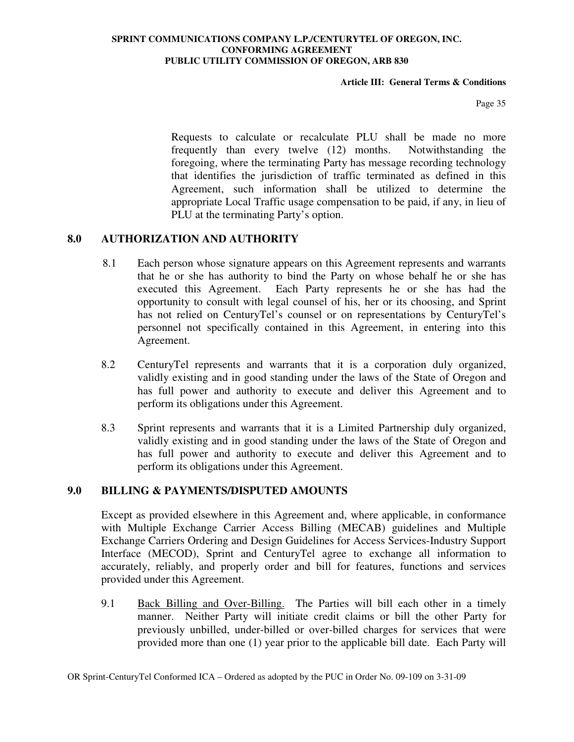### **Article III: General Terms & Conditions**

Page 35

Requests to calculate or recalculate PLU shall be made no more frequently than every twelve (12) months. Notwithstanding the foregoing, where the terminating Party has message recording technology that identifies the jurisdiction of traffic terminated as defined in this Agreement, such information shall be utilized to determine the appropriate Local Traffic usage compensation to be paid, if any, in lieu of PLU at the terminating Party's option.

## **8.0 AUTHORIZATION AND AUTHORITY**

- 8.1 Each person whose signature appears on this Agreement represents and warrants that he or she has authority to bind the Party on whose behalf he or she has executed this Agreement. Each Party represents he or she has had the opportunity to consult with legal counsel of his, her or its choosing, and Sprint has not relied on CenturyTel's counsel or on representations by CenturyTel's personnel not specifically contained in this Agreement, in entering into this Agreement.
- 8.2 CenturyTel represents and warrants that it is a corporation duly organized, validly existing and in good standing under the laws of the State of Oregon and has full power and authority to execute and deliver this Agreement and to perform its obligations under this Agreement.
- 8.3 Sprint represents and warrants that it is a Limited Partnership duly organized, validly existing and in good standing under the laws of the State of Oregon and has full power and authority to execute and deliver this Agreement and to perform its obligations under this Agreement.

## **9.0 BILLING & PAYMENTS/DISPUTED AMOUNTS**

Except as provided elsewhere in this Agreement and, where applicable, in conformance with Multiple Exchange Carrier Access Billing (MECAB) guidelines and Multiple Exchange Carriers Ordering and Design Guidelines for Access Services-Industry Support Interface (MECOD), Sprint and CenturyTel agree to exchange all information to accurately, reliably, and properly order and bill for features, functions and services provided under this Agreement.

9.1 Back Billing and Over-Billing. The Parties will bill each other in a timely manner. Neither Party will initiate credit claims or bill the other Party for previously unbilled, under-billed or over-billed charges for services that were provided more than one (1) year prior to the applicable bill date. Each Party will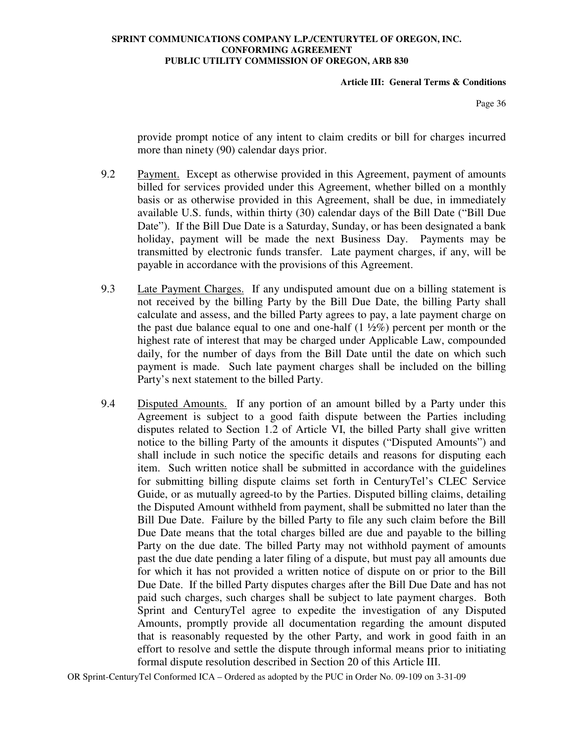### **Article III: General Terms & Conditions**

Page 36

provide prompt notice of any intent to claim credits or bill for charges incurred more than ninety (90) calendar days prior.

- 9.2 Payment. Except as otherwise provided in this Agreement, payment of amounts billed for services provided under this Agreement, whether billed on a monthly basis or as otherwise provided in this Agreement, shall be due, in immediately available U.S. funds, within thirty (30) calendar days of the Bill Date ("Bill Due Date"). If the Bill Due Date is a Saturday, Sunday, or has been designated a bank holiday, payment will be made the next Business Day. Payments may be transmitted by electronic funds transfer. Late payment charges, if any, will be payable in accordance with the provisions of this Agreement.
- 9.3 Late Payment Charges. If any undisputed amount due on a billing statement is not received by the billing Party by the Bill Due Date, the billing Party shall calculate and assess, and the billed Party agrees to pay, a late payment charge on the past due balance equal to one and one-half  $(1 \frac{1}{2}\%)$  percent per month or the highest rate of interest that may be charged under Applicable Law, compounded daily, for the number of days from the Bill Date until the date on which such payment is made. Such late payment charges shall be included on the billing Party's next statement to the billed Party.
- 9.4 Disputed Amounts. If any portion of an amount billed by a Party under this Agreement is subject to a good faith dispute between the Parties including disputes related to Section 1.2 of Article VI, the billed Party shall give written notice to the billing Party of the amounts it disputes ("Disputed Amounts") and shall include in such notice the specific details and reasons for disputing each item. Such written notice shall be submitted in accordance with the guidelines for submitting billing dispute claims set forth in CenturyTel's CLEC Service Guide, or as mutually agreed-to by the Parties. Disputed billing claims, detailing the Disputed Amount withheld from payment, shall be submitted no later than the Bill Due Date. Failure by the billed Party to file any such claim before the Bill Due Date means that the total charges billed are due and payable to the billing Party on the due date. The billed Party may not withhold payment of amounts past the due date pending a later filing of a dispute, but must pay all amounts due for which it has not provided a written notice of dispute on or prior to the Bill Due Date. If the billed Party disputes charges after the Bill Due Date and has not paid such charges, such charges shall be subject to late payment charges. Both Sprint and CenturyTel agree to expedite the investigation of any Disputed Amounts, promptly provide all documentation regarding the amount disputed that is reasonably requested by the other Party, and work in good faith in an effort to resolve and settle the dispute through informal means prior to initiating formal dispute resolution described in Section 20 of this Article III.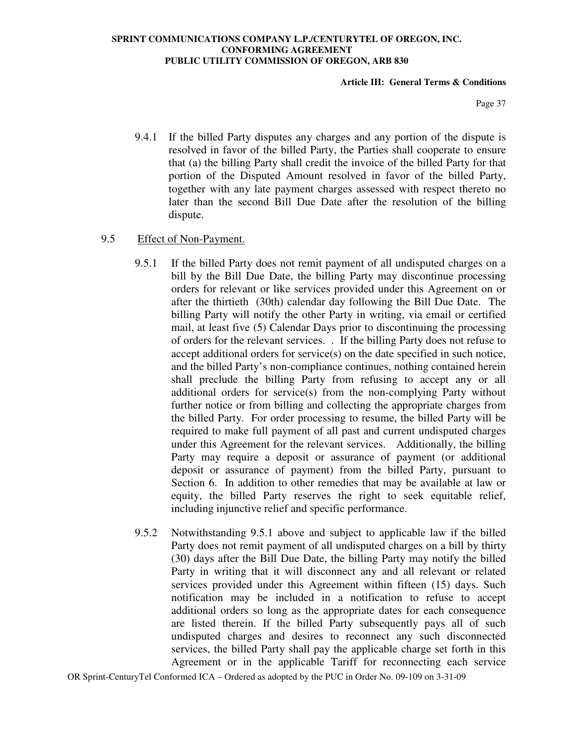#### **Article III: General Terms & Conditions**

Page 37

9.4.1 If the billed Party disputes any charges and any portion of the dispute is resolved in favor of the billed Party, the Parties shall cooperate to ensure that (a) the billing Party shall credit the invoice of the billed Party for that portion of the Disputed Amount resolved in favor of the billed Party, together with any late payment charges assessed with respect thereto no later than the second Bill Due Date after the resolution of the billing dispute.

## 9.5 Effect of Non-Payment.

- 9.5.1 If the billed Party does not remit payment of all undisputed charges on a bill by the Bill Due Date, the billing Party may discontinue processing orders for relevant or like services provided under this Agreement on or after the thirtieth (30th) calendar day following the Bill Due Date. The billing Party will notify the other Party in writing, via email or certified mail, at least five (5) Calendar Days prior to discontinuing the processing of orders for the relevant services. . If the billing Party does not refuse to accept additional orders for service(s) on the date specified in such notice, and the billed Party's non-compliance continues, nothing contained herein shall preclude the billing Party from refusing to accept any or all additional orders for service(s) from the non-complying Party without further notice or from billing and collecting the appropriate charges from the billed Party. For order processing to resume, the billed Party will be required to make full payment of all past and current undisputed charges under this Agreement for the relevant services. Additionally, the billing Party may require a deposit or assurance of payment (or additional deposit or assurance of payment) from the billed Party, pursuant to Section 6. In addition to other remedies that may be available at law or equity, the billed Party reserves the right to seek equitable relief, including injunctive relief and specific performance.
- 9.5.2 Notwithstanding 9.5.1 above and subject to applicable law if the billed Party does not remit payment of all undisputed charges on a bill by thirty (30) days after the Bill Due Date, the billing Party may notify the billed Party in writing that it will disconnect any and all relevant or related services provided under this Agreement within fifteen (15) days. Such notification may be included in a notification to refuse to accept additional orders so long as the appropriate dates for each consequence are listed therein. If the billed Party subsequently pays all of such undisputed charges and desires to reconnect any such disconnected services, the billed Party shall pay the applicable charge set forth in this Agreement or in the applicable Tariff for reconnecting each service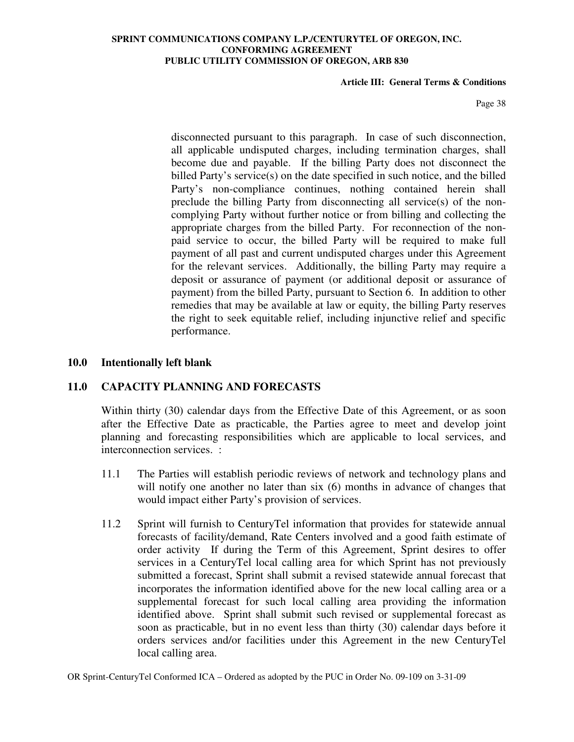### **Article III: General Terms & Conditions**

Page 38

disconnected pursuant to this paragraph. In case of such disconnection, all applicable undisputed charges, including termination charges, shall become due and payable. If the billing Party does not disconnect the billed Party's service(s) on the date specified in such notice, and the billed Party's non-compliance continues, nothing contained herein shall preclude the billing Party from disconnecting all service(s) of the noncomplying Party without further notice or from billing and collecting the appropriate charges from the billed Party. For reconnection of the nonpaid service to occur, the billed Party will be required to make full payment of all past and current undisputed charges under this Agreement for the relevant services. Additionally, the billing Party may require a deposit or assurance of payment (or additional deposit or assurance of payment) from the billed Party, pursuant to Section 6. In addition to other remedies that may be available at law or equity, the billing Party reserves the right to seek equitable relief, including injunctive relief and specific performance.

## **10.0 Intentionally left blank**

## **11.0 CAPACITY PLANNING AND FORECASTS**

Within thirty (30) calendar days from the Effective Date of this Agreement, or as soon after the Effective Date as practicable, the Parties agree to meet and develop joint planning and forecasting responsibilities which are applicable to local services, and interconnection services. :

- 11.1 The Parties will establish periodic reviews of network and technology plans and will notify one another no later than six (6) months in advance of changes that would impact either Party's provision of services.
- 11.2 Sprint will furnish to CenturyTel information that provides for statewide annual forecasts of facility/demand, Rate Centers involved and a good faith estimate of order activity If during the Term of this Agreement, Sprint desires to offer services in a CenturyTel local calling area for which Sprint has not previously submitted a forecast, Sprint shall submit a revised statewide annual forecast that incorporates the information identified above for the new local calling area or a supplemental forecast for such local calling area providing the information identified above. Sprint shall submit such revised or supplemental forecast as soon as practicable, but in no event less than thirty (30) calendar days before it orders services and/or facilities under this Agreement in the new CenturyTel local calling area.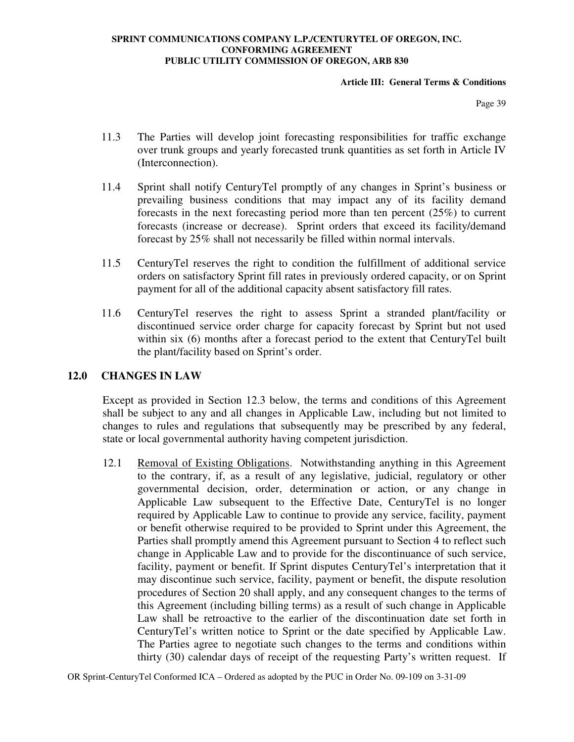### **Article III: General Terms & Conditions**

Page 39

- 11.3 The Parties will develop joint forecasting responsibilities for traffic exchange over trunk groups and yearly forecasted trunk quantities as set forth in Article IV (Interconnection).
- 11.4 Sprint shall notify CenturyTel promptly of any changes in Sprint's business or prevailing business conditions that may impact any of its facility demand forecasts in the next forecasting period more than ten percent (25%) to current forecasts (increase or decrease). Sprint orders that exceed its facility/demand forecast by 25% shall not necessarily be filled within normal intervals.
- 11.5 CenturyTel reserves the right to condition the fulfillment of additional service orders on satisfactory Sprint fill rates in previously ordered capacity, or on Sprint payment for all of the additional capacity absent satisfactory fill rates.
- 11.6 CenturyTel reserves the right to assess Sprint a stranded plant/facility or discontinued service order charge for capacity forecast by Sprint but not used within six (6) months after a forecast period to the extent that CenturyTel built the plant/facility based on Sprint's order.

## **12.0 CHANGES IN LAW**

Except as provided in Section 12.3 below, the terms and conditions of this Agreement shall be subject to any and all changes in Applicable Law, including but not limited to changes to rules and regulations that subsequently may be prescribed by any federal, state or local governmental authority having competent jurisdiction.

12.1 Removal of Existing Obligations. Notwithstanding anything in this Agreement to the contrary, if, as a result of any legislative, judicial, regulatory or other governmental decision, order, determination or action, or any change in Applicable Law subsequent to the Effective Date, CenturyTel is no longer required by Applicable Law to continue to provide any service, facility, payment or benefit otherwise required to be provided to Sprint under this Agreement, the Parties shall promptly amend this Agreement pursuant to Section 4 to reflect such change in Applicable Law and to provide for the discontinuance of such service, facility, payment or benefit. If Sprint disputes CenturyTel's interpretation that it may discontinue such service, facility, payment or benefit, the dispute resolution procedures of Section 20 shall apply, and any consequent changes to the terms of this Agreement (including billing terms) as a result of such change in Applicable Law shall be retroactive to the earlier of the discontinuation date set forth in CenturyTel's written notice to Sprint or the date specified by Applicable Law. The Parties agree to negotiate such changes to the terms and conditions within thirty (30) calendar days of receipt of the requesting Party's written request. If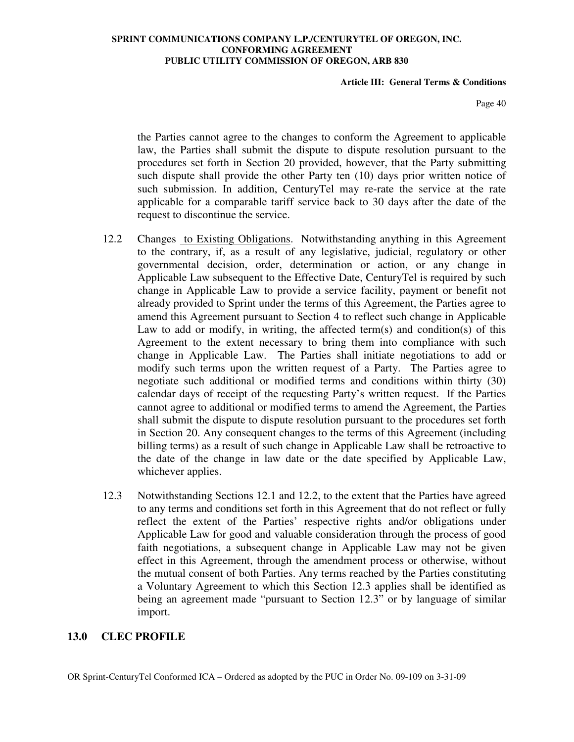### **Article III: General Terms & Conditions**

Page 40

the Parties cannot agree to the changes to conform the Agreement to applicable law, the Parties shall submit the dispute to dispute resolution pursuant to the procedures set forth in Section 20 provided, however, that the Party submitting such dispute shall provide the other Party ten (10) days prior written notice of such submission. In addition, CenturyTel may re-rate the service at the rate applicable for a comparable tariff service back to 30 days after the date of the request to discontinue the service.

- 12.2 Changes to Existing Obligations. Notwithstanding anything in this Agreement to the contrary, if, as a result of any legislative, judicial, regulatory or other governmental decision, order, determination or action, or any change in Applicable Law subsequent to the Effective Date, CenturyTel is required by such change in Applicable Law to provide a service facility, payment or benefit not already provided to Sprint under the terms of this Agreement, the Parties agree to amend this Agreement pursuant to Section 4 to reflect such change in Applicable Law to add or modify, in writing, the affected term(s) and condition(s) of this Agreement to the extent necessary to bring them into compliance with such change in Applicable Law. The Parties shall initiate negotiations to add or modify such terms upon the written request of a Party. The Parties agree to negotiate such additional or modified terms and conditions within thirty (30) calendar days of receipt of the requesting Party's written request. If the Parties cannot agree to additional or modified terms to amend the Agreement, the Parties shall submit the dispute to dispute resolution pursuant to the procedures set forth in Section 20. Any consequent changes to the terms of this Agreement (including billing terms) as a result of such change in Applicable Law shall be retroactive to the date of the change in law date or the date specified by Applicable Law, whichever applies.
- 12.3 Notwithstanding Sections 12.1 and 12.2, to the extent that the Parties have agreed to any terms and conditions set forth in this Agreement that do not reflect or fully reflect the extent of the Parties' respective rights and/or obligations under Applicable Law for good and valuable consideration through the process of good faith negotiations, a subsequent change in Applicable Law may not be given effect in this Agreement, through the amendment process or otherwise, without the mutual consent of both Parties. Any terms reached by the Parties constituting a Voluntary Agreement to which this Section 12.3 applies shall be identified as being an agreement made "pursuant to Section 12.3" or by language of similar import.

## **13.0 CLEC PROFILE**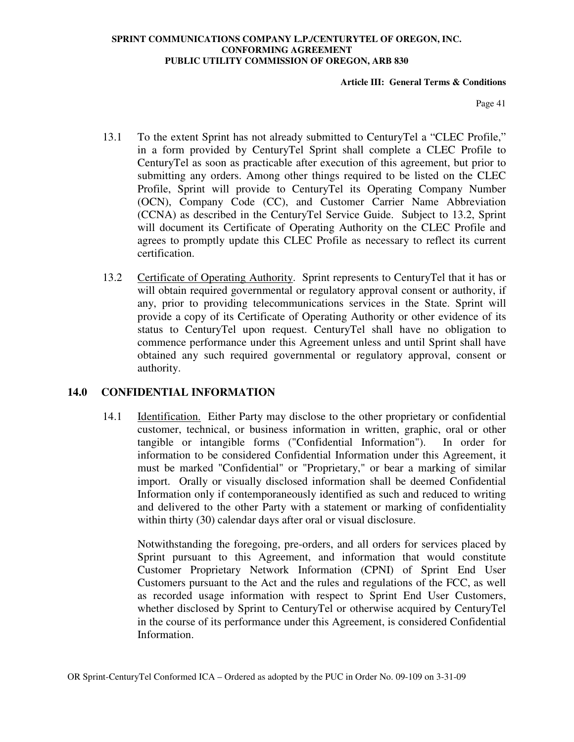### **Article III: General Terms & Conditions**

Page 41

- 13.1 To the extent Sprint has not already submitted to CenturyTel a "CLEC Profile," in a form provided by CenturyTel Sprint shall complete a CLEC Profile to CenturyTel as soon as practicable after execution of this agreement, but prior to submitting any orders. Among other things required to be listed on the CLEC Profile, Sprint will provide to CenturyTel its Operating Company Number (OCN), Company Code (CC), and Customer Carrier Name Abbreviation (CCNA) as described in the CenturyTel Service Guide. Subject to 13.2, Sprint will document its Certificate of Operating Authority on the CLEC Profile and agrees to promptly update this CLEC Profile as necessary to reflect its current certification.
- 13.2 Certificate of Operating Authority. Sprint represents to CenturyTel that it has or will obtain required governmental or regulatory approval consent or authority, if any, prior to providing telecommunications services in the State. Sprint will provide a copy of its Certificate of Operating Authority or other evidence of its status to CenturyTel upon request. CenturyTel shall have no obligation to commence performance under this Agreement unless and until Sprint shall have obtained any such required governmental or regulatory approval, consent or authority.

## **14.0 CONFIDENTIAL INFORMATION**

14.1 Identification. Either Party may disclose to the other proprietary or confidential customer, technical, or business information in written, graphic, oral or other tangible or intangible forms ("Confidential Information"). In order for information to be considered Confidential Information under this Agreement, it must be marked "Confidential" or "Proprietary," or bear a marking of similar import. Orally or visually disclosed information shall be deemed Confidential Information only if contemporaneously identified as such and reduced to writing and delivered to the other Party with a statement or marking of confidentiality within thirty (30) calendar days after oral or visual disclosure.

Notwithstanding the foregoing, pre-orders, and all orders for services placed by Sprint pursuant to this Agreement, and information that would constitute Customer Proprietary Network Information (CPNI) of Sprint End User Customers pursuant to the Act and the rules and regulations of the FCC, as well as recorded usage information with respect to Sprint End User Customers, whether disclosed by Sprint to CenturyTel or otherwise acquired by CenturyTel in the course of its performance under this Agreement, is considered Confidential Information.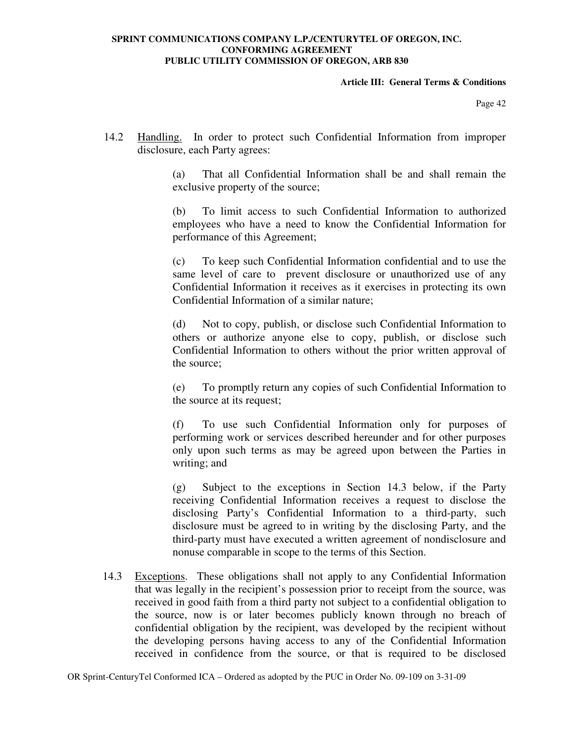### **Article III: General Terms & Conditions**

Page 42

14.2 Handling. In order to protect such Confidential Information from improper disclosure, each Party agrees:

> (a) That all Confidential Information shall be and shall remain the exclusive property of the source;

> (b) To limit access to such Confidential Information to authorized employees who have a need to know the Confidential Information for performance of this Agreement;

> (c) To keep such Confidential Information confidential and to use the same level of care to prevent disclosure or unauthorized use of any Confidential Information it receives as it exercises in protecting its own Confidential Information of a similar nature;

> (d) Not to copy, publish, or disclose such Confidential Information to others or authorize anyone else to copy, publish, or disclose such Confidential Information to others without the prior written approval of the source;

> (e) To promptly return any copies of such Confidential Information to the source at its request;

> (f) To use such Confidential Information only for purposes of performing work or services described hereunder and for other purposes only upon such terms as may be agreed upon between the Parties in writing; and

> (g) Subject to the exceptions in Section 14.3 below, if the Party receiving Confidential Information receives a request to disclose the disclosing Party's Confidential Information to a third-party, such disclosure must be agreed to in writing by the disclosing Party, and the third-party must have executed a written agreement of nondisclosure and nonuse comparable in scope to the terms of this Section.

14.3 Exceptions. These obligations shall not apply to any Confidential Information that was legally in the recipient's possession prior to receipt from the source, was received in good faith from a third party not subject to a confidential obligation to the source, now is or later becomes publicly known through no breach of confidential obligation by the recipient, was developed by the recipient without the developing persons having access to any of the Confidential Information received in confidence from the source, or that is required to be disclosed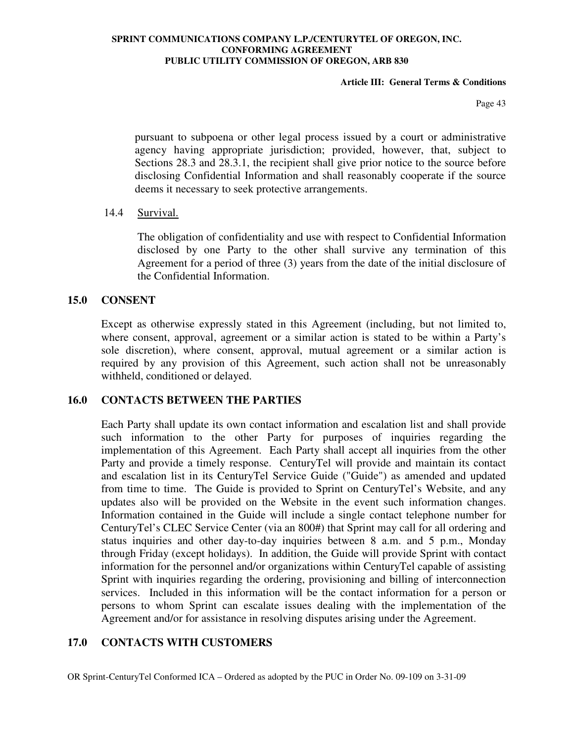### **Article III: General Terms & Conditions**

Page 43

pursuant to subpoena or other legal process issued by a court or administrative agency having appropriate jurisdiction; provided, however, that, subject to Sections 28.3 and 28.3.1, the recipient shall give prior notice to the source before disclosing Confidential Information and shall reasonably cooperate if the source deems it necessary to seek protective arrangements.

## 14.4 Survival.

The obligation of confidentiality and use with respect to Confidential Information disclosed by one Party to the other shall survive any termination of this Agreement for a period of three (3) years from the date of the initial disclosure of the Confidential Information.

## **15.0 CONSENT**

Except as otherwise expressly stated in this Agreement (including, but not limited to, where consent, approval, agreement or a similar action is stated to be within a Party's sole discretion), where consent, approval, mutual agreement or a similar action is required by any provision of this Agreement, such action shall not be unreasonably withheld, conditioned or delayed.

### **16.0 CONTACTS BETWEEN THE PARTIES**

Each Party shall update its own contact information and escalation list and shall provide such information to the other Party for purposes of inquiries regarding the implementation of this Agreement. Each Party shall accept all inquiries from the other Party and provide a timely response. CenturyTel will provide and maintain its contact and escalation list in its CenturyTel Service Guide ("Guide") as amended and updated from time to time. The Guide is provided to Sprint on CenturyTel's Website, and any updates also will be provided on the Website in the event such information changes. Information contained in the Guide will include a single contact telephone number for CenturyTel's CLEC Service Center (via an 800#) that Sprint may call for all ordering and status inquiries and other day-to-day inquiries between 8 a.m. and 5 p.m., Monday through Friday (except holidays). In addition, the Guide will provide Sprint with contact information for the personnel and/or organizations within CenturyTel capable of assisting Sprint with inquiries regarding the ordering, provisioning and billing of interconnection services. Included in this information will be the contact information for a person or persons to whom Sprint can escalate issues dealing with the implementation of the Agreement and/or for assistance in resolving disputes arising under the Agreement.

## **17.0 CONTACTS WITH CUSTOMERS**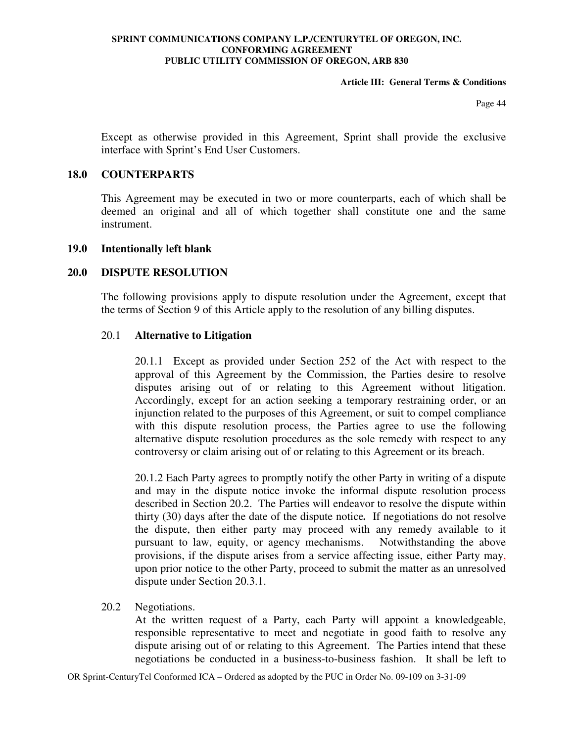### **Article III: General Terms & Conditions**

Page 44

Except as otherwise provided in this Agreement, Sprint shall provide the exclusive interface with Sprint's End User Customers.

### **18.0 COUNTERPARTS**

This Agreement may be executed in two or more counterparts, each of which shall be deemed an original and all of which together shall constitute one and the same instrument.

### **19.0 Intentionally left blank**

## **20.0 DISPUTE RESOLUTION**

The following provisions apply to dispute resolution under the Agreement, except that the terms of Section 9 of this Article apply to the resolution of any billing disputes.

## 20.1 **Alternative to Litigation**

20.1.1 Except as provided under Section 252 of the Act with respect to the approval of this Agreement by the Commission, the Parties desire to resolve disputes arising out of or relating to this Agreement without litigation. Accordingly, except for an action seeking a temporary restraining order, or an injunction related to the purposes of this Agreement, or suit to compel compliance with this dispute resolution process, the Parties agree to use the following alternative dispute resolution procedures as the sole remedy with respect to any controversy or claim arising out of or relating to this Agreement or its breach.

20.1.2 Each Party agrees to promptly notify the other Party in writing of a dispute and may in the dispute notice invoke the informal dispute resolution process described in Section 20.2. The Parties will endeavor to resolve the dispute within thirty (30) days after the date of the dispute notice*.* If negotiations do not resolve the dispute, then either party may proceed with any remedy available to it pursuant to law, equity, or agency mechanisms. Notwithstanding the above provisions, if the dispute arises from a service affecting issue, either Party may, upon prior notice to the other Party, proceed to submit the matter as an unresolved dispute under Section 20.3.1.

### 20.2 Negotiations.

At the written request of a Party, each Party will appoint a knowledgeable, responsible representative to meet and negotiate in good faith to resolve any dispute arising out of or relating to this Agreement. The Parties intend that these negotiations be conducted in a business-to-business fashion. It shall be left to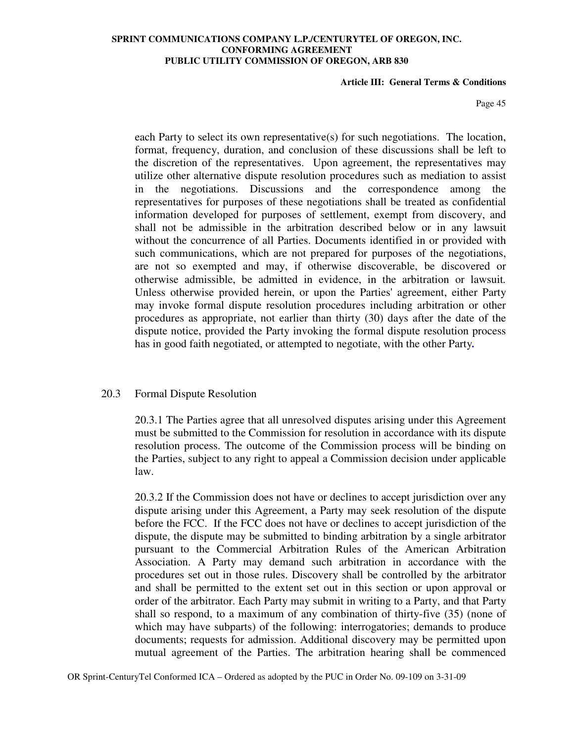#### **Article III: General Terms & Conditions**

Page 45

each Party to select its own representative(s) for such negotiations. The location, format, frequency, duration, and conclusion of these discussions shall be left to the discretion of the representatives. Upon agreement, the representatives may utilize other alternative dispute resolution procedures such as mediation to assist in the negotiations. Discussions and the correspondence among the representatives for purposes of these negotiations shall be treated as confidential information developed for purposes of settlement, exempt from discovery, and shall not be admissible in the arbitration described below or in any lawsuit without the concurrence of all Parties. Documents identified in or provided with such communications, which are not prepared for purposes of the negotiations, are not so exempted and may, if otherwise discoverable, be discovered or otherwise admissible, be admitted in evidence, in the arbitration or lawsuit*.*  Unless otherwise provided herein, or upon the Parties' agreement, either Party may invoke formal dispute resolution procedures including arbitration or other procedures as appropriate, not earlier than thirty (30) days after the date of the dispute notice, provided the Party invoking the formal dispute resolution process has in good faith negotiated, or attempted to negotiate, with the other Party*.*

### 20.3 Formal Dispute Resolution

20.3.1 The Parties agree that all unresolved disputes arising under this Agreement must be submitted to the Commission for resolution in accordance with its dispute resolution process. The outcome of the Commission process will be binding on the Parties, subject to any right to appeal a Commission decision under applicable law.

20.3.2 If the Commission does not have or declines to accept jurisdiction over any dispute arising under this Agreement, a Party may seek resolution of the dispute before the FCC. If the FCC does not have or declines to accept jurisdiction of the dispute, the dispute may be submitted to binding arbitration by a single arbitrator pursuant to the Commercial Arbitration Rules of the American Arbitration Association. A Party may demand such arbitration in accordance with the procedures set out in those rules. Discovery shall be controlled by the arbitrator and shall be permitted to the extent set out in this section or upon approval or order of the arbitrator. Each Party may submit in writing to a Party, and that Party shall so respond, to a maximum of any combination of thirty-five (35) (none of which may have subparts) of the following: interrogatories; demands to produce documents; requests for admission. Additional discovery may be permitted upon mutual agreement of the Parties. The arbitration hearing shall be commenced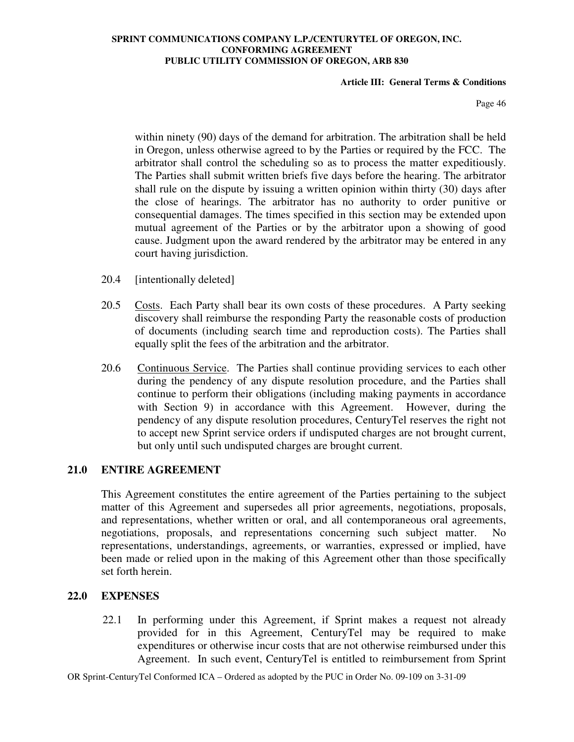### **Article III: General Terms & Conditions**

Page 46

within ninety (90) days of the demand for arbitration. The arbitration shall be held in Oregon, unless otherwise agreed to by the Parties or required by the FCC. The arbitrator shall control the scheduling so as to process the matter expeditiously. The Parties shall submit written briefs five days before the hearing. The arbitrator shall rule on the dispute by issuing a written opinion within thirty (30) days after the close of hearings. The arbitrator has no authority to order punitive or consequential damages. The times specified in this section may be extended upon mutual agreement of the Parties or by the arbitrator upon a showing of good cause. Judgment upon the award rendered by the arbitrator may be entered in any court having jurisdiction.

- 20.4 [intentionally deleted]
- 20.5 Costs. Each Party shall bear its own costs of these procedures. A Party seeking discovery shall reimburse the responding Party the reasonable costs of production of documents (including search time and reproduction costs). The Parties shall equally split the fees of the arbitration and the arbitrator.
- 20.6 Continuous Service. The Parties shall continue providing services to each other during the pendency of any dispute resolution procedure, and the Parties shall continue to perform their obligations (including making payments in accordance with Section 9) in accordance with this Agreement. However, during the pendency of any dispute resolution procedures, CenturyTel reserves the right not to accept new Sprint service orders if undisputed charges are not brought current, but only until such undisputed charges are brought current.

## **21.0 ENTIRE AGREEMENT**

This Agreement constitutes the entire agreement of the Parties pertaining to the subject matter of this Agreement and supersedes all prior agreements, negotiations, proposals, and representations, whether written or oral, and all contemporaneous oral agreements, negotiations, proposals, and representations concerning such subject matter. No representations, understandings, agreements, or warranties, expressed or implied, have been made or relied upon in the making of this Agreement other than those specifically set forth herein.

## **22.0 EXPENSES**

22.1 In performing under this Agreement, if Sprint makes a request not already provided for in this Agreement, CenturyTel may be required to make expenditures or otherwise incur costs that are not otherwise reimbursed under this Agreement. In such event, CenturyTel is entitled to reimbursement from Sprint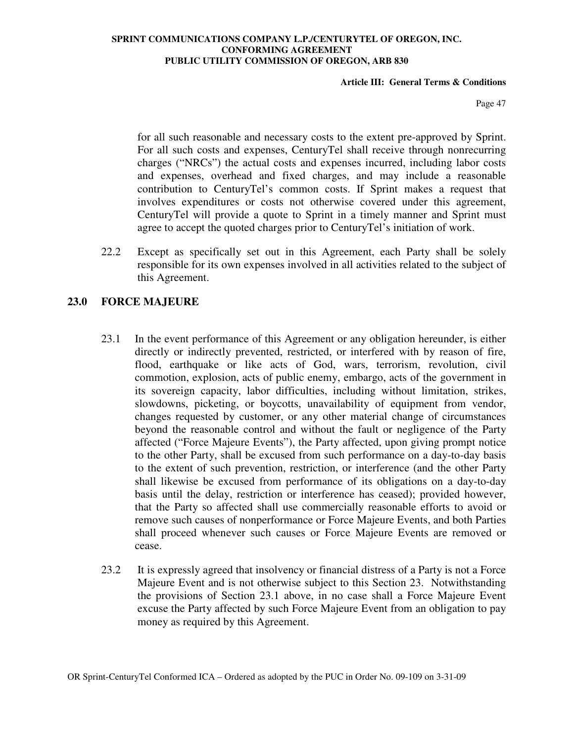### **Article III: General Terms & Conditions**

Page 47

for all such reasonable and necessary costs to the extent pre-approved by Sprint. For all such costs and expenses, CenturyTel shall receive through nonrecurring charges ("NRCs") the actual costs and expenses incurred, including labor costs and expenses, overhead and fixed charges, and may include a reasonable contribution to CenturyTel's common costs. If Sprint makes a request that involves expenditures or costs not otherwise covered under this agreement, CenturyTel will provide a quote to Sprint in a timely manner and Sprint must agree to accept the quoted charges prior to CenturyTel's initiation of work.

22.2 Except as specifically set out in this Agreement, each Party shall be solely responsible for its own expenses involved in all activities related to the subject of this Agreement.

# **23.0 FORCE MAJEURE**

- 23.1 In the event performance of this Agreement or any obligation hereunder, is either directly or indirectly prevented, restricted, or interfered with by reason of fire, flood, earthquake or like acts of God, wars, terrorism, revolution, civil commotion, explosion, acts of public enemy, embargo, acts of the government in its sovereign capacity, labor difficulties, including without limitation, strikes, slowdowns, picketing, or boycotts, unavailability of equipment from vendor, changes requested by customer, or any other material change of circumstances beyond the reasonable control and without the fault or negligence of the Party affected ("Force Majeure Events"), the Party affected, upon giving prompt notice to the other Party, shall be excused from such performance on a day-to-day basis to the extent of such prevention, restriction, or interference (and the other Party shall likewise be excused from performance of its obligations on a day-to-day basis until the delay, restriction or interference has ceased); provided however, that the Party so affected shall use commercially reasonable efforts to avoid or remove such causes of nonperformance or Force Majeure Events, and both Parties shall proceed whenever such causes or Force Majeure Events are removed or cease.
- 23.2 It is expressly agreed that insolvency or financial distress of a Party is not a Force Majeure Event and is not otherwise subject to this Section 23. Notwithstanding the provisions of Section 23.1 above, in no case shall a Force Majeure Event excuse the Party affected by such Force Majeure Event from an obligation to pay money as required by this Agreement.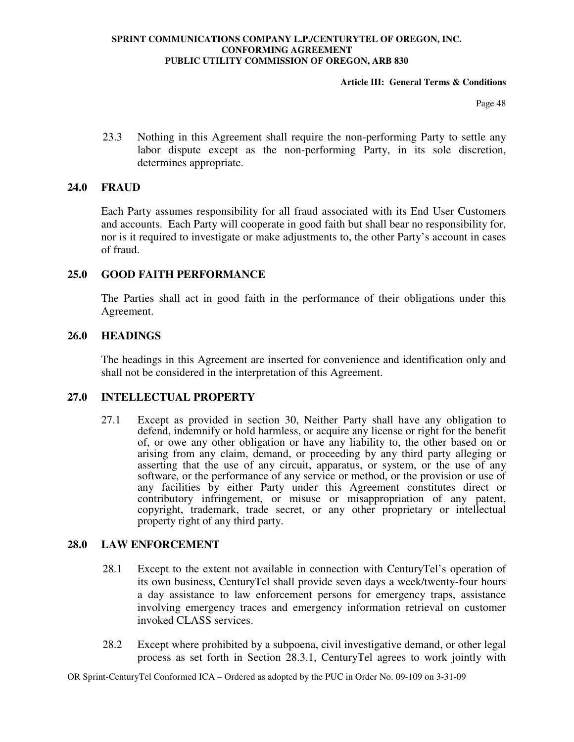### **Article III: General Terms & Conditions**

Page 48

23.3 Nothing in this Agreement shall require the non-performing Party to settle any labor dispute except as the non-performing Party, in its sole discretion, determines appropriate.

## **24.0 FRAUD**

Each Party assumes responsibility for all fraud associated with its End User Customers and accounts. Each Party will cooperate in good faith but shall bear no responsibility for, nor is it required to investigate or make adjustments to, the other Party's account in cases of fraud.

## **25.0 GOOD FAITH PERFORMANCE**

The Parties shall act in good faith in the performance of their obligations under this Agreement.

## **26.0 HEADINGS**

The headings in this Agreement are inserted for convenience and identification only and shall not be considered in the interpretation of this Agreement.

## **27.0 INTELLECTUAL PROPERTY**

27.1 Except as provided in section 30, Neither Party shall have any obligation to defend, indemnify or hold harmless, or acquire any license or right for the benefit of, or owe any other obligation or have any liability to, the other based on or arising from any claim, demand, or proceeding by any third party alleging or asserting that the use of any circuit, apparatus, or system, or the use of any software, or the performance of any service or method, or the provision or use of any facilities by either Party under this Agreement constitutes direct or contributory infringement, or misuse or misappropriation of any patent, copyright, trademark, trade secret, or any other proprietary or intellectual property right of any third party.

### **28.0 LAW ENFORCEMENT**

- 28.1 Except to the extent not available in connection with CenturyTel's operation of its own business, CenturyTel shall provide seven days a week/twenty-four hours a day assistance to law enforcement persons for emergency traps, assistance involving emergency traces and emergency information retrieval on customer invoked CLASS services.
- 28.2 Except where prohibited by a subpoena, civil investigative demand, or other legal process as set forth in Section 28.3.1, CenturyTel agrees to work jointly with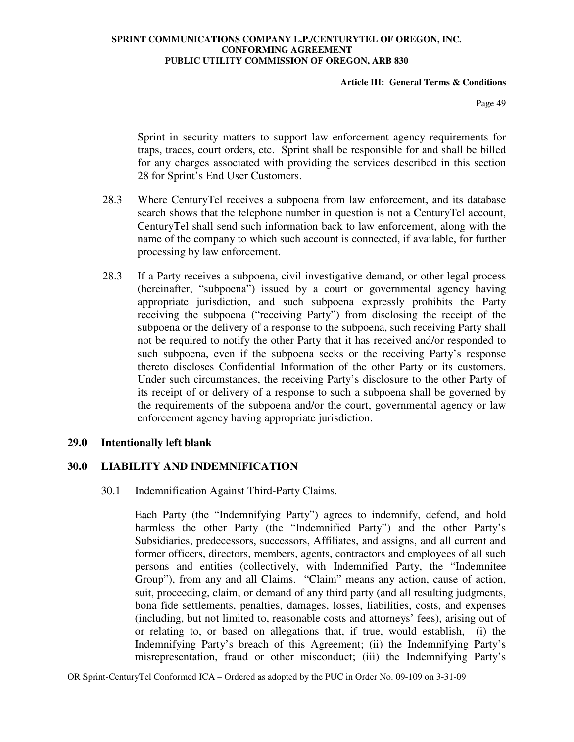### **Article III: General Terms & Conditions**

Page 49

Sprint in security matters to support law enforcement agency requirements for traps, traces, court orders, etc. Sprint shall be responsible for and shall be billed for any charges associated with providing the services described in this section 28 for Sprint's End User Customers.

- 28.3 Where CenturyTel receives a subpoena from law enforcement, and its database search shows that the telephone number in question is not a CenturyTel account, CenturyTel shall send such information back to law enforcement, along with the name of the company to which such account is connected, if available, for further processing by law enforcement.
- 28.3 If a Party receives a subpoena, civil investigative demand, or other legal process (hereinafter, "subpoena") issued by a court or governmental agency having appropriate jurisdiction, and such subpoena expressly prohibits the Party receiving the subpoena ("receiving Party") from disclosing the receipt of the subpoena or the delivery of a response to the subpoena, such receiving Party shall not be required to notify the other Party that it has received and/or responded to such subpoena, even if the subpoena seeks or the receiving Party's response thereto discloses Confidential Information of the other Party or its customers. Under such circumstances, the receiving Party's disclosure to the other Party of its receipt of or delivery of a response to such a subpoena shall be governed by the requirements of the subpoena and/or the court, governmental agency or law enforcement agency having appropriate jurisdiction.

### **29.0 Intentionally left blank**

## **30.0 LIABILITY AND INDEMNIFICATION**

### 30.1 Indemnification Against Third-Party Claims.

Each Party (the "Indemnifying Party") agrees to indemnify, defend, and hold harmless the other Party (the "Indemnified Party") and the other Party's Subsidiaries, predecessors, successors, Affiliates, and assigns, and all current and former officers, directors, members, agents, contractors and employees of all such persons and entities (collectively, with Indemnified Party, the "Indemnitee Group"), from any and all Claims. "Claim" means any action, cause of action, suit, proceeding, claim, or demand of any third party (and all resulting judgments, bona fide settlements, penalties, damages, losses, liabilities, costs, and expenses (including, but not limited to, reasonable costs and attorneys' fees), arising out of or relating to, or based on allegations that, if true, would establish, (i) the Indemnifying Party's breach of this Agreement; (ii) the Indemnifying Party's misrepresentation, fraud or other misconduct; (iii) the Indemnifying Party's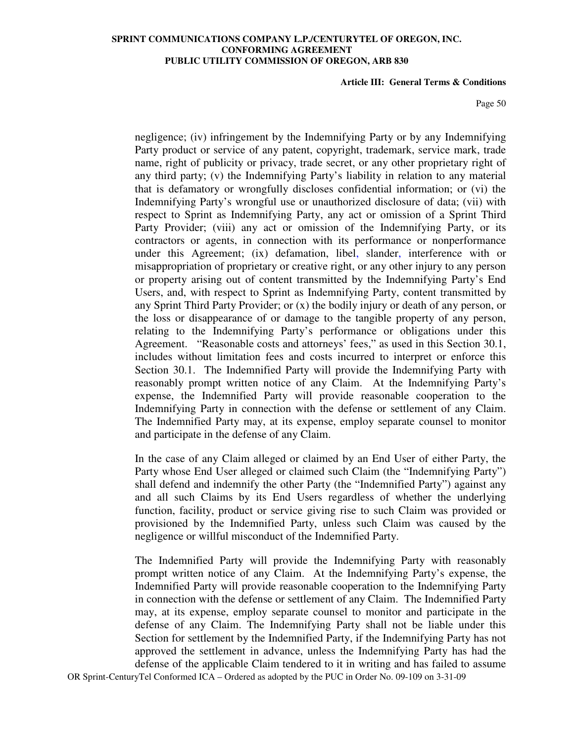#### **Article III: General Terms & Conditions**

Page 50

negligence; (iv) infringement by the Indemnifying Party or by any Indemnifying Party product or service of any patent, copyright, trademark, service mark, trade name, right of publicity or privacy, trade secret, or any other proprietary right of any third party; (v) the Indemnifying Party's liability in relation to any material that is defamatory or wrongfully discloses confidential information; or (vi) the Indemnifying Party's wrongful use or unauthorized disclosure of data; (vii) with respect to Sprint as Indemnifying Party, any act or omission of a Sprint Third Party Provider; (viii) any act or omission of the Indemnifying Party, or its contractors or agents, in connection with its performance or nonperformance under this Agreement; (ix) defamation, libel, slander, interference with or misappropriation of proprietary or creative right, or any other injury to any person or property arising out of content transmitted by the Indemnifying Party's End Users, and, with respect to Sprint as Indemnifying Party, content transmitted by any Sprint Third Party Provider; or (x) the bodily injury or death of any person, or the loss or disappearance of or damage to the tangible property of any person, relating to the Indemnifying Party's performance or obligations under this Agreement. "Reasonable costs and attorneys' fees," as used in this Section 30.1, includes without limitation fees and costs incurred to interpret or enforce this Section 30.1. The Indemnified Party will provide the Indemnifying Party with reasonably prompt written notice of any Claim. At the Indemnifying Party's expense, the Indemnified Party will provide reasonable cooperation to the Indemnifying Party in connection with the defense or settlement of any Claim. The Indemnified Party may, at its expense, employ separate counsel to monitor and participate in the defense of any Claim.

In the case of any Claim alleged or claimed by an End User of either Party, the Party whose End User alleged or claimed such Claim (the "Indemnifying Party") shall defend and indemnify the other Party (the "Indemnified Party") against any and all such Claims by its End Users regardless of whether the underlying function, facility, product or service giving rise to such Claim was provided or provisioned by the Indemnified Party, unless such Claim was caused by the negligence or willful misconduct of the Indemnified Party.

The Indemnified Party will provide the Indemnifying Party with reasonably prompt written notice of any Claim. At the Indemnifying Party's expense, the Indemnified Party will provide reasonable cooperation to the Indemnifying Party in connection with the defense or settlement of any Claim. The Indemnified Party may, at its expense, employ separate counsel to monitor and participate in the defense of any Claim. The Indemnifying Party shall not be liable under this Section for settlement by the Indemnified Party, if the Indemnifying Party has not approved the settlement in advance, unless the Indemnifying Party has had the defense of the applicable Claim tendered to it in writing and has failed to assume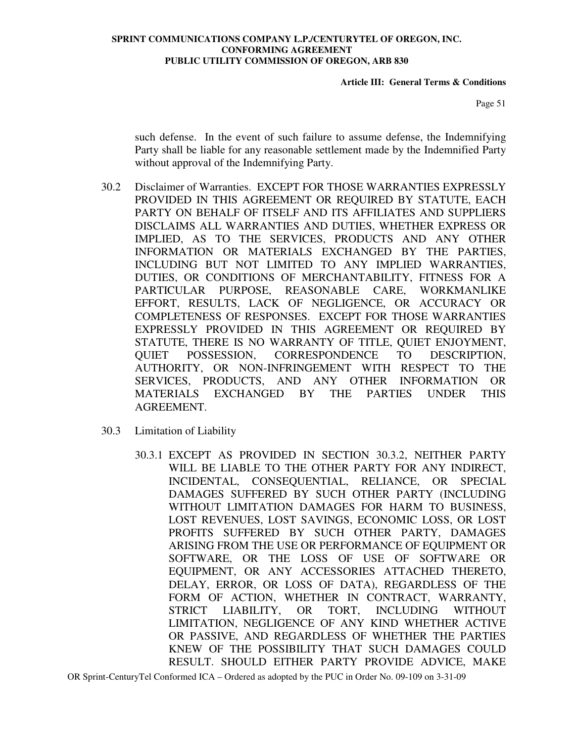**Article III: General Terms & Conditions** 

Page 51

such defense. In the event of such failure to assume defense, the Indemnifying Party shall be liable for any reasonable settlement made by the Indemnified Party without approval of the Indemnifying Party.

- 30.2 Disclaimer of Warranties. EXCEPT FOR THOSE WARRANTIES EXPRESSLY PROVIDED IN THIS AGREEMENT OR REQUIRED BY STATUTE, EACH PARTY ON BEHALF OF ITSELF AND ITS AFFILIATES AND SUPPLIERS DISCLAIMS ALL WARRANTIES AND DUTIES, WHETHER EXPRESS OR IMPLIED, AS TO THE SERVICES, PRODUCTS AND ANY OTHER INFORMATION OR MATERIALS EXCHANGED BY THE PARTIES, INCLUDING BUT NOT LIMITED TO ANY IMPLIED WARRANTIES, DUTIES, OR CONDITIONS OF MERCHANTABILITY, FITNESS FOR A PARTICULAR PURPOSE, REASONABLE CARE, WORKMANLIKE EFFORT, RESULTS, LACK OF NEGLIGENCE, OR ACCURACY OR COMPLETENESS OF RESPONSES. EXCEPT FOR THOSE WARRANTIES EXPRESSLY PROVIDED IN THIS AGREEMENT OR REQUIRED BY STATUTE, THERE IS NO WARRANTY OF TITLE, QUIET ENJOYMENT, QUIET POSSESSION, CORRESPONDENCE TO DESCRIPTION, AUTHORITY, OR NON-INFRINGEMENT WITH RESPECT TO THE SERVICES, PRODUCTS, AND ANY OTHER INFORMATION OR MATERIALS EXCHANGED BY THE PARTIES UNDER THIS AGREEMENT.
- 30.3 Limitation of Liability
	- 30.3.1 EXCEPT AS PROVIDED IN SECTION 30.3.2, NEITHER PARTY WILL BE LIABLE TO THE OTHER PARTY FOR ANY INDIRECT, INCIDENTAL, CONSEQUENTIAL, RELIANCE, OR SPECIAL DAMAGES SUFFERED BY SUCH OTHER PARTY (INCLUDING WITHOUT LIMITATION DAMAGES FOR HARM TO BUSINESS, LOST REVENUES, LOST SAVINGS, ECONOMIC LOSS, OR LOST PROFITS SUFFERED BY SUCH OTHER PARTY, DAMAGES ARISING FROM THE USE OR PERFORMANCE OF EQUIPMENT OR SOFTWARE, OR THE LOSS OF USE OF SOFTWARE OR EQUIPMENT, OR ANY ACCESSORIES ATTACHED THERETO, DELAY, ERROR, OR LOSS OF DATA), REGARDLESS OF THE FORM OF ACTION, WHETHER IN CONTRACT, WARRANTY, STRICT LIABILITY, OR TORT, INCLUDING WITHOUT LIMITATION, NEGLIGENCE OF ANY KIND WHETHER ACTIVE OR PASSIVE, AND REGARDLESS OF WHETHER THE PARTIES KNEW OF THE POSSIBILITY THAT SUCH DAMAGES COULD RESULT. SHOULD EITHER PARTY PROVIDE ADVICE, MAKE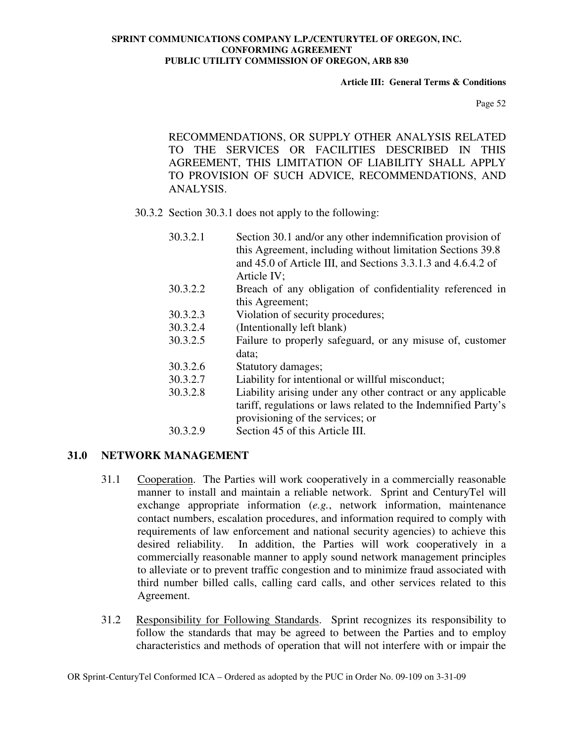### **Article III: General Terms & Conditions**

Page 52

RECOMMENDATIONS, OR SUPPLY OTHER ANALYSIS RELATED TO THE SERVICES OR FACILITIES DESCRIBED IN THIS AGREEMENT, THIS LIMITATION OF LIABILITY SHALL APPLY TO PROVISION OF SUCH ADVICE, RECOMMENDATIONS, AND ANALYSIS.

30.3.2 Section 30.3.1 does not apply to the following:

- 30.3.2.1Section 30.1 and/or any other indemnification provision of this Agreement, including without limitation Sections 39.8 and 45.0 of Article III, and Sections 3.3.1.3 and 4.6.4.2 of Article IV;
- 30.3.2.2 Breach of any obligation of confidentiality referenced in this Agreement;
- 30.3.2.3 Violation of security procedures;
- 30.3.2.4 (Intentionally left blank)
- 30.3.2.5 Failure to properly safeguard, or any misuse of, customer data;
- 30.3.2.6 Statutory damages;
- 30.3.2.7 Liability for intentional or willful misconduct;
- 30.3.2.8 Liability arising under any other contract or any applicable tariff, regulations or laws related to the Indemnified Party's provisioning of the services; or
- 30.3.2.9 Section 45 of this Article III.

# **31.0 NETWORK MANAGEMENT**

- 31.1 Cooperation. The Parties will work cooperatively in a commercially reasonable manner to install and maintain a reliable network. Sprint and CenturyTel will exchange appropriate information (*e.g.*, network information, maintenance contact numbers, escalation procedures, and information required to comply with requirements of law enforcement and national security agencies) to achieve this desired reliability. In addition, the Parties will work cooperatively in a commercially reasonable manner to apply sound network management principles to alleviate or to prevent traffic congestion and to minimize fraud associated with third number billed calls, calling card calls, and other services related to this Agreement.
- 31.2 Responsibility for Following Standards. Sprint recognizes its responsibility to follow the standards that may be agreed to between the Parties and to employ characteristics and methods of operation that will not interfere with or impair the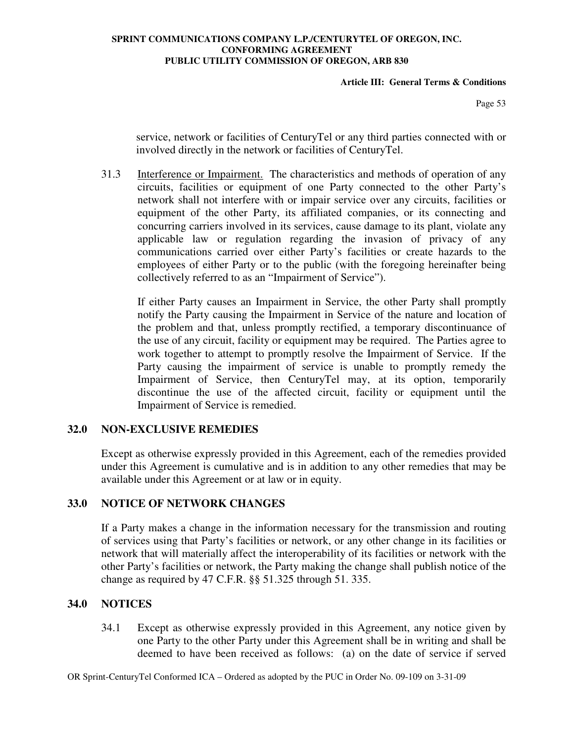### **Article III: General Terms & Conditions**

Page 53

service, network or facilities of CenturyTel or any third parties connected with or involved directly in the network or facilities of CenturyTel.

31.3 Interference or Impairment. The characteristics and methods of operation of any circuits, facilities or equipment of one Party connected to the other Party's network shall not interfere with or impair service over any circuits, facilities or equipment of the other Party, its affiliated companies, or its connecting and concurring carriers involved in its services, cause damage to its plant, violate any applicable law or regulation regarding the invasion of privacy of any communications carried over either Party's facilities or create hazards to the employees of either Party or to the public (with the foregoing hereinafter being collectively referred to as an "Impairment of Service").

If either Party causes an Impairment in Service, the other Party shall promptly notify the Party causing the Impairment in Service of the nature and location of the problem and that, unless promptly rectified, a temporary discontinuance of the use of any circuit, facility or equipment may be required. The Parties agree to work together to attempt to promptly resolve the Impairment of Service. If the Party causing the impairment of service is unable to promptly remedy the Impairment of Service, then CenturyTel may, at its option, temporarily discontinue the use of the affected circuit, facility or equipment until the Impairment of Service is remedied.

## **32.0 NON-EXCLUSIVE REMEDIES**

Except as otherwise expressly provided in this Agreement, each of the remedies provided under this Agreement is cumulative and is in addition to any other remedies that may be available under this Agreement or at law or in equity.

## **33.0 NOTICE OF NETWORK CHANGES**

If a Party makes a change in the information necessary for the transmission and routing of services using that Party's facilities or network, or any other change in its facilities or network that will materially affect the interoperability of its facilities or network with the other Party's facilities or network, the Party making the change shall publish notice of the change as required by 47 C.F.R. §§ 51.325 through 51. 335.

## **34.0 NOTICES**

34.1 Except as otherwise expressly provided in this Agreement, any notice given by one Party to the other Party under this Agreement shall be in writing and shall be deemed to have been received as follows: (a) on the date of service if served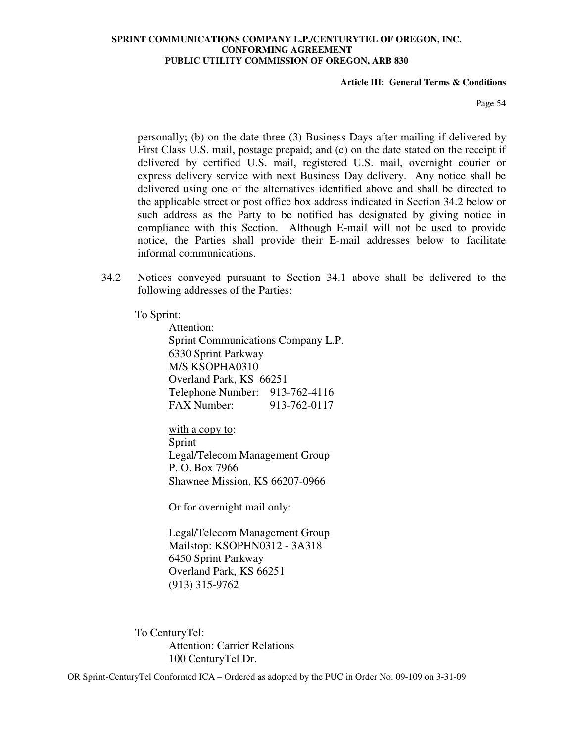#### **Article III: General Terms & Conditions**

Page 54

personally; (b) on the date three (3) Business Days after mailing if delivered by First Class U.S. mail, postage prepaid; and (c) on the date stated on the receipt if delivered by certified U.S. mail, registered U.S. mail, overnight courier or express delivery service with next Business Day delivery. Any notice shall be delivered using one of the alternatives identified above and shall be directed to the applicable street or post office box address indicated in Section 34.2 below or such address as the Party to be notified has designated by giving notice in compliance with this Section. Although E-mail will not be used to provide notice, the Parties shall provide their E-mail addresses below to facilitate informal communications.

34.2 Notices conveyed pursuant to Section 34.1 above shall be delivered to the following addresses of the Parties:

### To Sprint:

 Attention: Sprint Communications Company L.P. 6330 Sprint Parkway M/S KSOPHA0310 Overland Park, KS 66251 Telephone Number: 913-762-4116 FAX Number: 913-762-0117

 with a copy to: Sprint Legal/Telecom Management Group P. O. Box 7966 Shawnee Mission, KS 66207-0966

Or for overnight mail only:

Legal/Telecom Management Group Mailstop: KSOPHN0312 - 3A318 6450 Sprint Parkway Overland Park, KS 66251 (913) 315-9762

To CenturyTel: Attention: Carrier Relations 100 CenturyTel Dr.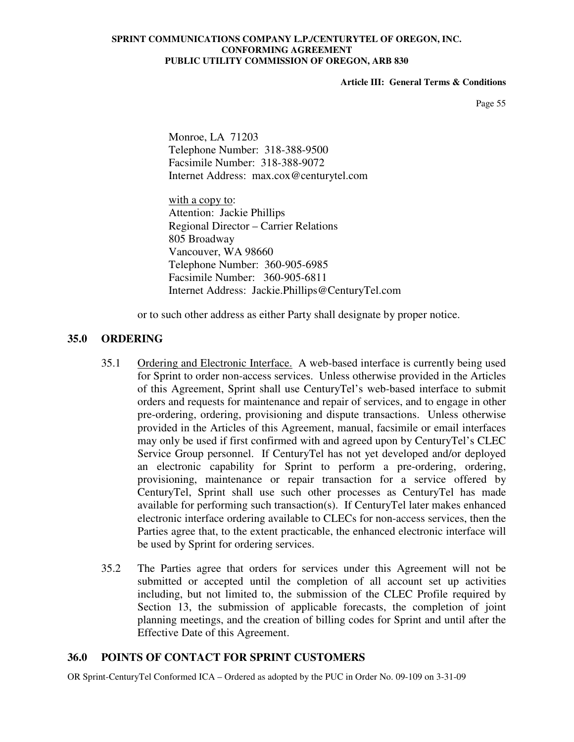### **Article III: General Terms & Conditions**

Page 55

 Monroe, LA 71203 Telephone Number: 318-388-9500 Facsimile Number: 318-388-9072 Internet Address: max.cox@centurytel.com

with a copy to: Attention: Jackie Phillips Regional Director – Carrier Relations 805 Broadway Vancouver, WA 98660 Telephone Number: 360-905-6985 Facsimile Number: 360-905-6811 Internet Address: Jackie.Phillips@CenturyTel.com

or to such other address as either Party shall designate by proper notice.

## **35.0 ORDERING**

- 35.1 Ordering and Electronic Interface. A web-based interface is currently being used for Sprint to order non-access services. Unless otherwise provided in the Articles of this Agreement, Sprint shall use CenturyTel's web-based interface to submit orders and requests for maintenance and repair of services, and to engage in other pre-ordering, ordering, provisioning and dispute transactions. Unless otherwise provided in the Articles of this Agreement, manual, facsimile or email interfaces may only be used if first confirmed with and agreed upon by CenturyTel's CLEC Service Group personnel. If CenturyTel has not yet developed and/or deployed an electronic capability for Sprint to perform a pre-ordering, ordering, provisioning, maintenance or repair transaction for a service offered by CenturyTel, Sprint shall use such other processes as CenturyTel has made available for performing such transaction(s). If CenturyTel later makes enhanced electronic interface ordering available to CLECs for non-access services, then the Parties agree that, to the extent practicable, the enhanced electronic interface will be used by Sprint for ordering services.
- 35.2 The Parties agree that orders for services under this Agreement will not be submitted or accepted until the completion of all account set up activities including, but not limited to, the submission of the CLEC Profile required by Section 13, the submission of applicable forecasts, the completion of joint planning meetings, and the creation of billing codes for Sprint and until after the Effective Date of this Agreement.

## **36.0 POINTS OF CONTACT FOR SPRINT CUSTOMERS**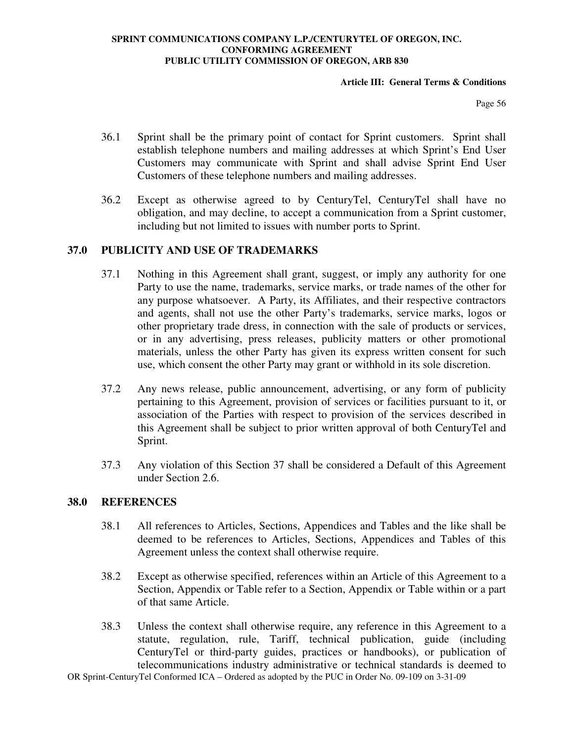### **Article III: General Terms & Conditions**

Page 56

- 36.1 Sprint shall be the primary point of contact for Sprint customers. Sprint shall establish telephone numbers and mailing addresses at which Sprint's End User Customers may communicate with Sprint and shall advise Sprint End User Customers of these telephone numbers and mailing addresses.
- 36.2 Except as otherwise agreed to by CenturyTel, CenturyTel shall have no obligation, and may decline, to accept a communication from a Sprint customer, including but not limited to issues with number ports to Sprint.

## **37.0 PUBLICITY AND USE OF TRADEMARKS**

- 37.1 Nothing in this Agreement shall grant, suggest, or imply any authority for one Party to use the name, trademarks, service marks, or trade names of the other for any purpose whatsoever. A Party, its Affiliates, and their respective contractors and agents, shall not use the other Party's trademarks, service marks, logos or other proprietary trade dress, in connection with the sale of products or services, or in any advertising, press releases, publicity matters or other promotional materials, unless the other Party has given its express written consent for such use, which consent the other Party may grant or withhold in its sole discretion.
- 37.2 Any news release, public announcement, advertising, or any form of publicity pertaining to this Agreement, provision of services or facilities pursuant to it, or association of the Parties with respect to provision of the services described in this Agreement shall be subject to prior written approval of both CenturyTel and Sprint.
- 37.3 Any violation of this Section 37 shall be considered a Default of this Agreement under Section 2.6.

## **38.0 REFERENCES**

- 38.1 All references to Articles, Sections, Appendices and Tables and the like shall be deemed to be references to Articles, Sections, Appendices and Tables of this Agreement unless the context shall otherwise require.
- 38.2 Except as otherwise specified, references within an Article of this Agreement to a Section, Appendix or Table refer to a Section, Appendix or Table within or a part of that same Article.
- 38.3 Unless the context shall otherwise require, any reference in this Agreement to a statute, regulation, rule, Tariff, technical publication, guide (including CenturyTel or third-party guides, practices or handbooks), or publication of telecommunications industry administrative or technical standards is deemed to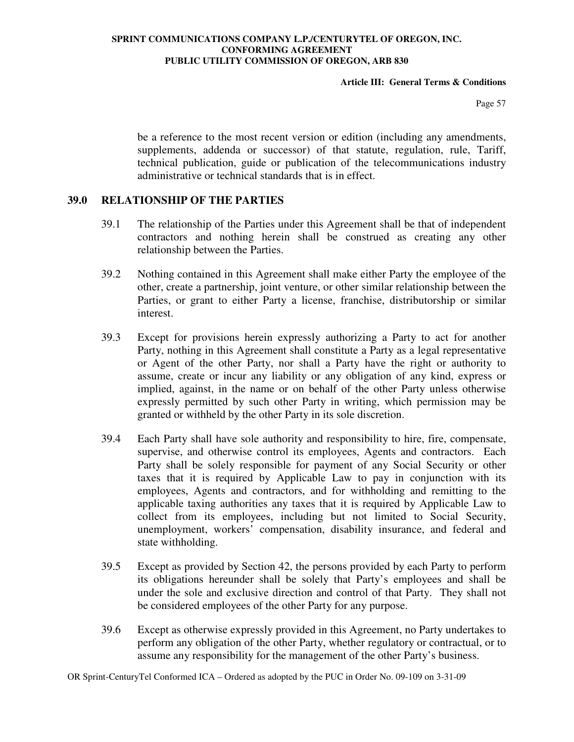### **Article III: General Terms & Conditions**

Page 57

be a reference to the most recent version or edition (including any amendments, supplements, addenda or successor) of that statute, regulation, rule, Tariff, technical publication, guide or publication of the telecommunications industry administrative or technical standards that is in effect.

## **39.0 RELATIONSHIP OF THE PARTIES**

- 39.1 The relationship of the Parties under this Agreement shall be that of independent contractors and nothing herein shall be construed as creating any other relationship between the Parties.
- 39.2 Nothing contained in this Agreement shall make either Party the employee of the other, create a partnership, joint venture, or other similar relationship between the Parties, or grant to either Party a license, franchise, distributorship or similar interest.
- 39.3 Except for provisions herein expressly authorizing a Party to act for another Party, nothing in this Agreement shall constitute a Party as a legal representative or Agent of the other Party, nor shall a Party have the right or authority to assume, create or incur any liability or any obligation of any kind, express or implied, against, in the name or on behalf of the other Party unless otherwise expressly permitted by such other Party in writing, which permission may be granted or withheld by the other Party in its sole discretion.
- 39.4 Each Party shall have sole authority and responsibility to hire, fire, compensate, supervise, and otherwise control its employees, Agents and contractors. Each Party shall be solely responsible for payment of any Social Security or other taxes that it is required by Applicable Law to pay in conjunction with its employees, Agents and contractors, and for withholding and remitting to the applicable taxing authorities any taxes that it is required by Applicable Law to collect from its employees, including but not limited to Social Security, unemployment, workers' compensation, disability insurance, and federal and state withholding.
- 39.5 Except as provided by Section 42, the persons provided by each Party to perform its obligations hereunder shall be solely that Party's employees and shall be under the sole and exclusive direction and control of that Party. They shall not be considered employees of the other Party for any purpose.
- 39.6 Except as otherwise expressly provided in this Agreement, no Party undertakes to perform any obligation of the other Party, whether regulatory or contractual, or to assume any responsibility for the management of the other Party's business.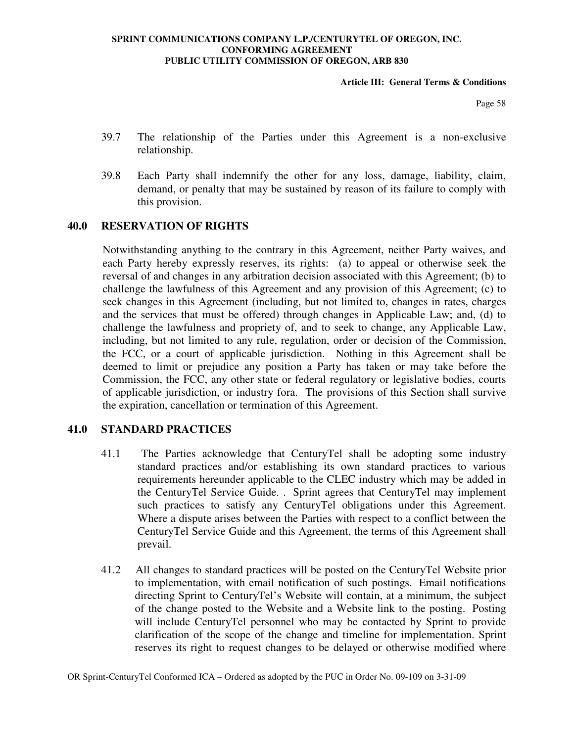### **Article III: General Terms & Conditions**

Page 58

- 39.7 The relationship of the Parties under this Agreement is a non-exclusive relationship.
- 39.8 Each Party shall indemnify the other for any loss, damage, liability, claim, demand, or penalty that may be sustained by reason of its failure to comply with this provision.

## **40.0 RESERVATION OF RIGHTS**

Notwithstanding anything to the contrary in this Agreement, neither Party waives, and each Party hereby expressly reserves, its rights: (a) to appeal or otherwise seek the reversal of and changes in any arbitration decision associated with this Agreement; (b) to challenge the lawfulness of this Agreement and any provision of this Agreement; (c) to seek changes in this Agreement (including, but not limited to, changes in rates, charges and the services that must be offered) through changes in Applicable Law; and, (d) to challenge the lawfulness and propriety of, and to seek to change, any Applicable Law, including, but not limited to any rule, regulation, order or decision of the Commission, the FCC, or a court of applicable jurisdiction. Nothing in this Agreement shall be deemed to limit or prejudice any position a Party has taken or may take before the Commission, the FCC, any other state or federal regulatory or legislative bodies, courts of applicable jurisdiction, or industry fora. The provisions of this Section shall survive the expiration, cancellation or termination of this Agreement.

## **41.0 STANDARD PRACTICES**

- 41.1 The Parties acknowledge that CenturyTel shall be adopting some industry standard practices and/or establishing its own standard practices to various requirements hereunder applicable to the CLEC industry which may be added in the CenturyTel Service Guide. . Sprint agrees that CenturyTel may implement such practices to satisfy any CenturyTel obligations under this Agreement. Where a dispute arises between the Parties with respect to a conflict between the CenturyTel Service Guide and this Agreement, the terms of this Agreement shall prevail.
- 41.2 All changes to standard practices will be posted on the CenturyTel Website prior to implementation, with email notification of such postings. Email notifications directing Sprint to CenturyTel's Website will contain, at a minimum, the subject of the change posted to the Website and a Website link to the posting. Posting will include CenturyTel personnel who may be contacted by Sprint to provide clarification of the scope of the change and timeline for implementation. Sprint reserves its right to request changes to be delayed or otherwise modified where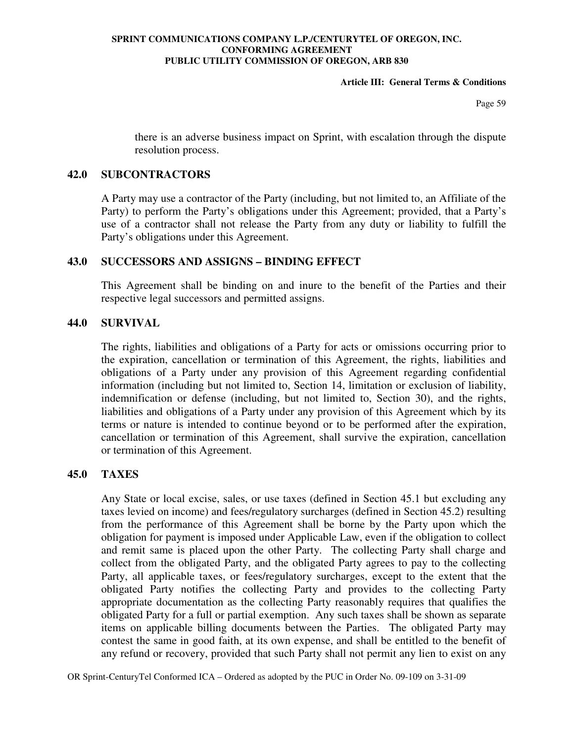### **Article III: General Terms & Conditions**

Page 59

there is an adverse business impact on Sprint, with escalation through the dispute resolution process.

## **42.0 SUBCONTRACTORS**

A Party may use a contractor of the Party (including, but not limited to, an Affiliate of the Party) to perform the Party's obligations under this Agreement; provided, that a Party's use of a contractor shall not release the Party from any duty or liability to fulfill the Party's obligations under this Agreement.

## **43.0 SUCCESSORS AND ASSIGNS – BINDING EFFECT**

This Agreement shall be binding on and inure to the benefit of the Parties and their respective legal successors and permitted assigns.

## **44.0 SURVIVAL**

The rights, liabilities and obligations of a Party for acts or omissions occurring prior to the expiration, cancellation or termination of this Agreement, the rights, liabilities and obligations of a Party under any provision of this Agreement regarding confidential information (including but not limited to, Section 14, limitation or exclusion of liability, indemnification or defense (including, but not limited to, Section 30), and the rights, liabilities and obligations of a Party under any provision of this Agreement which by its terms or nature is intended to continue beyond or to be performed after the expiration, cancellation or termination of this Agreement, shall survive the expiration, cancellation or termination of this Agreement.

## **45.0 TAXES**

Any State or local excise, sales, or use taxes (defined in Section 45.1 but excluding any taxes levied on income) and fees/regulatory surcharges (defined in Section 45.2) resulting from the performance of this Agreement shall be borne by the Party upon which the obligation for payment is imposed under Applicable Law, even if the obligation to collect and remit same is placed upon the other Party. The collecting Party shall charge and collect from the obligated Party, and the obligated Party agrees to pay to the collecting Party, all applicable taxes, or fees/regulatory surcharges, except to the extent that the obligated Party notifies the collecting Party and provides to the collecting Party appropriate documentation as the collecting Party reasonably requires that qualifies the obligated Party for a full or partial exemption. Any such taxes shall be shown as separate items on applicable billing documents between the Parties. The obligated Party may contest the same in good faith, at its own expense, and shall be entitled to the benefit of any refund or recovery, provided that such Party shall not permit any lien to exist on any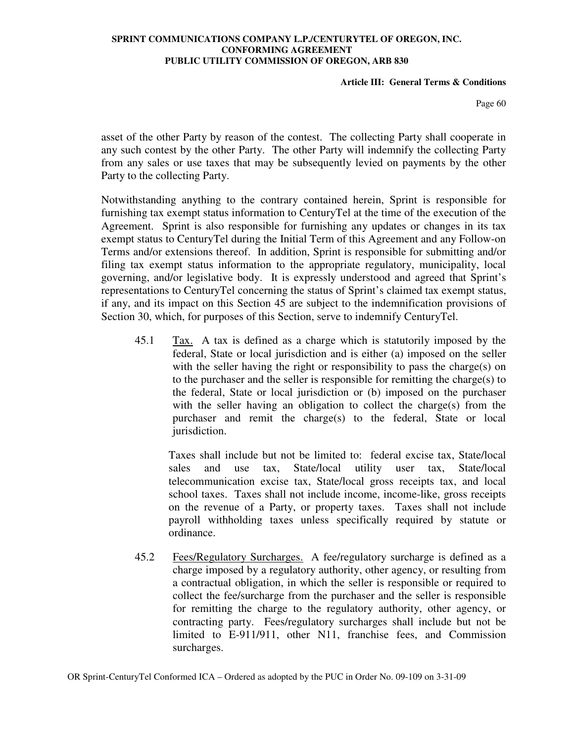### **Article III: General Terms & Conditions**

Page 60

asset of the other Party by reason of the contest. The collecting Party shall cooperate in any such contest by the other Party. The other Party will indemnify the collecting Party from any sales or use taxes that may be subsequently levied on payments by the other Party to the collecting Party.

Notwithstanding anything to the contrary contained herein, Sprint is responsible for furnishing tax exempt status information to CenturyTel at the time of the execution of the Agreement. Sprint is also responsible for furnishing any updates or changes in its tax exempt status to CenturyTel during the Initial Term of this Agreement and any Follow-on Terms and/or extensions thereof. In addition, Sprint is responsible for submitting and/or filing tax exempt status information to the appropriate regulatory, municipality, local governing, and/or legislative body. It is expressly understood and agreed that Sprint's representations to CenturyTel concerning the status of Sprint's claimed tax exempt status, if any, and its impact on this Section 45 are subject to the indemnification provisions of Section 30, which, for purposes of this Section, serve to indemnify CenturyTel.

45.1 Tax. A tax is defined as a charge which is statutorily imposed by the federal, State or local jurisdiction and is either (a) imposed on the seller with the seller having the right or responsibility to pass the charge(s) on to the purchaser and the seller is responsible for remitting the charge(s) to the federal, State or local jurisdiction or (b) imposed on the purchaser with the seller having an obligation to collect the charge(s) from the purchaser and remit the charge(s) to the federal, State or local jurisdiction.

Taxes shall include but not be limited to: federal excise tax, State/local sales and use tax, State/local utility user tax, State/local telecommunication excise tax, State/local gross receipts tax, and local school taxes. Taxes shall not include income, income-like, gross receipts on the revenue of a Party, or property taxes. Taxes shall not include payroll withholding taxes unless specifically required by statute or ordinance.

45.2 Fees/Regulatory Surcharges. A fee/regulatory surcharge is defined as a charge imposed by a regulatory authority, other agency, or resulting from a contractual obligation, in which the seller is responsible or required to collect the fee/surcharge from the purchaser and the seller is responsible for remitting the charge to the regulatory authority, other agency, or contracting party. Fees/regulatory surcharges shall include but not be limited to E-911/911, other N11, franchise fees, and Commission surcharges.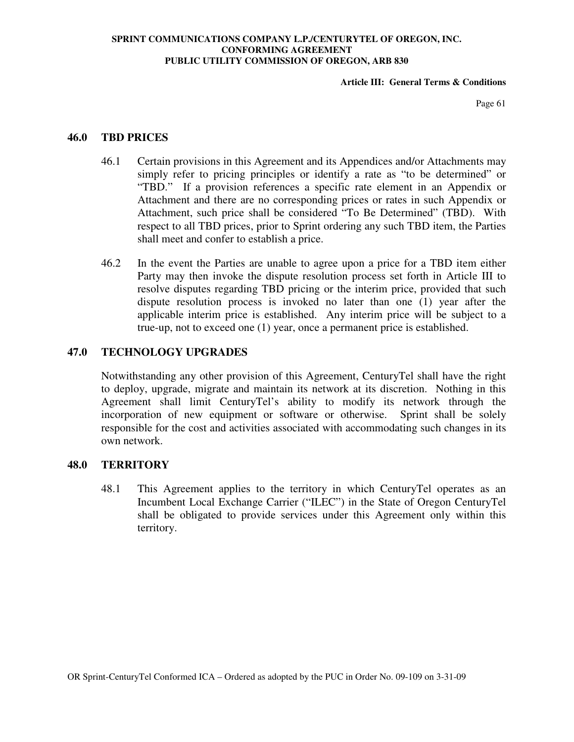**Article III: General Terms & Conditions** 

Page 61

## **46.0 TBD PRICES**

- 46.1 Certain provisions in this Agreement and its Appendices and/or Attachments may simply refer to pricing principles or identify a rate as "to be determined" or "TBD." If a provision references a specific rate element in an Appendix or Attachment and there are no corresponding prices or rates in such Appendix or Attachment, such price shall be considered "To Be Determined" (TBD). With respect to all TBD prices, prior to Sprint ordering any such TBD item, the Parties shall meet and confer to establish a price.
- 46.2 In the event the Parties are unable to agree upon a price for a TBD item either Party may then invoke the dispute resolution process set forth in Article III to resolve disputes regarding TBD pricing or the interim price, provided that such dispute resolution process is invoked no later than one (1) year after the applicable interim price is established. Any interim price will be subject to a true-up, not to exceed one (1) year, once a permanent price is established.

## **47.0 TECHNOLOGY UPGRADES**

Notwithstanding any other provision of this Agreement, CenturyTel shall have the right to deploy, upgrade, migrate and maintain its network at its discretion. Nothing in this Agreement shall limit CenturyTel's ability to modify its network through the incorporation of new equipment or software or otherwise. Sprint shall be solely responsible for the cost and activities associated with accommodating such changes in its own network.

### **48.0 TERRITORY**

48.1 This Agreement applies to the territory in which CenturyTel operates as an Incumbent Local Exchange Carrier ("ILEC") in the State of Oregon CenturyTel shall be obligated to provide services under this Agreement only within this territory.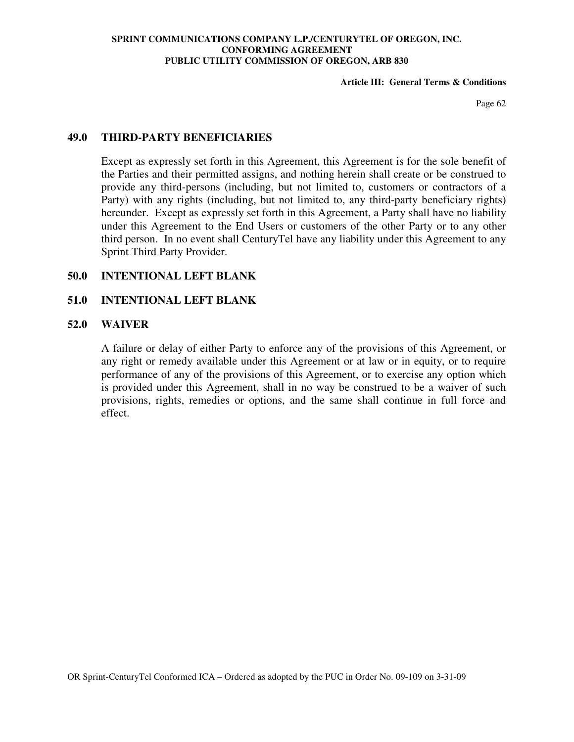### **Article III: General Terms & Conditions**

Page 62

## **49.0 THIRD-PARTY BENEFICIARIES**

Except as expressly set forth in this Agreement, this Agreement is for the sole benefit of the Parties and their permitted assigns, and nothing herein shall create or be construed to provide any third-persons (including, but not limited to, customers or contractors of a Party) with any rights (including, but not limited to, any third-party beneficiary rights) hereunder. Except as expressly set forth in this Agreement, a Party shall have no liability under this Agreement to the End Users or customers of the other Party or to any other third person. In no event shall CenturyTel have any liability under this Agreement to any Sprint Third Party Provider.

## **50.0 INTENTIONAL LEFT BLANK**

## **51.0 INTENTIONAL LEFT BLANK**

## **52.0 WAIVER**

A failure or delay of either Party to enforce any of the provisions of this Agreement, or any right or remedy available under this Agreement or at law or in equity, or to require performance of any of the provisions of this Agreement, or to exercise any option which is provided under this Agreement, shall in no way be construed to be a waiver of such provisions, rights, remedies or options, and the same shall continue in full force and effect.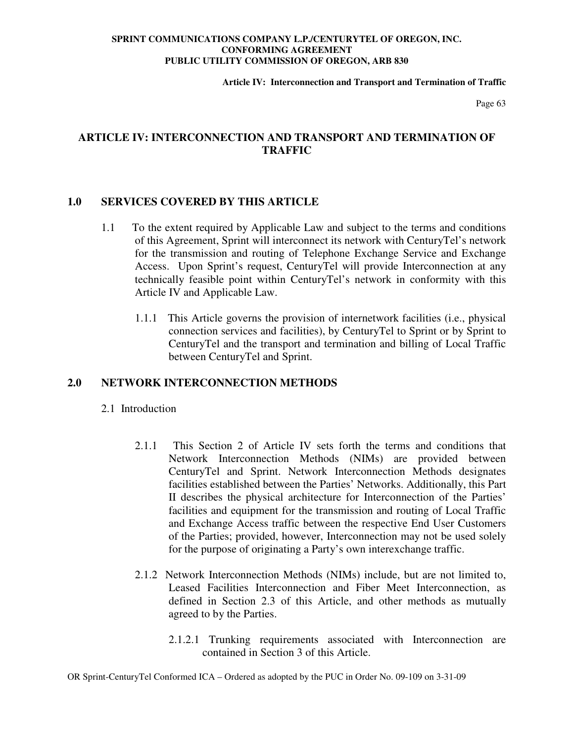**Article IV: Interconnection and Transport and Termination of Traffic** 

Page 63

# **ARTICLE IV: INTERCONNECTION AND TRANSPORT AND TERMINATION OF TRAFFIC**

# **1.0 SERVICES COVERED BY THIS ARTICLE**

- 1.1 To the extent required by Applicable Law and subject to the terms and conditions of this Agreement, Sprint will interconnect its network with CenturyTel's network for the transmission and routing of Telephone Exchange Service and Exchange Access. Upon Sprint's request, CenturyTel will provide Interconnection at any technically feasible point within CenturyTel's network in conformity with this Article IV and Applicable Law.
	- 1.1.1 This Article governs the provision of internetwork facilities (i.e., physical connection services and facilities), by CenturyTel to Sprint or by Sprint to CenturyTel and the transport and termination and billing of Local Traffic between CenturyTel and Sprint.

## **2.0 NETWORK INTERCONNECTION METHODS**

- 2.1 Introduction
	- 2.1.1 This Section 2 of Article IV sets forth the terms and conditions that Network Interconnection Methods (NIMs) are provided between CenturyTel and Sprint. Network Interconnection Methods designates facilities established between the Parties' Networks. Additionally, this Part II describes the physical architecture for Interconnection of the Parties' facilities and equipment for the transmission and routing of Local Traffic and Exchange Access traffic between the respective End User Customers of the Parties; provided, however, Interconnection may not be used solely for the purpose of originating a Party's own interexchange traffic.
	- 2.1.2 Network Interconnection Methods (NIMs) include, but are not limited to, Leased Facilities Interconnection and Fiber Meet Interconnection, as defined in Section 2.3 of this Article, and other methods as mutually agreed to by the Parties.
		- 2.1.2.1 Trunking requirements associated with Interconnection are contained in Section 3 of this Article.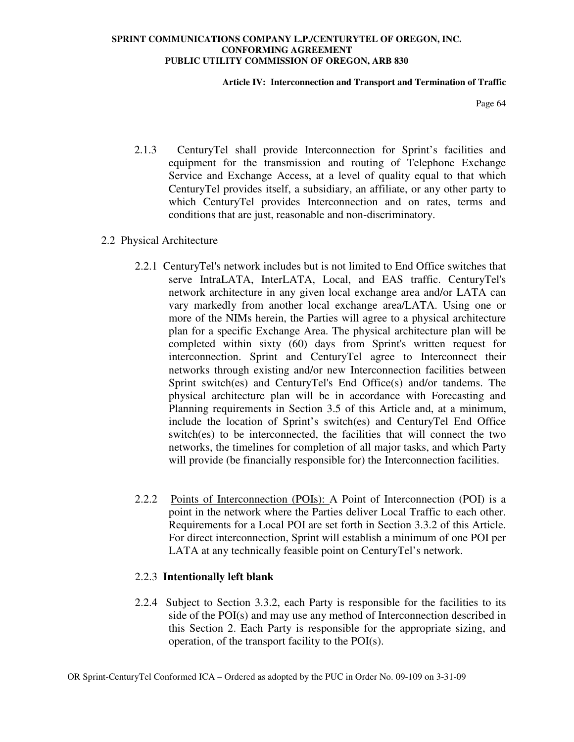### **Article IV: Interconnection and Transport and Termination of Traffic**

Page 64

- 2.1.3 CenturyTel shall provide Interconnection for Sprint's facilities and equipment for the transmission and routing of Telephone Exchange Service and Exchange Access, at a level of quality equal to that which CenturyTel provides itself, a subsidiary, an affiliate, or any other party to which CenturyTel provides Interconnection and on rates, terms and conditions that are just, reasonable and non-discriminatory.
- 2.2 Physical Architecture
	- 2.2.1 CenturyTel's network includes but is not limited to End Office switches that serve IntraLATA, InterLATA, Local, and EAS traffic. CenturyTel's network architecture in any given local exchange area and/or LATA can vary markedly from another local exchange area/LATA. Using one or more of the NIMs herein, the Parties will agree to a physical architecture plan for a specific Exchange Area. The physical architecture plan will be completed within sixty (60) days from Sprint's written request for interconnection. Sprint and CenturyTel agree to Interconnect their networks through existing and/or new Interconnection facilities between Sprint switch(es) and CenturyTel's End Office(s) and/or tandems. The physical architecture plan will be in accordance with Forecasting and Planning requirements in Section 3.5 of this Article and, at a minimum, include the location of Sprint's switch(es) and CenturyTel End Office switch(es) to be interconnected, the facilities that will connect the two networks, the timelines for completion of all major tasks, and which Party will provide (be financially responsible for) the Interconnection facilities.
	- 2.2.2 Points of Interconnection (POIs): A Point of Interconnection (POI) is a point in the network where the Parties deliver Local Traffic to each other. Requirements for a Local POI are set forth in Section 3.3.2 of this Article. For direct interconnection, Sprint will establish a minimum of one POI per LATA at any technically feasible point on CenturyTel's network.

# 2.2.3 **Intentionally left blank**

2.2.4 Subject to Section 3.3.2, each Party is responsible for the facilities to its side of the POI(s) and may use any method of Interconnection described in this Section 2. Each Party is responsible for the appropriate sizing, and operation, of the transport facility to the POI(s).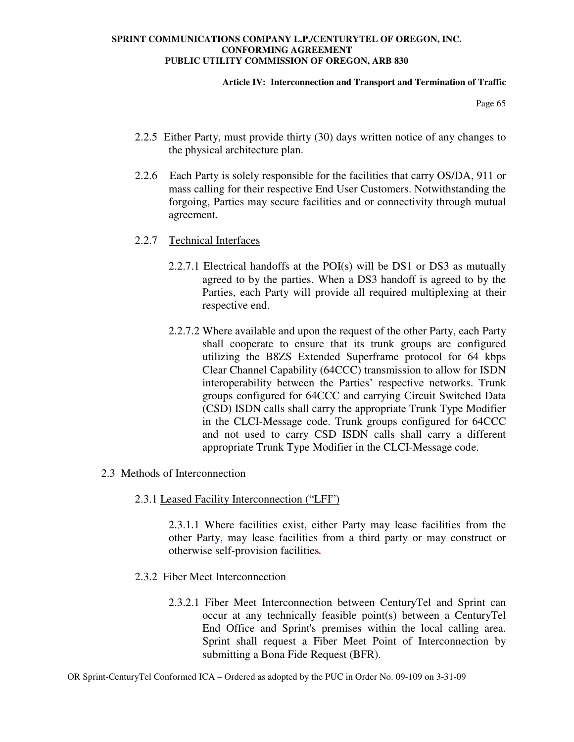### **Article IV: Interconnection and Transport and Termination of Traffic**

Page 65

- 2.2.5 Either Party, must provide thirty (30) days written notice of any changes to the physical architecture plan.
- 2.2.6 Each Party is solely responsible for the facilities that carry OS/DA, 911 or mass calling for their respective End User Customers. Notwithstanding the forgoing, Parties may secure facilities and or connectivity through mutual agreement.
- 2.2.7 Technical Interfaces
	- 2.2.7.1 Electrical handoffs at the POI(s) will be DS1 or DS3 as mutually agreed to by the parties. When a DS3 handoff is agreed to by the Parties, each Party will provide all required multiplexing at their respective end.
	- 2.2.7.2 Where available and upon the request of the other Party, each Party shall cooperate to ensure that its trunk groups are configured utilizing the B8ZS Extended Superframe protocol for 64 kbps Clear Channel Capability (64CCC) transmission to allow for ISDN interoperability between the Parties' respective networks. Trunk groups configured for 64CCC and carrying Circuit Switched Data (CSD) ISDN calls shall carry the appropriate Trunk Type Modifier in the CLCI-Message code. Trunk groups configured for 64CCC and not used to carry CSD ISDN calls shall carry a different appropriate Trunk Type Modifier in the CLCI-Message code.
- 2.3 Methods of Interconnection

## 2.3.1 Leased Facility Interconnection ("LFI")

2.3.1.1 Where facilities exist, either Party may lease facilities from the other Party, may lease facilities from a third party or may construct or otherwise self-provision facilities*.*

- 2.3.2 Fiber Meet Interconnection
	- 2.3.2.1 Fiber Meet Interconnection between CenturyTel and Sprint can occur at any technically feasible point(s) between a CenturyTel End Office and Sprint's premises within the local calling area. Sprint shall request a Fiber Meet Point of Interconnection by submitting a Bona Fide Request (BFR).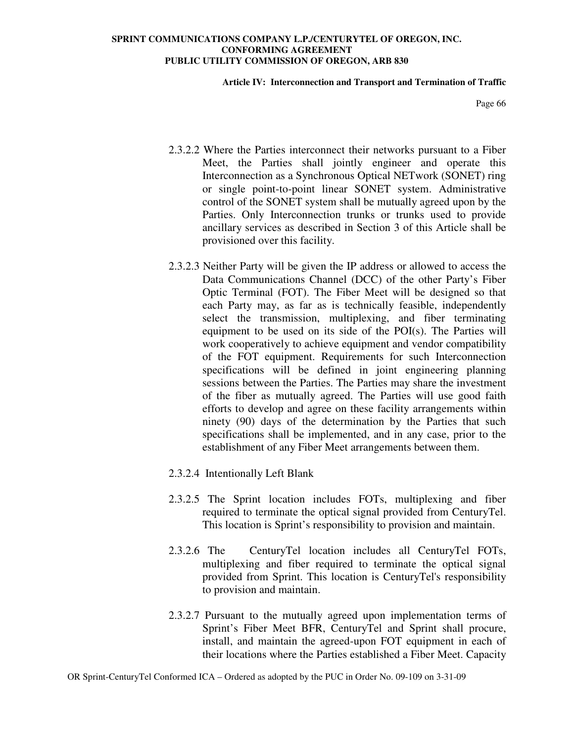#### **Article IV: Interconnection and Transport and Termination of Traffic**

Page 66

- 2.3.2.2 Where the Parties interconnect their networks pursuant to a Fiber Meet, the Parties shall jointly engineer and operate this Interconnection as a Synchronous Optical NETwork (SONET) ring or single point-to-point linear SONET system. Administrative control of the SONET system shall be mutually agreed upon by the Parties. Only Interconnection trunks or trunks used to provide ancillary services as described in Section 3 of this Article shall be provisioned over this facility.
- 2.3.2.3 Neither Party will be given the IP address or allowed to access the Data Communications Channel (DCC) of the other Party's Fiber Optic Terminal (FOT). The Fiber Meet will be designed so that each Party may, as far as is technically feasible, independently select the transmission, multiplexing, and fiber terminating equipment to be used on its side of the POI(s). The Parties will work cooperatively to achieve equipment and vendor compatibility of the FOT equipment. Requirements for such Interconnection specifications will be defined in joint engineering planning sessions between the Parties. The Parties may share the investment of the fiber as mutually agreed. The Parties will use good faith efforts to develop and agree on these facility arrangements within ninety (90) days of the determination by the Parties that such specifications shall be implemented, and in any case, prior to the establishment of any Fiber Meet arrangements between them.
- 2.3.2.4 Intentionally Left Blank
- 2.3.2.5 The Sprint location includes FOTs, multiplexing and fiber required to terminate the optical signal provided from CenturyTel. This location is Sprint's responsibility to provision and maintain.
- 2.3.2.6 The CenturyTel location includes all CenturyTel FOTs, multiplexing and fiber required to terminate the optical signal provided from Sprint. This location is CenturyTel's responsibility to provision and maintain.
- 2.3.2.7 Pursuant to the mutually agreed upon implementation terms of Sprint's Fiber Meet BFR, CenturyTel and Sprint shall procure, install, and maintain the agreed-upon FOT equipment in each of their locations where the Parties established a Fiber Meet. Capacity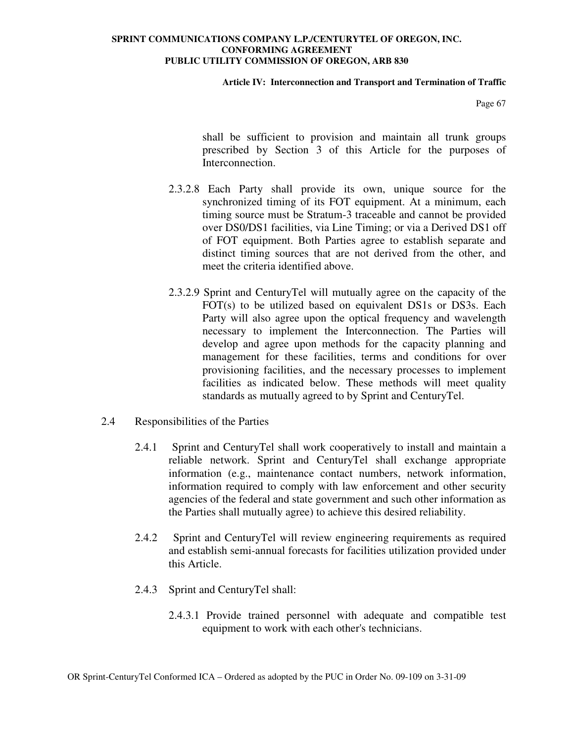### **Article IV: Interconnection and Transport and Termination of Traffic**

Page 67

shall be sufficient to provision and maintain all trunk groups prescribed by Section 3 of this Article for the purposes of Interconnection.

- 2.3.2.8 Each Party shall provide its own, unique source for the synchronized timing of its FOT equipment. At a minimum, each timing source must be Stratum-3 traceable and cannot be provided over DS0/DS1 facilities, via Line Timing; or via a Derived DS1 off of FOT equipment. Both Parties agree to establish separate and distinct timing sources that are not derived from the other, and meet the criteria identified above.
- 2.3.2.9 Sprint and CenturyTel will mutually agree on the capacity of the FOT(s) to be utilized based on equivalent DS1s or DS3s. Each Party will also agree upon the optical frequency and wavelength necessary to implement the Interconnection. The Parties will develop and agree upon methods for the capacity planning and management for these facilities, terms and conditions for over provisioning facilities, and the necessary processes to implement facilities as indicated below. These methods will meet quality standards as mutually agreed to by Sprint and CenturyTel.
- 2.4 Responsibilities of the Parties
	- 2.4.1 Sprint and CenturyTel shall work cooperatively to install and maintain a reliable network. Sprint and CenturyTel shall exchange appropriate information (e.g., maintenance contact numbers, network information, information required to comply with law enforcement and other security agencies of the federal and state government and such other information as the Parties shall mutually agree) to achieve this desired reliability.
	- 2.4.2 Sprint and CenturyTel will review engineering requirements as required and establish semi-annual forecasts for facilities utilization provided under this Article.
	- 2.4.3 Sprint and CenturyTel shall:
		- 2.4.3.1 Provide trained personnel with adequate and compatible test equipment to work with each other's technicians.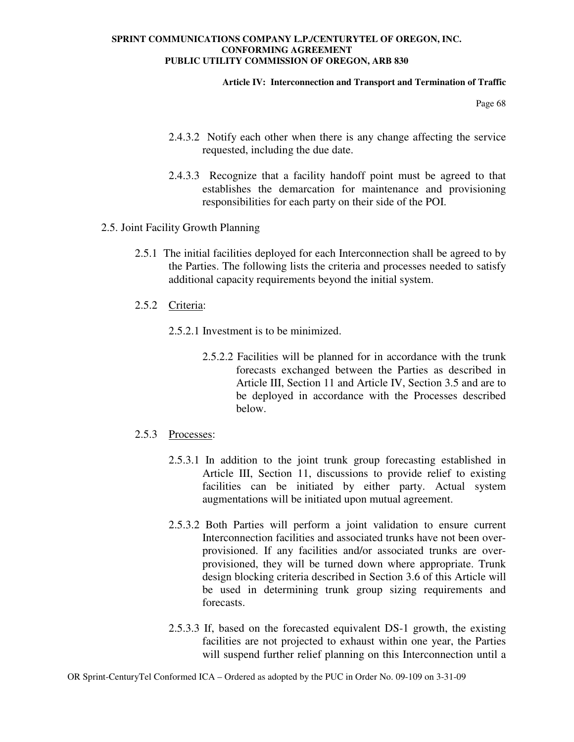### **Article IV: Interconnection and Transport and Termination of Traffic**

Page 68

- 2.4.3.2 Notify each other when there is any change affecting the service requested, including the due date.
- 2.4.3.3 Recognize that a facility handoff point must be agreed to that establishes the demarcation for maintenance and provisioning responsibilities for each party on their side of the POI.
- 2.5. Joint Facility Growth Planning
	- 2.5.1 The initial facilities deployed for each Interconnection shall be agreed to by the Parties. The following lists the criteria and processes needed to satisfy additional capacity requirements beyond the initial system.
	- 2.5.2 Criteria:
		- 2.5.2.1 Investment is to be minimized.
			- 2.5.2.2 Facilities will be planned for in accordance with the trunk forecasts exchanged between the Parties as described in Article III, Section 11 and Article IV, Section 3.5 and are to be deployed in accordance with the Processes described below.

# 2.5.3 Processes:

- 2.5.3.1 In addition to the joint trunk group forecasting established in Article III, Section 11, discussions to provide relief to existing facilities can be initiated by either party. Actual system augmentations will be initiated upon mutual agreement.
- 2.5.3.2 Both Parties will perform a joint validation to ensure current Interconnection facilities and associated trunks have not been overprovisioned. If any facilities and/or associated trunks are overprovisioned, they will be turned down where appropriate. Trunk design blocking criteria described in Section 3.6 of this Article will be used in determining trunk group sizing requirements and forecasts.
- 2.5.3.3 If, based on the forecasted equivalent DS-1 growth, the existing facilities are not projected to exhaust within one year, the Parties will suspend further relief planning on this Interconnection until a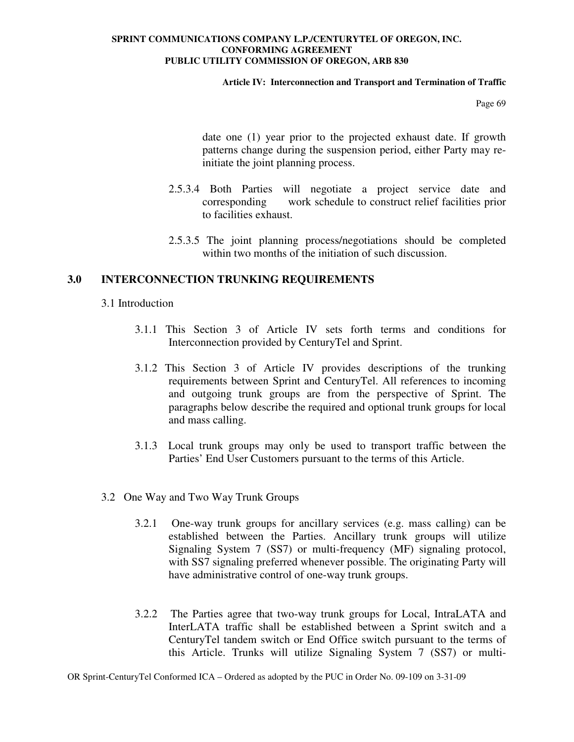### **Article IV: Interconnection and Transport and Termination of Traffic**

Page 69

date one (1) year prior to the projected exhaust date. If growth patterns change during the suspension period, either Party may reinitiate the joint planning process.

- 2.5.3.4 Both Parties will negotiate a project service date and corresponding work schedule to construct relief facilities prior to facilities exhaust.
- 2.5.3.5 The joint planning process/negotiations should be completed within two months of the initiation of such discussion.

## **3.0 INTERCONNECTION TRUNKING REQUIREMENTS**

### 3.1 Introduction

- 3.1.1 This Section 3 of Article IV sets forth terms and conditions for Interconnection provided by CenturyTel and Sprint.
- 3.1.2 This Section 3 of Article IV provides descriptions of the trunking requirements between Sprint and CenturyTel. All references to incoming and outgoing trunk groups are from the perspective of Sprint. The paragraphs below describe the required and optional trunk groups for local and mass calling.
- 3.1.3 Local trunk groups may only be used to transport traffic between the Parties' End User Customers pursuant to the terms of this Article.
- 3.2 One Way and Two Way Trunk Groups
	- 3.2.1 One-way trunk groups for ancillary services (e.g. mass calling) can be established between the Parties. Ancillary trunk groups will utilize Signaling System 7 (SS7) or multi-frequency (MF) signaling protocol, with SS7 signaling preferred whenever possible. The originating Party will have administrative control of one-way trunk groups.
	- 3.2.2 The Parties agree that two-way trunk groups for Local, IntraLATA and InterLATA traffic shall be established between a Sprint switch and a CenturyTel tandem switch or End Office switch pursuant to the terms of this Article. Trunks will utilize Signaling System 7 (SS7) or multi-

OR Sprint-CenturyTel Conformed ICA – Ordered as adopted by the PUC in Order No. 09-109 on 3-31-09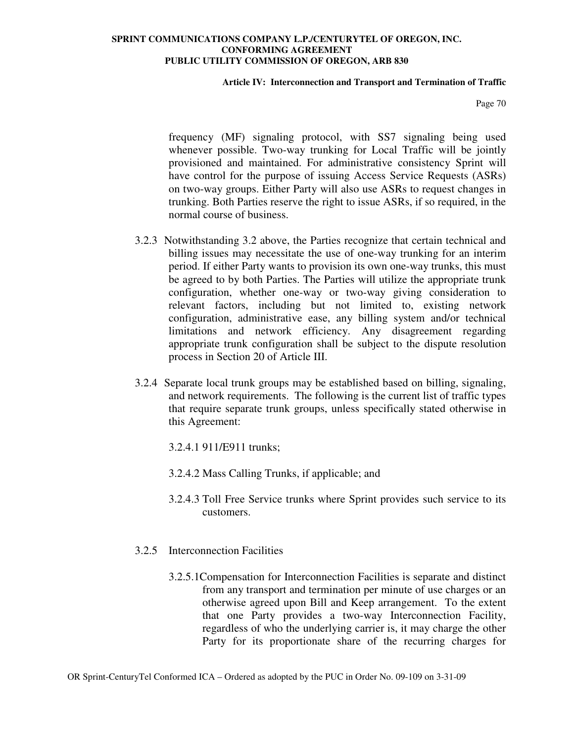### **Article IV: Interconnection and Transport and Termination of Traffic**

Page 70

frequency (MF) signaling protocol, with SS7 signaling being used whenever possible. Two-way trunking for Local Traffic will be jointly provisioned and maintained. For administrative consistency Sprint will have control for the purpose of issuing Access Service Requests (ASRs) on two-way groups. Either Party will also use ASRs to request changes in trunking. Both Parties reserve the right to issue ASRs, if so required, in the normal course of business.

- 3.2.3 Notwithstanding 3.2 above, the Parties recognize that certain technical and billing issues may necessitate the use of one-way trunking for an interim period. If either Party wants to provision its own one-way trunks, this must be agreed to by both Parties. The Parties will utilize the appropriate trunk configuration, whether one-way or two-way giving consideration to relevant factors, including but not limited to, existing network configuration, administrative ease, any billing system and/or technical limitations and network efficiency. Any disagreement regarding appropriate trunk configuration shall be subject to the dispute resolution process in Section 20 of Article III.
- 3.2.4 Separate local trunk groups may be established based on billing, signaling, and network requirements. The following is the current list of traffic types that require separate trunk groups, unless specifically stated otherwise in this Agreement:
	- 3.2.4.1 911/E911 trunks;
	- 3.2.4.2 Mass Calling Trunks, if applicable; and
	- 3.2.4.3 Toll Free Service trunks where Sprint provides such service to its customers.
- 3.2.5 Interconnection Facilities
	- 3.2.5.1Compensation for Interconnection Facilities is separate and distinct from any transport and termination per minute of use charges or an otherwise agreed upon Bill and Keep arrangement. To the extent that one Party provides a two-way Interconnection Facility, regardless of who the underlying carrier is, it may charge the other Party for its proportionate share of the recurring charges for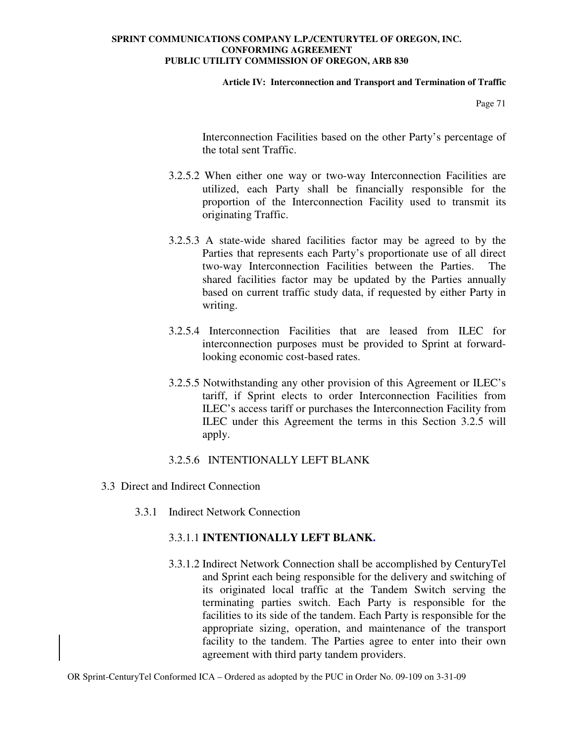### **Article IV: Interconnection and Transport and Termination of Traffic**

Page 71

Interconnection Facilities based on the other Party's percentage of the total sent Traffic.

- 3.2.5.2 When either one way or two-way Interconnection Facilities are utilized, each Party shall be financially responsible for the proportion of the Interconnection Facility used to transmit its originating Traffic.
- 3.2.5.3 A state-wide shared facilities factor may be agreed to by the Parties that represents each Party's proportionate use of all direct two-way Interconnection Facilities between the Parties. The shared facilities factor may be updated by the Parties annually based on current traffic study data, if requested by either Party in writing.
- 3.2.5.4 Interconnection Facilities that are leased from ILEC for interconnection purposes must be provided to Sprint at forwardlooking economic cost-based rates.
- 3.2.5.5 Notwithstanding any other provision of this Agreement or ILEC's tariff, if Sprint elects to order Interconnection Facilities from ILEC's access tariff or purchases the Interconnection Facility from ILEC under this Agreement the terms in this Section 3.2.5 will apply.

## 3.2.5.6INTENTIONALLY LEFT BLANK

- 3.3 Direct and Indirect Connection
	- 3.3.1 Indirect Network Connection

# 3.3.1.1 **INTENTIONALLY LEFT BLANK.**

3.3.1.2 Indirect Network Connection shall be accomplished by CenturyTel and Sprint each being responsible for the delivery and switching of its originated local traffic at the Tandem Switch serving the terminating parties switch. Each Party is responsible for the facilities to its side of the tandem. Each Party is responsible for the appropriate sizing, operation, and maintenance of the transport facility to the tandem. The Parties agree to enter into their own agreement with third party tandem providers.

OR Sprint-CenturyTel Conformed ICA – Ordered as adopted by the PUC in Order No. 09-109 on 3-31-09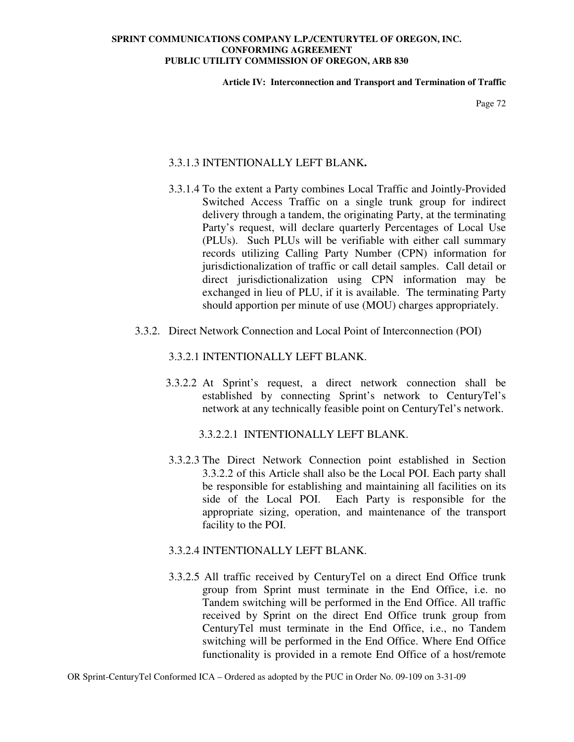### **Article IV: Interconnection and Transport and Termination of Traffic**

Page 72

# 3.3.1.3 INTENTIONALLY LEFT BLANK**.**

- 3.3.1.4 To the extent a Party combines Local Traffic and Jointly-Provided Switched Access Traffic on a single trunk group for indirect delivery through a tandem, the originating Party, at the terminating Party's request, will declare quarterly Percentages of Local Use (PLUs). Such PLUs will be verifiable with either call summary records utilizing Calling Party Number (CPN) information for jurisdictionalization of traffic or call detail samples. Call detail or direct jurisdictionalization using CPN information may be exchanged in lieu of PLU, if it is available. The terminating Party should apportion per minute of use (MOU) charges appropriately.
- 3.3.2. Direct Network Connection and Local Point of Interconnection (POI)

# 3.3.2.1 INTENTIONALLY LEFT BLANK.

- 3.3.2.2 At Sprint's request, a direct network connection shall be established by connecting Sprint's network to CenturyTel's network at any technically feasible point on CenturyTel's network.
	- 3.3.2.2.1 INTENTIONALLY LEFT BLANK.
- 3.3.2.3 The Direct Network Connection point established in Section 3.3.2.2 of this Article shall also be the Local POI. Each party shall be responsible for establishing and maintaining all facilities on its side of the Local POI. Each Party is responsible for the appropriate sizing, operation, and maintenance of the transport facility to the POI.

### 3.3.2.4 INTENTIONALLY LEFT BLANK.

3.3.2.5 All traffic received by CenturyTel on a direct End Office trunk group from Sprint must terminate in the End Office, i.e. no Tandem switching will be performed in the End Office. All traffic received by Sprint on the direct End Office trunk group from CenturyTel must terminate in the End Office, i.e., no Tandem switching will be performed in the End Office. Where End Office functionality is provided in a remote End Office of a host/remote

OR Sprint-CenturyTel Conformed ICA – Ordered as adopted by the PUC in Order No. 09-109 on 3-31-09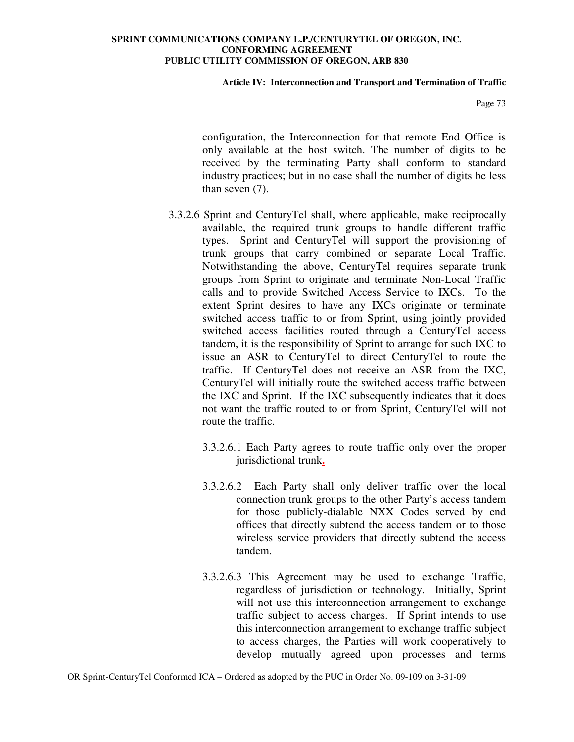### **Article IV: Interconnection and Transport and Termination of Traffic**

Page 73

configuration, the Interconnection for that remote End Office is only available at the host switch. The number of digits to be received by the terminating Party shall conform to standard industry practices; but in no case shall the number of digits be less than seven (7).

- 3.3.2.6 Sprint and CenturyTel shall, where applicable, make reciprocally available, the required trunk groups to handle different traffic types. Sprint and CenturyTel will support the provisioning of trunk groups that carry combined or separate Local Traffic. Notwithstanding the above, CenturyTel requires separate trunk groups from Sprint to originate and terminate Non-Local Traffic calls and to provide Switched Access Service to IXCs. To the extent Sprint desires to have any IXCs originate or terminate switched access traffic to or from Sprint, using jointly provided switched access facilities routed through a CenturyTel access tandem, it is the responsibility of Sprint to arrange for such IXC to issue an ASR to CenturyTel to direct CenturyTel to route the traffic. If CenturyTel does not receive an ASR from the IXC, CenturyTel will initially route the switched access traffic between the IXC and Sprint. If the IXC subsequently indicates that it does not want the traffic routed to or from Sprint, CenturyTel will not route the traffic.
	- 3.3.2.6.1 Each Party agrees to route traffic only over the proper jurisdictional trunk**.**
	- 3.3.2.6.2 Each Party shall only deliver traffic over the local connection trunk groups to the other Party's access tandem for those publicly-dialable NXX Codes served by end offices that directly subtend the access tandem or to those wireless service providers that directly subtend the access tandem.
	- 3.3.2.6.3 This Agreement may be used to exchange Traffic, regardless of jurisdiction or technology. Initially, Sprint will not use this interconnection arrangement to exchange traffic subject to access charges. If Sprint intends to use this interconnection arrangement to exchange traffic subject to access charges, the Parties will work cooperatively to develop mutually agreed upon processes and terms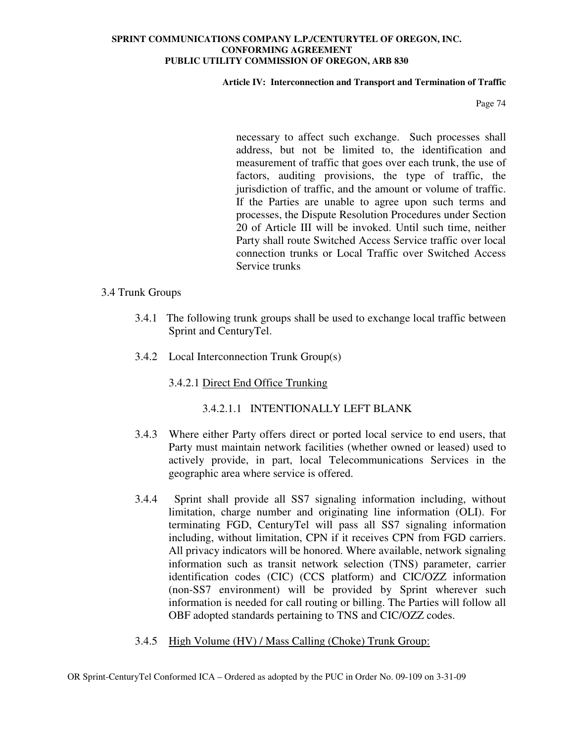### **Article IV: Interconnection and Transport and Termination of Traffic**

Page 74

necessary to affect such exchange. Such processes shall address, but not be limited to, the identification and measurement of traffic that goes over each trunk, the use of factors, auditing provisions, the type of traffic, the jurisdiction of traffic, and the amount or volume of traffic. If the Parties are unable to agree upon such terms and processes, the Dispute Resolution Procedures under Section 20 of Article III will be invoked. Until such time, neither Party shall route Switched Access Service traffic over local connection trunks or Local Traffic over Switched Access Service trunks

## 3.4 Trunk Groups

- 3.4.1 The following trunk groups shall be used to exchange local traffic between Sprint and CenturyTel.
- 3.4.2 Local Interconnection Trunk Group(s)

# 3.4.2.1 Direct End Office Trunking

# 3.4.2.1.1 INTENTIONALLY LEFT BLANK

- 3.4.3 Where either Party offers direct or ported local service to end users, that Party must maintain network facilities (whether owned or leased) used to actively provide, in part, local Telecommunications Services in the geographic area where service is offered.
- 3.4.4 Sprint shall provide all SS7 signaling information including, without limitation, charge number and originating line information (OLI). For terminating FGD, CenturyTel will pass all SS7 signaling information including, without limitation, CPN if it receives CPN from FGD carriers. All privacy indicators will be honored. Where available, network signaling information such as transit network selection (TNS) parameter, carrier identification codes (CIC) (CCS platform) and CIC/OZZ information (non-SS7 environment) will be provided by Sprint wherever such information is needed for call routing or billing. The Parties will follow all OBF adopted standards pertaining to TNS and CIC/OZZ codes.
- 3.4.5 High Volume (HV) / Mass Calling (Choke) Trunk Group: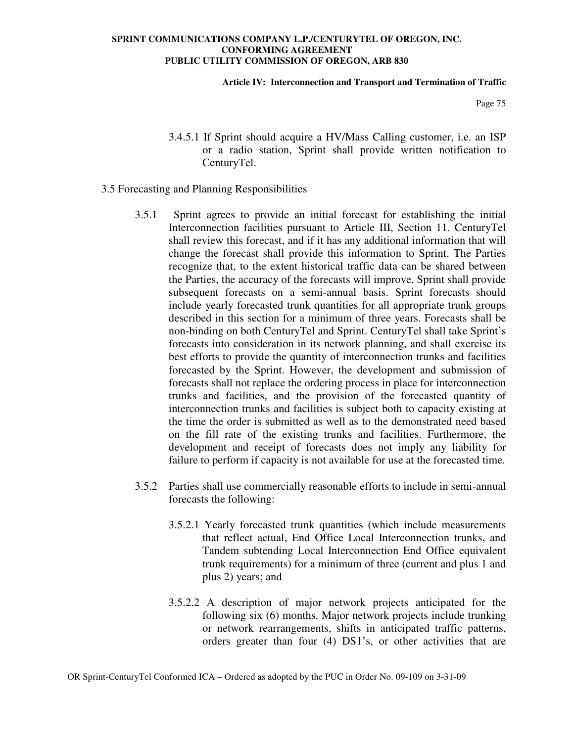### **Article IV: Interconnection and Transport and Termination of Traffic**

Page 75

- 3.4.5.1 If Sprint should acquire a HV/Mass Calling customer, i.e. an ISP or a radio station, Sprint shall provide written notification to CenturyTel.
- 3.5 Forecasting and Planning Responsibilities
	- 3.5.1 Sprint agrees to provide an initial forecast for establishing the initial Interconnection facilities pursuant to Article III, Section 11. CenturyTel shall review this forecast, and if it has any additional information that will change the forecast shall provide this information to Sprint. The Parties recognize that, to the extent historical traffic data can be shared between the Parties, the accuracy of the forecasts will improve. Sprint shall provide subsequent forecasts on a semi-annual basis. Sprint forecasts should include yearly forecasted trunk quantities for all appropriate trunk groups described in this section for a minimum of three years. Forecasts shall be non-binding on both CenturyTel and Sprint. CenturyTel shall take Sprint's forecasts into consideration in its network planning, and shall exercise its best efforts to provide the quantity of interconnection trunks and facilities forecasted by the Sprint. However, the development and submission of forecasts shall not replace the ordering process in place for interconnection trunks and facilities, and the provision of the forecasted quantity of interconnection trunks and facilities is subject both to capacity existing at the time the order is submitted as well as to the demonstrated need based on the fill rate of the existing trunks and facilities. Furthermore, the development and receipt of forecasts does not imply any liability for failure to perform if capacity is not available for use at the forecasted time.
	- 3.5.2 Parties shall use commercially reasonable efforts to include in semi-annual forecasts the following:
		- 3.5.2.1 Yearly forecasted trunk quantities (which include measurements that reflect actual, End Office Local Interconnection trunks, and Tandem subtending Local Interconnection End Office equivalent trunk requirements) for a minimum of three (current and plus 1 and plus 2) years; and
		- 3.5.2.2 A description of major network projects anticipated for the following six (6) months. Major network projects include trunking or network rearrangements, shifts in anticipated traffic patterns, orders greater than four (4) DS1's, or other activities that are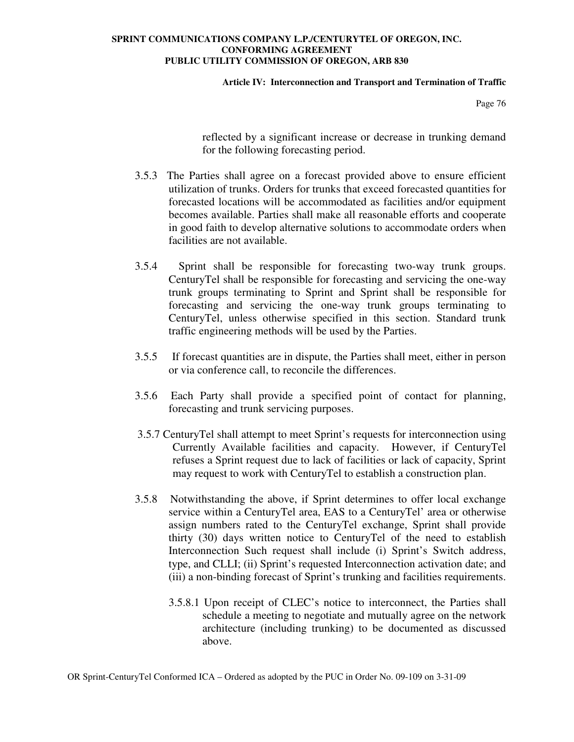### **Article IV: Interconnection and Transport and Termination of Traffic**

Page 76

reflected by a significant increase or decrease in trunking demand for the following forecasting period.

- 3.5.3 The Parties shall agree on a forecast provided above to ensure efficient utilization of trunks. Orders for trunks that exceed forecasted quantities for forecasted locations will be accommodated as facilities and/or equipment becomes available. Parties shall make all reasonable efforts and cooperate in good faith to develop alternative solutions to accommodate orders when facilities are not available.
- 3.5.4 Sprint shall be responsible for forecasting two-way trunk groups. CenturyTel shall be responsible for forecasting and servicing the one-way trunk groups terminating to Sprint and Sprint shall be responsible for forecasting and servicing the one-way trunk groups terminating to CenturyTel, unless otherwise specified in this section. Standard trunk traffic engineering methods will be used by the Parties.
- 3.5.5 If forecast quantities are in dispute, the Parties shall meet, either in person or via conference call, to reconcile the differences.
- 3.5.6 Each Party shall provide a specified point of contact for planning, forecasting and trunk servicing purposes.
- 3.5.7 CenturyTel shall attempt to meet Sprint's requests for interconnection using Currently Available facilities and capacity. However, if CenturyTel refuses a Sprint request due to lack of facilities or lack of capacity, Sprint may request to work with CenturyTel to establish a construction plan.
- 3.5.8 Notwithstanding the above, if Sprint determines to offer local exchange service within a CenturyTel area, EAS to a CenturyTel' area or otherwise assign numbers rated to the CenturyTel exchange, Sprint shall provide thirty (30) days written notice to CenturyTel of the need to establish Interconnection Such request shall include (i) Sprint's Switch address, type, and CLLI; (ii) Sprint's requested Interconnection activation date; and (iii) a non-binding forecast of Sprint's trunking and facilities requirements.
	- 3.5.8.1 Upon receipt of CLEC's notice to interconnect, the Parties shall schedule a meeting to negotiate and mutually agree on the network architecture (including trunking) to be documented as discussed above.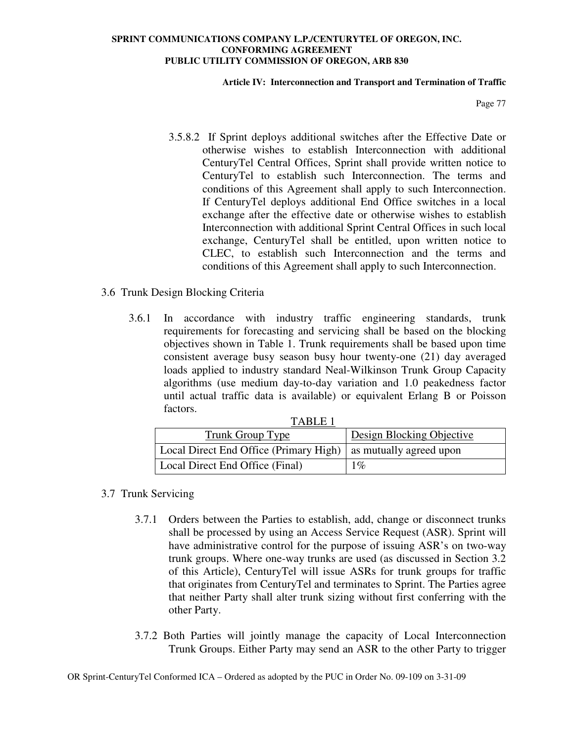### **Article IV: Interconnection and Transport and Termination of Traffic**

Page 77

3.5.8.2 If Sprint deploys additional switches after the Effective Date or otherwise wishes to establish Interconnection with additional CenturyTel Central Offices, Sprint shall provide written notice to CenturyTel to establish such Interconnection. The terms and conditions of this Agreement shall apply to such Interconnection. If CenturyTel deploys additional End Office switches in a local exchange after the effective date or otherwise wishes to establish Interconnection with additional Sprint Central Offices in such local exchange, CenturyTel shall be entitled, upon written notice to CLEC, to establish such Interconnection and the terms and conditions of this Agreement shall apply to such Interconnection.

# 3.6 Trunk Design Blocking Criteria

3.6.1 In accordance with industry traffic engineering standards, trunk requirements for forecasting and servicing shall be based on the blocking objectives shown in Table 1. Trunk requirements shall be based upon time consistent average busy season busy hour twenty-one (21) day averaged loads applied to industry standard Neal-Wilkinson Trunk Group Capacity algorithms (use medium day-to-day variation and 1.0 peakedness factor until actual traffic data is available) or equivalent Erlang B or Poisson factors.

| TARLE <sub>1</sub>                                             |                           |  |  |  |
|----------------------------------------------------------------|---------------------------|--|--|--|
| Trunk Group Type                                               | Design Blocking Objective |  |  |  |
| Local Direct End Office (Primary High) as mutually agreed upon |                           |  |  |  |
| Local Direct End Office (Final)                                | $1\%$                     |  |  |  |

# 3.7 Trunk Servicing

- 3.7.1 Orders between the Parties to establish, add, change or disconnect trunks shall be processed by using an Access Service Request (ASR). Sprint will have administrative control for the purpose of issuing ASR's on two-way trunk groups. Where one-way trunks are used (as discussed in Section 3.2 of this Article), CenturyTel will issue ASRs for trunk groups for traffic that originates from CenturyTel and terminates to Sprint. The Parties agree that neither Party shall alter trunk sizing without first conferring with the other Party.
- 3.7.2 Both Parties will jointly manage the capacity of Local Interconnection Trunk Groups. Either Party may send an ASR to the other Party to trigger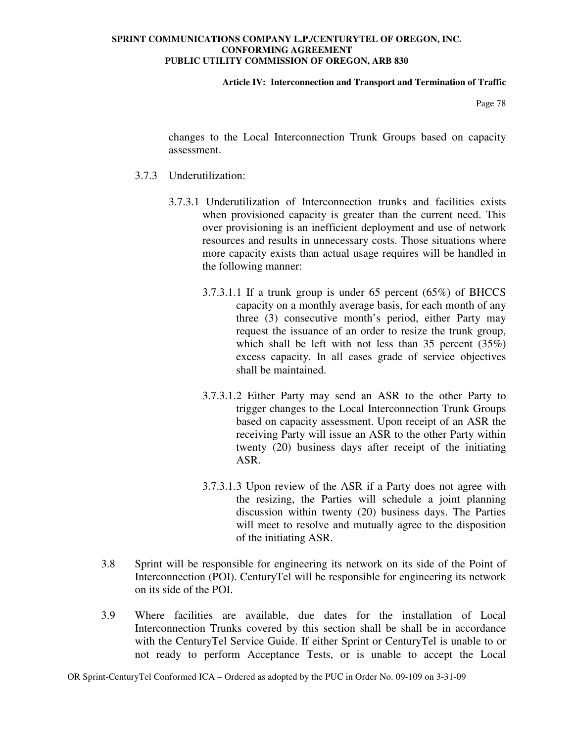### **Article IV: Interconnection and Transport and Termination of Traffic**

Page 78

changes to the Local Interconnection Trunk Groups based on capacity assessment.

- 3.7.3 Underutilization:
	- 3.7.3.1 Underutilization of Interconnection trunks and facilities exists when provisioned capacity is greater than the current need. This over provisioning is an inefficient deployment and use of network resources and results in unnecessary costs. Those situations where more capacity exists than actual usage requires will be handled in the following manner:
		- 3.7.3.1.1 If a trunk group is under 65 percent (65%) of BHCCS capacity on a monthly average basis, for each month of any three (3) consecutive month's period, either Party may request the issuance of an order to resize the trunk group, which shall be left with not less than 35 percent (35%) excess capacity. In all cases grade of service objectives shall be maintained.
		- 3.7.3.1.2 Either Party may send an ASR to the other Party to trigger changes to the Local Interconnection Trunk Groups based on capacity assessment. Upon receipt of an ASR the receiving Party will issue an ASR to the other Party within twenty (20) business days after receipt of the initiating ASR.
		- 3.7.3.1.3 Upon review of the ASR if a Party does not agree with the resizing, the Parties will schedule a joint planning discussion within twenty (20) business days. The Parties will meet to resolve and mutually agree to the disposition of the initiating ASR.
- 3.8 Sprint will be responsible for engineering its network on its side of the Point of Interconnection (POI). CenturyTel will be responsible for engineering its network on its side of the POI.
- 3.9 Where facilities are available, due dates for the installation of Local Interconnection Trunks covered by this section shall be shall be in accordance with the CenturyTel Service Guide. If either Sprint or CenturyTel is unable to or not ready to perform Acceptance Tests, or is unable to accept the Local

OR Sprint-CenturyTel Conformed ICA – Ordered as adopted by the PUC in Order No. 09-109 on 3-31-09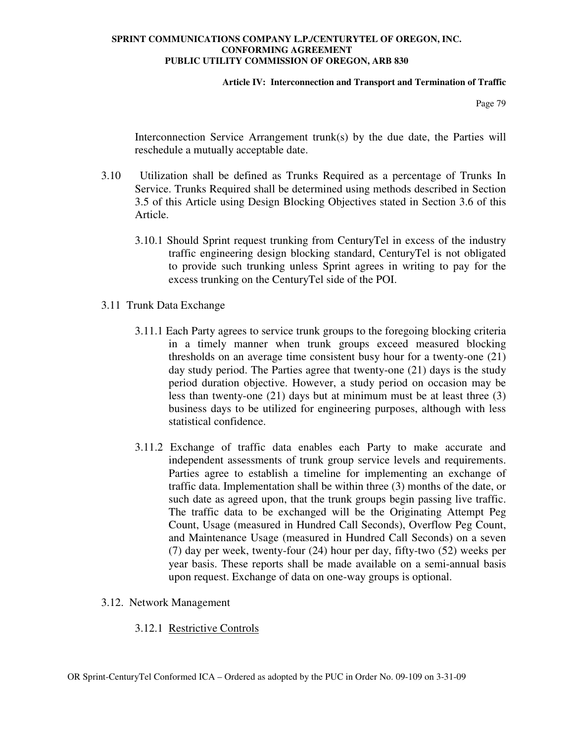### **Article IV: Interconnection and Transport and Termination of Traffic**

Page 79

Interconnection Service Arrangement trunk(s) by the due date, the Parties will reschedule a mutually acceptable date.

- 3.10 Utilization shall be defined as Trunks Required as a percentage of Trunks In Service. Trunks Required shall be determined using methods described in Section 3.5 of this Article using Design Blocking Objectives stated in Section 3.6 of this Article.
	- 3.10.1 Should Sprint request trunking from CenturyTel in excess of the industry traffic engineering design blocking standard, CenturyTel is not obligated to provide such trunking unless Sprint agrees in writing to pay for the excess trunking on the CenturyTel side of the POI.
- 3.11 Trunk Data Exchange
	- 3.11.1 Each Party agrees to service trunk groups to the foregoing blocking criteria in a timely manner when trunk groups exceed measured blocking thresholds on an average time consistent busy hour for a twenty-one (21) day study period. The Parties agree that twenty-one (21) days is the study period duration objective. However, a study period on occasion may be less than twenty-one (21) days but at minimum must be at least three (3) business days to be utilized for engineering purposes, although with less statistical confidence.
	- 3.11.2 Exchange of traffic data enables each Party to make accurate and independent assessments of trunk group service levels and requirements. Parties agree to establish a timeline for implementing an exchange of traffic data. Implementation shall be within three (3) months of the date, or such date as agreed upon, that the trunk groups begin passing live traffic. The traffic data to be exchanged will be the Originating Attempt Peg Count, Usage (measured in Hundred Call Seconds), Overflow Peg Count, and Maintenance Usage (measured in Hundred Call Seconds) on a seven (7) day per week, twenty-four (24) hour per day, fifty-two (52) weeks per year basis. These reports shall be made available on a semi-annual basis upon request. Exchange of data on one-way groups is optional.
- 3.12. Network Management
	- 3.12.1 Restrictive Controls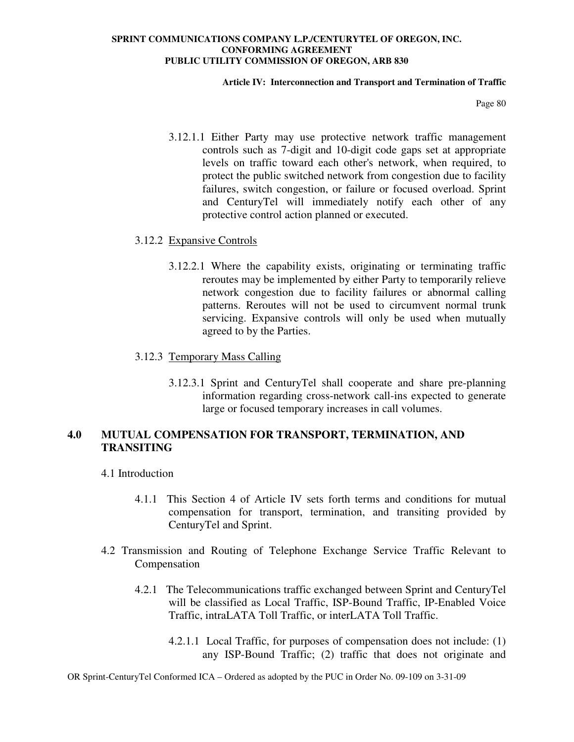### **Article IV: Interconnection and Transport and Termination of Traffic**

Page 80

3.12.1.1 Either Party may use protective network traffic management controls such as 7-digit and 10-digit code gaps set at appropriate levels on traffic toward each other's network, when required, to protect the public switched network from congestion due to facility failures, switch congestion, or failure or focused overload. Sprint and CenturyTel will immediately notify each other of any protective control action planned or executed.

### 3.12.2 Expansive Controls

3.12.2.1 Where the capability exists, originating or terminating traffic reroutes may be implemented by either Party to temporarily relieve network congestion due to facility failures or abnormal calling patterns. Reroutes will not be used to circumvent normal trunk servicing. Expansive controls will only be used when mutually agreed to by the Parties.

## 3.12.3 Temporary Mass Calling

3.12.3.1 Sprint and CenturyTel shall cooperate and share pre-planning information regarding cross-network call-ins expected to generate large or focused temporary increases in call volumes.

# **4.0 MUTUAL COMPENSATION FOR TRANSPORT, TERMINATION, AND TRANSITING**

- 4.1 Introduction
	- 4.1.1 This Section 4 of Article IV sets forth terms and conditions for mutual compensation for transport, termination, and transiting provided by CenturyTel and Sprint.
- 4.2 Transmission and Routing of Telephone Exchange Service Traffic Relevant to Compensation
	- 4.2.1 The Telecommunications traffic exchanged between Sprint and CenturyTel will be classified as Local Traffic, ISP-Bound Traffic, IP-Enabled Voice Traffic, intraLATA Toll Traffic, or interLATA Toll Traffic.
		- 4.2.1.1 Local Traffic, for purposes of compensation does not include: (1) any ISP-Bound Traffic; (2) traffic that does not originate and

OR Sprint-CenturyTel Conformed ICA – Ordered as adopted by the PUC in Order No. 09-109 on 3-31-09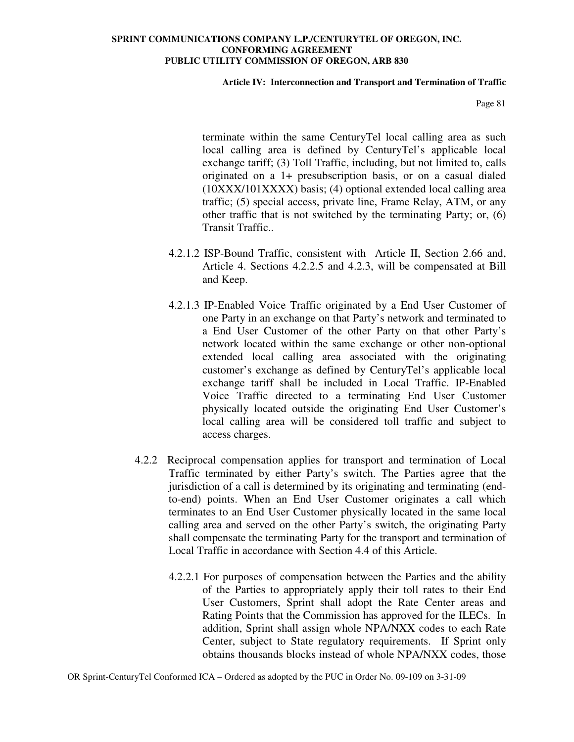### **Article IV: Interconnection and Transport and Termination of Traffic**

Page 81

terminate within the same CenturyTel local calling area as such local calling area is defined by CenturyTel's applicable local exchange tariff; (3) Toll Traffic, including, but not limited to, calls originated on a 1+ presubscription basis, or on a casual dialed (10XXX/101XXXX) basis; (4) optional extended local calling area traffic; (5) special access, private line, Frame Relay, ATM, or any other traffic that is not switched by the terminating Party; or, (6) Transit Traffic..

- 4.2.1.2 ISP-Bound Traffic, consistent with Article II, Section 2.66 and, Article 4. Sections 4.2.2.5 and 4.2.3, will be compensated at Bill and Keep.
- 4.2.1.3 IP-Enabled Voice Traffic originated by a End User Customer of one Party in an exchange on that Party's network and terminated to a End User Customer of the other Party on that other Party's network located within the same exchange or other non-optional extended local calling area associated with the originating customer's exchange as defined by CenturyTel's applicable local exchange tariff shall be included in Local Traffic. IP-Enabled Voice Traffic directed to a terminating End User Customer physically located outside the originating End User Customer's local calling area will be considered toll traffic and subject to access charges.
- 4.2.2 Reciprocal compensation applies for transport and termination of Local Traffic terminated by either Party's switch. The Parties agree that the jurisdiction of a call is determined by its originating and terminating (endto-end) points. When an End User Customer originates a call which terminates to an End User Customer physically located in the same local calling area and served on the other Party's switch, the originating Party shall compensate the terminating Party for the transport and termination of Local Traffic in accordance with Section 4.4 of this Article.
	- 4.2.2.1 For purposes of compensation between the Parties and the ability of the Parties to appropriately apply their toll rates to their End User Customers, Sprint shall adopt the Rate Center areas and Rating Points that the Commission has approved for the ILECs. In addition, Sprint shall assign whole NPA/NXX codes to each Rate Center, subject to State regulatory requirements. If Sprint only obtains thousands blocks instead of whole NPA/NXX codes, those

OR Sprint-CenturyTel Conformed ICA – Ordered as adopted by the PUC in Order No. 09-109 on 3-31-09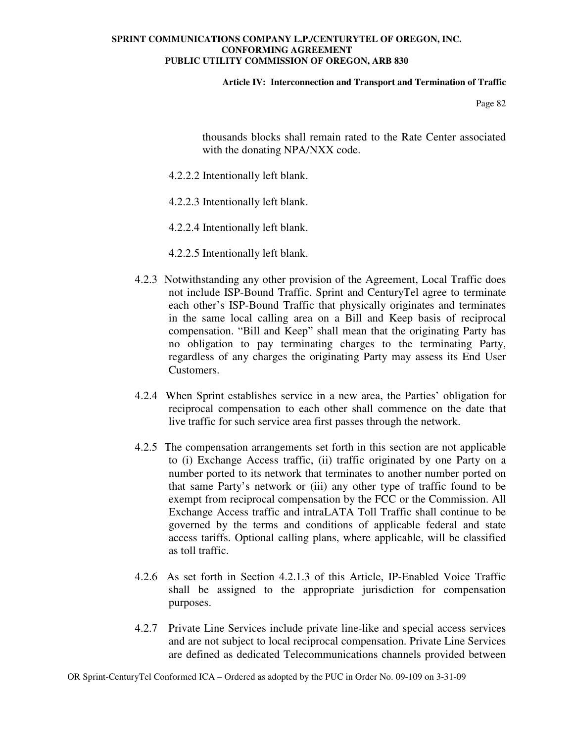### **Article IV: Interconnection and Transport and Termination of Traffic**

Page 82

thousands blocks shall remain rated to the Rate Center associated with the donating NPA/NXX code.

- 4.2.2.2 Intentionally left blank.
- 4.2.2.3 Intentionally left blank.
- 4.2.2.4 Intentionally left blank.
- 4.2.2.5 Intentionally left blank.
- 4.2.3 Notwithstanding any other provision of the Agreement, Local Traffic does not include ISP-Bound Traffic. Sprint and CenturyTel agree to terminate each other's ISP-Bound Traffic that physically originates and terminates in the same local calling area on a Bill and Keep basis of reciprocal compensation. "Bill and Keep" shall mean that the originating Party has no obligation to pay terminating charges to the terminating Party, regardless of any charges the originating Party may assess its End User Customers.
- 4.2.4 When Sprint establishes service in a new area, the Parties' obligation for reciprocal compensation to each other shall commence on the date that live traffic for such service area first passes through the network.
- 4.2.5 The compensation arrangements set forth in this section are not applicable to (i) Exchange Access traffic, (ii) traffic originated by one Party on a number ported to its network that terminates to another number ported on that same Party's network or (iii) any other type of traffic found to be exempt from reciprocal compensation by the FCC or the Commission. All Exchange Access traffic and intraLATA Toll Traffic shall continue to be governed by the terms and conditions of applicable federal and state access tariffs. Optional calling plans, where applicable, will be classified as toll traffic.
- 4.2.6 As set forth in Section 4.2.1.3 of this Article, IP-Enabled Voice Traffic shall be assigned to the appropriate jurisdiction for compensation purposes.
- 4.2.7 Private Line Services include private line-like and special access services and are not subject to local reciprocal compensation. Private Line Services are defined as dedicated Telecommunications channels provided between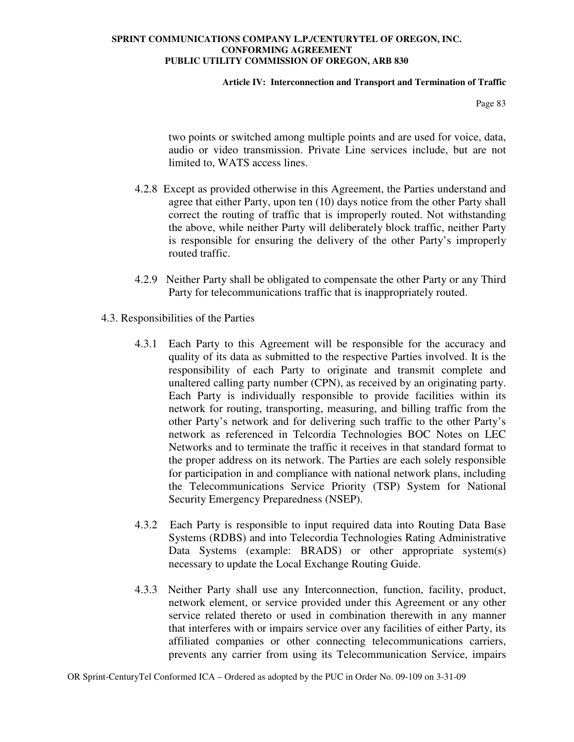### **Article IV: Interconnection and Transport and Termination of Traffic**

Page 83

two points or switched among multiple points and are used for voice, data, audio or video transmission. Private Line services include, but are not limited to, WATS access lines.

- 4.2.8 Except as provided otherwise in this Agreement, the Parties understand and agree that either Party, upon ten (10) days notice from the other Party shall correct the routing of traffic that is improperly routed. Not withstanding the above, while neither Party will deliberately block traffic, neither Party is responsible for ensuring the delivery of the other Party's improperly routed traffic.
- 4.2.9 Neither Party shall be obligated to compensate the other Party or any Third Party for telecommunications traffic that is inappropriately routed.
- 4.3. Responsibilities of the Parties
	- 4.3.1 Each Party to this Agreement will be responsible for the accuracy and quality of its data as submitted to the respective Parties involved. It is the responsibility of each Party to originate and transmit complete and unaltered calling party number (CPN), as received by an originating party. Each Party is individually responsible to provide facilities within its network for routing, transporting, measuring, and billing traffic from the other Party's network and for delivering such traffic to the other Party's network as referenced in Telcordia Technologies BOC Notes on LEC Networks and to terminate the traffic it receives in that standard format to the proper address on its network. The Parties are each solely responsible for participation in and compliance with national network plans, including the Telecommunications Service Priority (TSP) System for National Security Emergency Preparedness (NSEP).
	- 4.3.2 Each Party is responsible to input required data into Routing Data Base Systems (RDBS) and into Telecordia Technologies Rating Administrative Data Systems (example: BRADS) or other appropriate system(s) necessary to update the Local Exchange Routing Guide.
	- 4.3.3 Neither Party shall use any Interconnection, function, facility, product, network element, or service provided under this Agreement or any other service related thereto or used in combination therewith in any manner that interferes with or impairs service over any facilities of either Party, its affiliated companies or other connecting telecommunications carriers, prevents any carrier from using its Telecommunication Service, impairs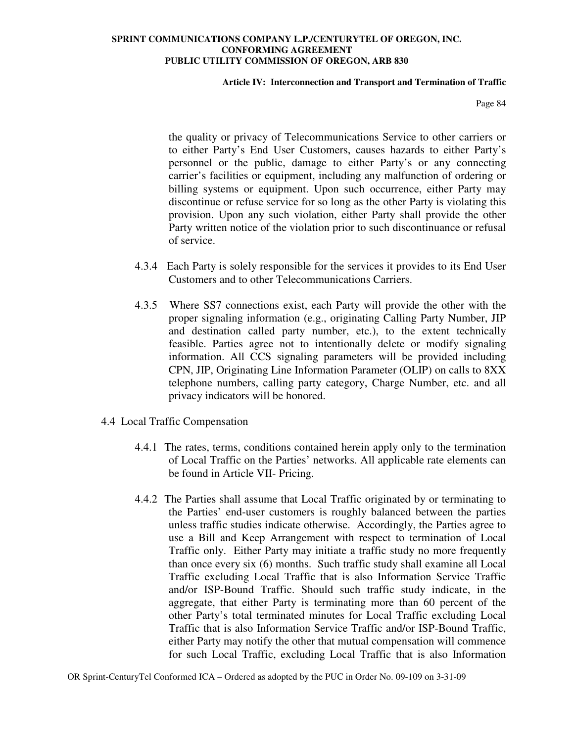### **Article IV: Interconnection and Transport and Termination of Traffic**

Page 84

the quality or privacy of Telecommunications Service to other carriers or to either Party's End User Customers, causes hazards to either Party's personnel or the public, damage to either Party's or any connecting carrier's facilities or equipment, including any malfunction of ordering or billing systems or equipment. Upon such occurrence, either Party may discontinue or refuse service for so long as the other Party is violating this provision. Upon any such violation, either Party shall provide the other Party written notice of the violation prior to such discontinuance or refusal of service.

- 4.3.4 Each Party is solely responsible for the services it provides to its End User Customers and to other Telecommunications Carriers.
- 4.3.5 Where SS7 connections exist, each Party will provide the other with the proper signaling information (e.g., originating Calling Party Number, JIP and destination called party number, etc.), to the extent technically feasible. Parties agree not to intentionally delete or modify signaling information. All CCS signaling parameters will be provided including CPN, JIP, Originating Line Information Parameter (OLIP) on calls to 8XX telephone numbers, calling party category, Charge Number, etc. and all privacy indicators will be honored.
- 4.4 Local Traffic Compensation
	- 4.4.1 The rates, terms, conditions contained herein apply only to the termination of Local Traffic on the Parties' networks. All applicable rate elements can be found in Article VII- Pricing.
	- 4.4.2 The Parties shall assume that Local Traffic originated by or terminating to the Parties' end-user customers is roughly balanced between the parties unless traffic studies indicate otherwise. Accordingly, the Parties agree to use a Bill and Keep Arrangement with respect to termination of Local Traffic only. Either Party may initiate a traffic study no more frequently than once every six (6) months. Such traffic study shall examine all Local Traffic excluding Local Traffic that is also Information Service Traffic and/or ISP-Bound Traffic. Should such traffic study indicate, in the aggregate, that either Party is terminating more than 60 percent of the other Party's total terminated minutes for Local Traffic excluding Local Traffic that is also Information Service Traffic and/or ISP-Bound Traffic, either Party may notify the other that mutual compensation will commence for such Local Traffic, excluding Local Traffic that is also Information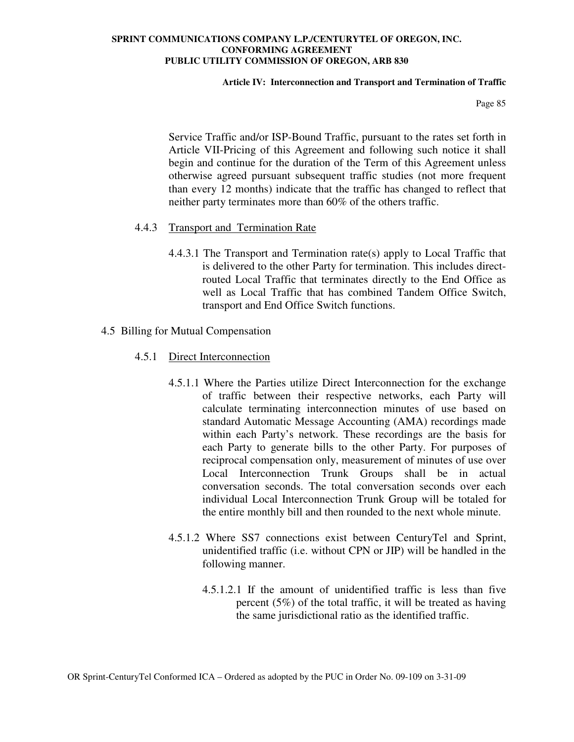### **Article IV: Interconnection and Transport and Termination of Traffic**

Page 85

Service Traffic and/or ISP-Bound Traffic, pursuant to the rates set forth in Article VII-Pricing of this Agreement and following such notice it shall begin and continue for the duration of the Term of this Agreement unless otherwise agreed pursuant subsequent traffic studies (not more frequent than every 12 months) indicate that the traffic has changed to reflect that neither party terminates more than 60% of the others traffic.

# 4.4.3 Transport and Termination Rate

4.4.3.1 The Transport and Termination rate(s) apply to Local Traffic that is delivered to the other Party for termination. This includes directrouted Local Traffic that terminates directly to the End Office as well as Local Traffic that has combined Tandem Office Switch, transport and End Office Switch functions.

## 4.5 Billing for Mutual Compensation

- 4.5.1 Direct Interconnection
	- 4.5.1.1 Where the Parties utilize Direct Interconnection for the exchange of traffic between their respective networks, each Party will calculate terminating interconnection minutes of use based on standard Automatic Message Accounting (AMA) recordings made within each Party's network. These recordings are the basis for each Party to generate bills to the other Party. For purposes of reciprocal compensation only, measurement of minutes of use over Local Interconnection Trunk Groups shall be in actual conversation seconds. The total conversation seconds over each individual Local Interconnection Trunk Group will be totaled for the entire monthly bill and then rounded to the next whole minute.
	- 4.5.1.2 Where SS7 connections exist between CenturyTel and Sprint, unidentified traffic (i.e. without CPN or JIP) will be handled in the following manner.
		- 4.5.1.2.1 If the amount of unidentified traffic is less than five percent (5%) of the total traffic, it will be treated as having the same jurisdictional ratio as the identified traffic.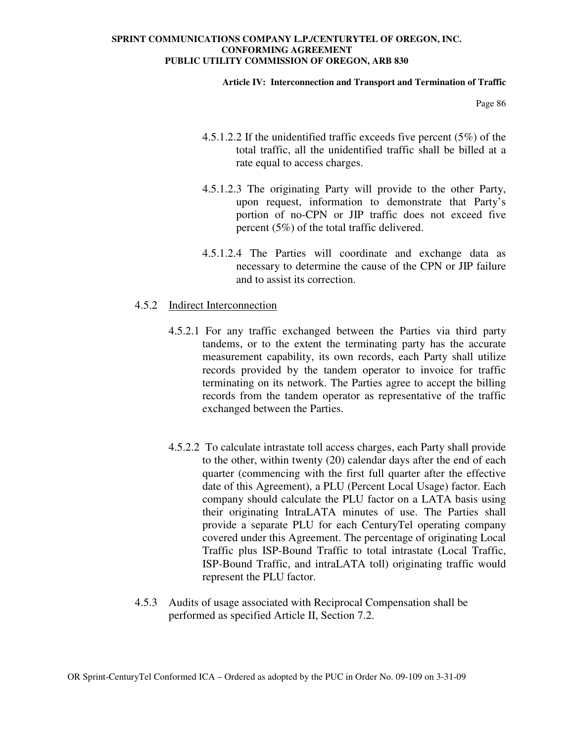### **Article IV: Interconnection and Transport and Termination of Traffic**

Page 86

- 4.5.1.2.2 If the unidentified traffic exceeds five percent (5%) of the total traffic, all the unidentified traffic shall be billed at a rate equal to access charges.
- 4.5.1.2.3 The originating Party will provide to the other Party, upon request, information to demonstrate that Party's portion of no-CPN or JIP traffic does not exceed five percent (5%) of the total traffic delivered.
- 4.5.1.2.4 The Parties will coordinate and exchange data as necessary to determine the cause of the CPN or JIP failure and to assist its correction.

## 4.5.2 Indirect Interconnection

- 4.5.2.1 For any traffic exchanged between the Parties via third party tandems, or to the extent the terminating party has the accurate measurement capability, its own records, each Party shall utilize records provided by the tandem operator to invoice for traffic terminating on its network. The Parties agree to accept the billing records from the tandem operator as representative of the traffic exchanged between the Parties.
- 4.5.2.2 To calculate intrastate toll access charges, each Party shall provide to the other, within twenty (20) calendar days after the end of each quarter (commencing with the first full quarter after the effective date of this Agreement), a PLU (Percent Local Usage) factor. Each company should calculate the PLU factor on a LATA basis using their originating IntraLATA minutes of use. The Parties shall provide a separate PLU for each CenturyTel operating company covered under this Agreement. The percentage of originating Local Traffic plus ISP-Bound Traffic to total intrastate (Local Traffic, ISP-Bound Traffic, and intraLATA toll) originating traffic would represent the PLU factor.
- 4.5.3 Audits of usage associated with Reciprocal Compensation shall be performed as specified Article II, Section 7.2.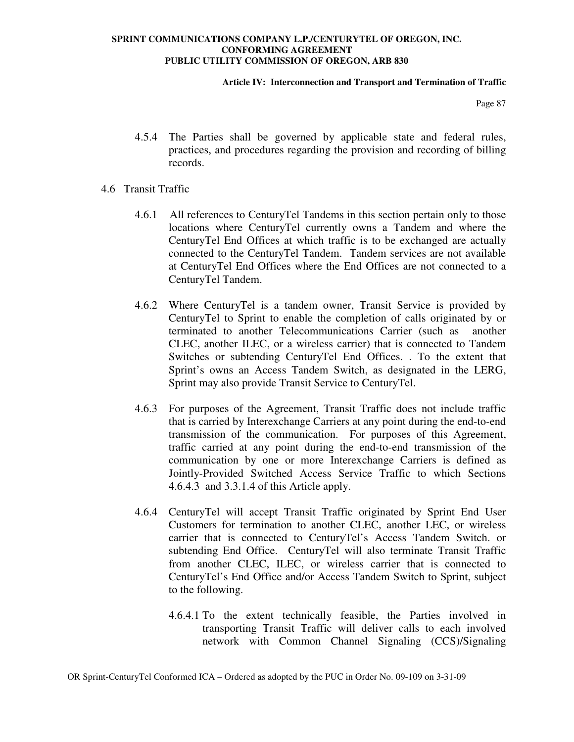### **Article IV: Interconnection and Transport and Termination of Traffic**

Page 87

- 4.5.4 The Parties shall be governed by applicable state and federal rules, practices, and procedures regarding the provision and recording of billing records.
- 4.6 Transit Traffic
	- 4.6.1 All references to CenturyTel Tandems in this section pertain only to those locations where CenturyTel currently owns a Tandem and where the CenturyTel End Offices at which traffic is to be exchanged are actually connected to the CenturyTel Tandem. Tandem services are not available at CenturyTel End Offices where the End Offices are not connected to a CenturyTel Tandem.
	- 4.6.2 Where CenturyTel is a tandem owner, Transit Service is provided by CenturyTel to Sprint to enable the completion of calls originated by or terminated to another Telecommunications Carrier (such as another CLEC, another ILEC, or a wireless carrier) that is connected to Tandem Switches or subtending CenturyTel End Offices. . To the extent that Sprint's owns an Access Tandem Switch, as designated in the LERG, Sprint may also provide Transit Service to CenturyTel.
	- 4.6.3 For purposes of the Agreement, Transit Traffic does not include traffic that is carried by Interexchange Carriers at any point during the end-to-end transmission of the communication. For purposes of this Agreement, traffic carried at any point during the end-to-end transmission of the communication by one or more Interexchange Carriers is defined as Jointly-Provided Switched Access Service Traffic to which Sections 4.6.4.3 and 3.3.1.4 of this Article apply.
	- 4.6.4 CenturyTel will accept Transit Traffic originated by Sprint End User Customers for termination to another CLEC, another LEC, or wireless carrier that is connected to CenturyTel's Access Tandem Switch. or subtending End Office. CenturyTel will also terminate Transit Traffic from another CLEC, ILEC, or wireless carrier that is connected to CenturyTel's End Office and/or Access Tandem Switch to Sprint, subject to the following.
		- 4.6.4.1 To the extent technically feasible, the Parties involved in transporting Transit Traffic will deliver calls to each involved network with Common Channel Signaling (CCS)/Signaling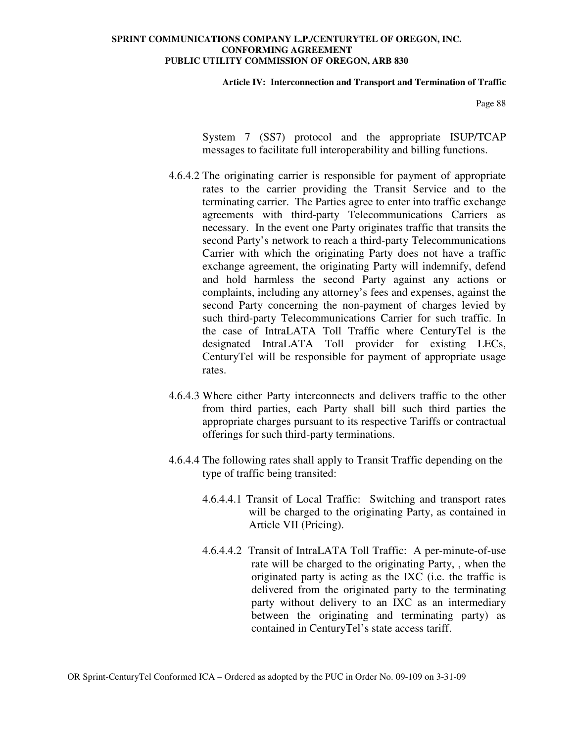#### **Article IV: Interconnection and Transport and Termination of Traffic**

Page 88

System 7 (SS7) protocol and the appropriate ISUP/TCAP messages to facilitate full interoperability and billing functions.

- 4.6.4.2 The originating carrier is responsible for payment of appropriate rates to the carrier providing the Transit Service and to the terminating carrier. The Parties agree to enter into traffic exchange agreements with third-party Telecommunications Carriers as necessary. In the event one Party originates traffic that transits the second Party's network to reach a third-party Telecommunications Carrier with which the originating Party does not have a traffic exchange agreement, the originating Party will indemnify, defend and hold harmless the second Party against any actions or complaints, including any attorney's fees and expenses, against the second Party concerning the non-payment of charges levied by such third-party Telecommunications Carrier for such traffic. In the case of IntraLATA Toll Traffic where CenturyTel is the designated IntraLATA Toll provider for existing LECs, CenturyTel will be responsible for payment of appropriate usage rates.
- 4.6.4.3 Where either Party interconnects and delivers traffic to the other from third parties, each Party shall bill such third parties the appropriate charges pursuant to its respective Tariffs or contractual offerings for such third-party terminations.
- 4.6.4.4 The following rates shall apply to Transit Traffic depending on the type of traffic being transited:
	- 4.6.4.4.1 Transit of Local Traffic: Switching and transport rates will be charged to the originating Party, as contained in Article VII (Pricing).
	- 4.6.4.4.2 Transit of IntraLATA Toll Traffic: A per-minute-of-use rate will be charged to the originating Party, , when the originated party is acting as the IXC (i.e. the traffic is delivered from the originated party to the terminating party without delivery to an IXC as an intermediary between the originating and terminating party) as contained in CenturyTel's state access tariff.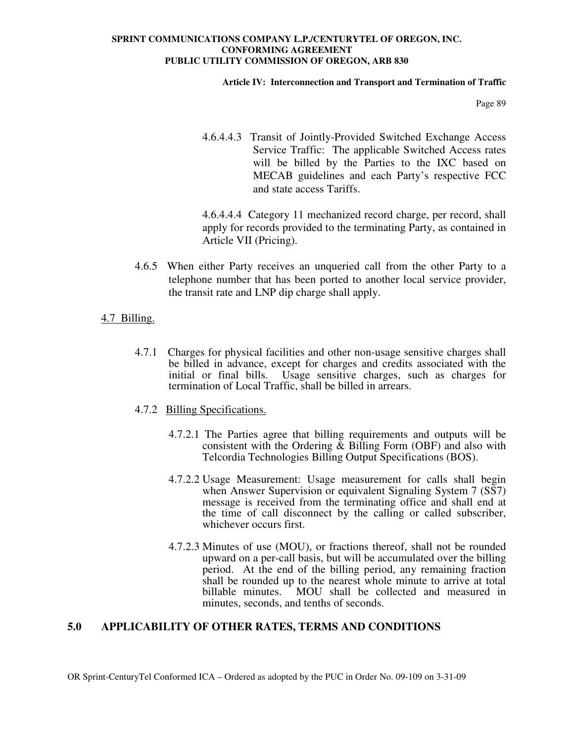### **Article IV: Interconnection and Transport and Termination of Traffic**

Page 89

4.6.4.4.3 Transit of Jointly-Provided Switched Exchange Access Service Traffic: The applicable Switched Access rates will be billed by the Parties to the IXC based on MECAB guidelines and each Party's respective FCC and state access Tariffs.

4.6.4.4.4 Category 11 mechanized record charge, per record, shall apply for records provided to the terminating Party, as contained in Article VII (Pricing).

- 4.6.5 When either Party receives an unqueried call from the other Party to a telephone number that has been ported to another local service provider, the transit rate and LNP dip charge shall apply.
- 4.7 Billing.
	- 4.7.1 Charges for physical facilities and other non-usage sensitive charges shall be billed in advance, except for charges and credits associated with the initial or final bills. Usage sensitive charges, such as charges for termination of Local Traffic, shall be billed in arrears.
	- 4.7.2 Billing Specifications.
		- 4.7.2.1 The Parties agree that billing requirements and outputs will be consistent with the Ordering & Billing Form (OBF) and also with Telcordia Technologies Billing Output Specifications (BOS).
		- 4.7.2.2 Usage Measurement: Usage measurement for calls shall begin when Answer Supervision or equivalent Signaling System 7 (SS7) message is received from the terminating office and shall end at the time of call disconnect by the calling or called subscriber, whichever occurs first.
		- 4.7.2.3 Minutes of use (MOU), or fractions thereof, shall not be rounded upward on a per-call basis, but will be accumulated over the billing period. At the end of the billing period, any remaining fraction shall be rounded up to the nearest whole minute to arrive at total billable minutes. MOU shall be collected and measured in minutes, seconds, and tenths of seconds.

# **5.0 APPLICABILITY OF OTHER RATES, TERMS AND CONDITIONS**

OR Sprint-CenturyTel Conformed ICA – Ordered as adopted by the PUC in Order No. 09-109 on 3-31-09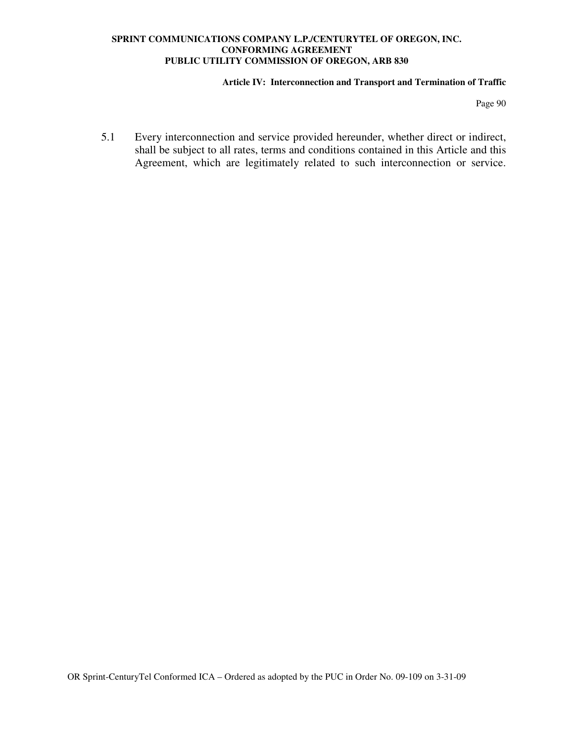### **Article IV: Interconnection and Transport and Termination of Traffic**

Page 90

5.1 Every interconnection and service provided hereunder, whether direct or indirect, shall be subject to all rates, terms and conditions contained in this Article and this Agreement, which are legitimately related to such interconnection or service.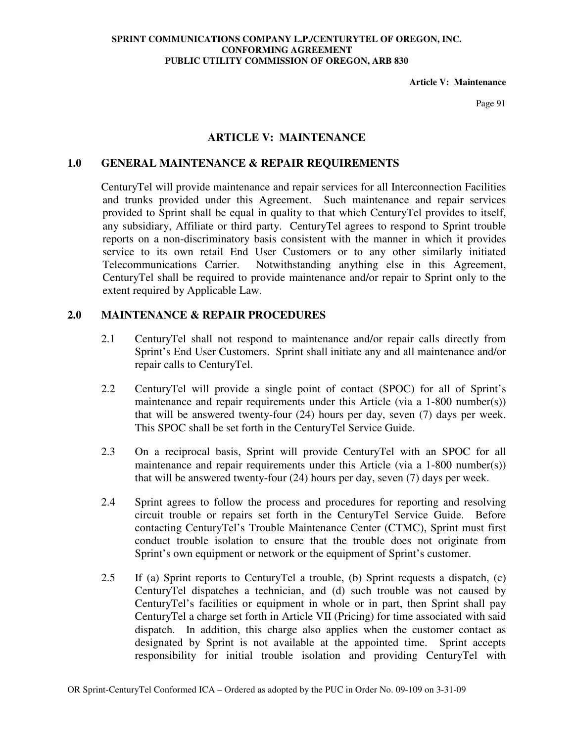**Article V: Maintenance** 

Page 91

## **ARTICLE V: MAINTENANCE**

## **1.0 GENERAL MAINTENANCE & REPAIR REQUIREMENTS**

CenturyTel will provide maintenance and repair services for all Interconnection Facilities and trunks provided under this Agreement. Such maintenance and repair services provided to Sprint shall be equal in quality to that which CenturyTel provides to itself, any subsidiary, Affiliate or third party. CenturyTel agrees to respond to Sprint trouble reports on a non-discriminatory basis consistent with the manner in which it provides service to its own retail End User Customers or to any other similarly initiated Telecommunications Carrier. Notwithstanding anything else in this Agreement, CenturyTel shall be required to provide maintenance and/or repair to Sprint only to the extent required by Applicable Law.

## **2.0 MAINTENANCE & REPAIR PROCEDURES**

- 2.1 CenturyTel shall not respond to maintenance and/or repair calls directly from Sprint's End User Customers. Sprint shall initiate any and all maintenance and/or repair calls to CenturyTel.
- 2.2 CenturyTel will provide a single point of contact (SPOC) for all of Sprint's maintenance and repair requirements under this Article (via a 1-800 number(s)) that will be answered twenty-four (24) hours per day, seven (7) days per week. This SPOC shall be set forth in the CenturyTel Service Guide.
- 2.3 On a reciprocal basis, Sprint will provide CenturyTel with an SPOC for all maintenance and repair requirements under this Article (via a 1-800 number(s)) that will be answered twenty-four (24) hours per day, seven (7) days per week.
- 2.4 Sprint agrees to follow the process and procedures for reporting and resolving circuit trouble or repairs set forth in the CenturyTel Service Guide. Before contacting CenturyTel's Trouble Maintenance Center (CTMC), Sprint must first conduct trouble isolation to ensure that the trouble does not originate from Sprint's own equipment or network or the equipment of Sprint's customer.
- 2.5 If (a) Sprint reports to CenturyTel a trouble, (b) Sprint requests a dispatch, (c) CenturyTel dispatches a technician, and (d) such trouble was not caused by CenturyTel's facilities or equipment in whole or in part, then Sprint shall pay CenturyTel a charge set forth in Article VII (Pricing) for time associated with said dispatch. In addition, this charge also applies when the customer contact as designated by Sprint is not available at the appointed time. Sprint accepts responsibility for initial trouble isolation and providing CenturyTel with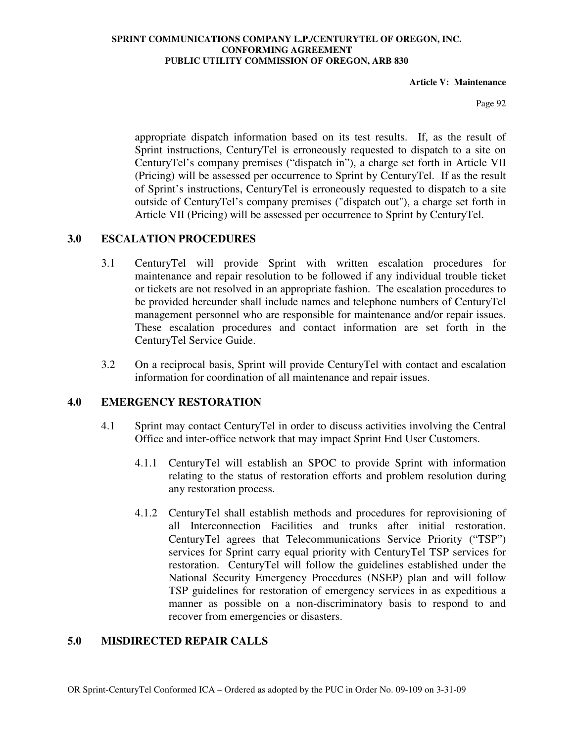**Article V: Maintenance** 

Page 92

appropriate dispatch information based on its test results. If, as the result of Sprint instructions, CenturyTel is erroneously requested to dispatch to a site on CenturyTel's company premises ("dispatch in"), a charge set forth in Article VII (Pricing) will be assessed per occurrence to Sprint by CenturyTel. If as the result of Sprint's instructions, CenturyTel is erroneously requested to dispatch to a site outside of CenturyTel's company premises ("dispatch out"), a charge set forth in Article VII (Pricing) will be assessed per occurrence to Sprint by CenturyTel.

# **3.0 ESCALATION PROCEDURES**

- 3.1 CenturyTel will provide Sprint with written escalation procedures for maintenance and repair resolution to be followed if any individual trouble ticket or tickets are not resolved in an appropriate fashion. The escalation procedures to be provided hereunder shall include names and telephone numbers of CenturyTel management personnel who are responsible for maintenance and/or repair issues. These escalation procedures and contact information are set forth in the CenturyTel Service Guide.
- 3.2 On a reciprocal basis, Sprint will provide CenturyTel with contact and escalation information for coordination of all maintenance and repair issues.

# **4.0 EMERGENCY RESTORATION**

- 4.1 Sprint may contact CenturyTel in order to discuss activities involving the Central Office and inter-office network that may impact Sprint End User Customers.
	- 4.1.1 CenturyTel will establish an SPOC to provide Sprint with information relating to the status of restoration efforts and problem resolution during any restoration process.
	- 4.1.2 CenturyTel shall establish methods and procedures for reprovisioning of all Interconnection Facilities and trunks after initial restoration. CenturyTel agrees that Telecommunications Service Priority ("TSP") services for Sprint carry equal priority with CenturyTel TSP services for restoration. CenturyTel will follow the guidelines established under the National Security Emergency Procedures (NSEP) plan and will follow TSP guidelines for restoration of emergency services in as expeditious a manner as possible on a non-discriminatory basis to respond to and recover from emergencies or disasters.

# **5.0 MISDIRECTED REPAIR CALLS**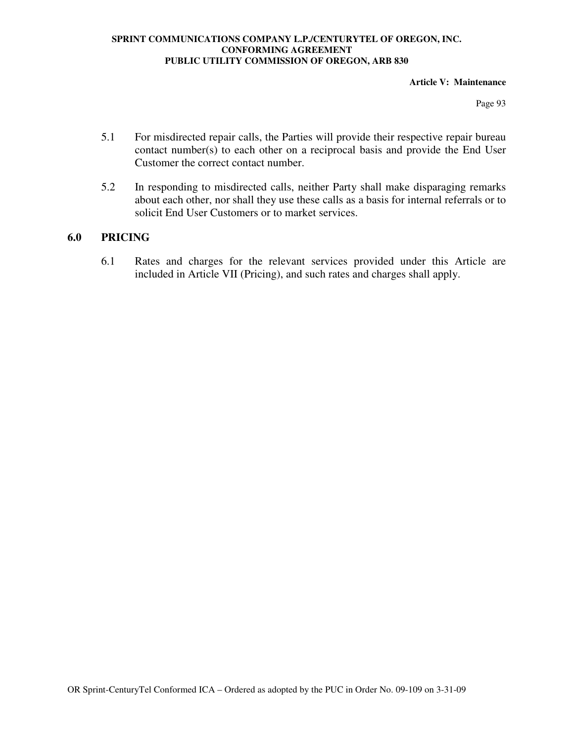### **Article V: Maintenance**

Page 93

- 5.1 For misdirected repair calls, the Parties will provide their respective repair bureau contact number(s) to each other on a reciprocal basis and provide the End User Customer the correct contact number.
- 5.2 In responding to misdirected calls, neither Party shall make disparaging remarks about each other, nor shall they use these calls as a basis for internal referrals or to solicit End User Customers or to market services.

# **6.0 PRICING**

6.1 Rates and charges for the relevant services provided under this Article are included in Article VII (Pricing), and such rates and charges shall apply.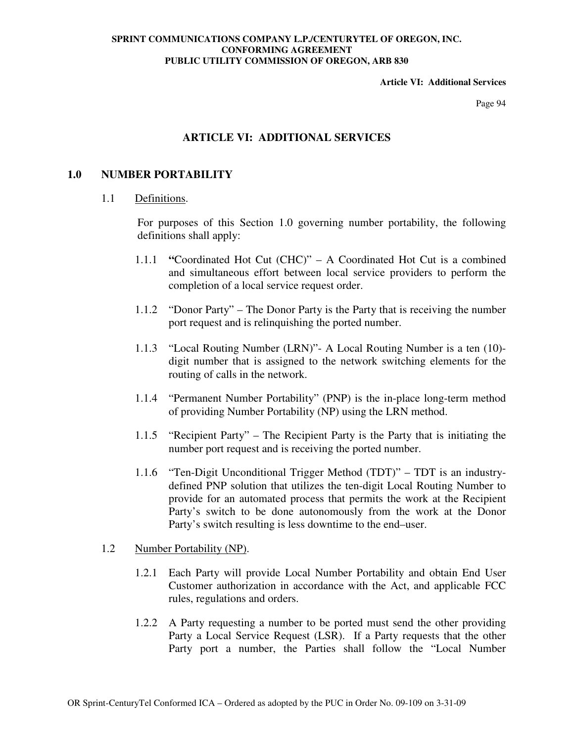### **Article VI: Additional Services**

Page 94

# **ARTICLE VI: ADDITIONAL SERVICES**

# **1.0 NUMBER PORTABILITY**

### 1.1 Definitions.

For purposes of this Section 1.0 governing number portability, the following definitions shall apply:

- 1.1.1 **"**Coordinated Hot Cut (CHC)" A Coordinated Hot Cut is a combined and simultaneous effort between local service providers to perform the completion of a local service request order.
- 1.1.2 "Donor Party" The Donor Party is the Party that is receiving the number port request and is relinquishing the ported number.
- 1.1.3 "Local Routing Number (LRN)"- A Local Routing Number is a ten (10) digit number that is assigned to the network switching elements for the routing of calls in the network.
- 1.1.4 "Permanent Number Portability" (PNP) is the in-place long-term method of providing Number Portability (NP) using the LRN method.
- 1.1.5 "Recipient Party" The Recipient Party is the Party that is initiating the number port request and is receiving the ported number.
- 1.1.6 "Ten-Digit Unconditional Trigger Method (TDT)" TDT is an industrydefined PNP solution that utilizes the ten-digit Local Routing Number to provide for an automated process that permits the work at the Recipient Party's switch to be done autonomously from the work at the Donor Party's switch resulting is less downtime to the end–user.

# 1.2 Number Portability (NP).

- 1.2.1 Each Party will provide Local Number Portability and obtain End User Customer authorization in accordance with the Act, and applicable FCC rules, regulations and orders.
- 1.2.2 A Party requesting a number to be ported must send the other providing Party a Local Service Request (LSR). If a Party requests that the other Party port a number, the Parties shall follow the "Local Number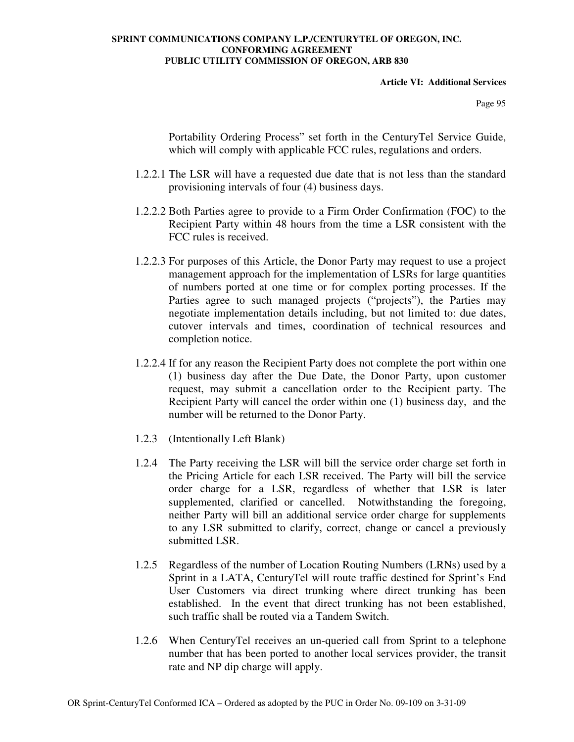**Article VI: Additional Services** 

Page 95

Portability Ordering Process" set forth in the CenturyTel Service Guide, which will comply with applicable FCC rules, regulations and orders.

- 1.2.2.1 The LSR will have a requested due date that is not less than the standard provisioning intervals of four (4) business days.
- 1.2.2.2 Both Parties agree to provide to a Firm Order Confirmation (FOC) to the Recipient Party within 48 hours from the time a LSR consistent with the FCC rules is received.
- 1.2.2.3 For purposes of this Article, the Donor Party may request to use a project management approach for the implementation of LSRs for large quantities of numbers ported at one time or for complex porting processes. If the Parties agree to such managed projects ("projects"), the Parties may negotiate implementation details including, but not limited to: due dates, cutover intervals and times, coordination of technical resources and completion notice.
- 1.2.2.4 If for any reason the Recipient Party does not complete the port within one (1) business day after the Due Date, the Donor Party, upon customer request, may submit a cancellation order to the Recipient party. The Recipient Party will cancel the order within one (1) business day, and the number will be returned to the Donor Party.
- 1.2.3 (Intentionally Left Blank)
- 1.2.4 The Party receiving the LSR will bill the service order charge set forth in the Pricing Article for each LSR received. The Party will bill the service order charge for a LSR, regardless of whether that LSR is later supplemented, clarified or cancelled. Notwithstanding the foregoing, neither Party will bill an additional service order charge for supplements to any LSR submitted to clarify, correct, change or cancel a previously submitted LSR.
- 1.2.5 Regardless of the number of Location Routing Numbers (LRNs) used by a Sprint in a LATA, CenturyTel will route traffic destined for Sprint's End User Customers via direct trunking where direct trunking has been established. In the event that direct trunking has not been established, such traffic shall be routed via a Tandem Switch.
- 1.2.6 When CenturyTel receives an un-queried call from Sprint to a telephone number that has been ported to another local services provider, the transit rate and NP dip charge will apply.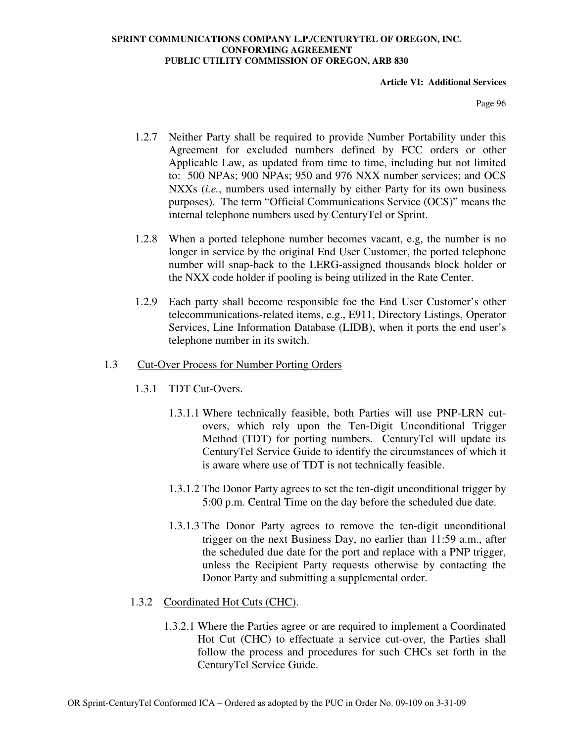### **Article VI: Additional Services**

Page 96

- 1.2.7 Neither Party shall be required to provide Number Portability under this Agreement for excluded numbers defined by FCC orders or other Applicable Law, as updated from time to time, including but not limited to: 500 NPAs; 900 NPAs; 950 and 976 NXX number services; and OCS NXXs (*i.e.*, numbers used internally by either Party for its own business purposes). The term "Official Communications Service (OCS)" means the internal telephone numbers used by CenturyTel or Sprint.
- 1.2.8 When a ported telephone number becomes vacant, e.g, the number is no longer in service by the original End User Customer, the ported telephone number will snap-back to the LERG-assigned thousands block holder or the NXX code holder if pooling is being utilized in the Rate Center.
- 1.2.9 Each party shall become responsible foe the End User Customer's other telecommunications-related items, e.g., E911, Directory Listings, Operator Services, Line Information Database (LIDB), when it ports the end user's telephone number in its switch.

# 1.3 Cut-Over Process for Number Porting Orders

- 1.3.1 TDT Cut-Overs.
	- 1.3.1.1 Where technically feasible, both Parties will use PNP-LRN cutovers, which rely upon the Ten-Digit Unconditional Trigger Method (TDT) for porting numbers. CenturyTel will update its CenturyTel Service Guide to identify the circumstances of which it is aware where use of TDT is not technically feasible.
	- 1.3.1.2 The Donor Party agrees to set the ten-digit unconditional trigger by 5:00 p.m. Central Time on the day before the scheduled due date.
	- 1.3.1.3 The Donor Party agrees to remove the ten-digit unconditional trigger on the next Business Day, no earlier than 11:59 a.m., after the scheduled due date for the port and replace with a PNP trigger, unless the Recipient Party requests otherwise by contacting the Donor Party and submitting a supplemental order.

# 1.3.2 Coordinated Hot Cuts (CHC).

1.3.2.1 Where the Parties agree or are required to implement a Coordinated Hot Cut (CHC) to effectuate a service cut-over, the Parties shall follow the process and procedures for such CHCs set forth in the CenturyTel Service Guide.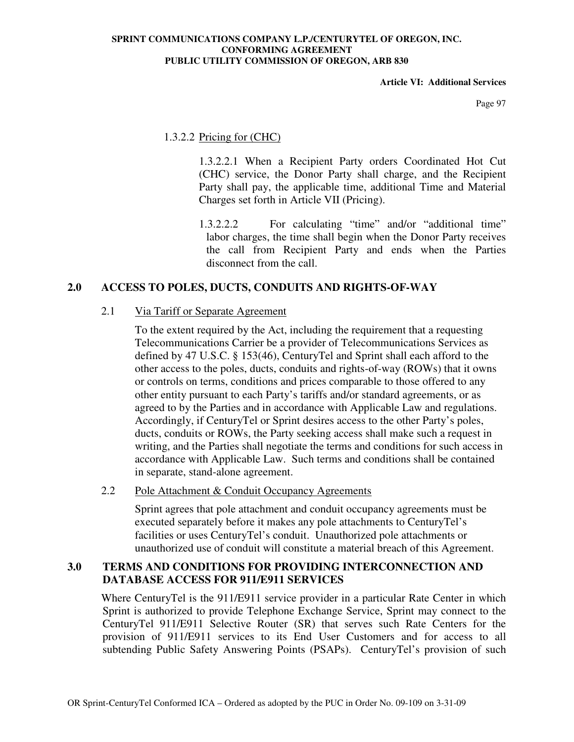### **Article VI: Additional Services**

Page 97

# 1.3.2.2 Pricing for (CHC)

1.3.2.2.1 When a Recipient Party orders Coordinated Hot Cut (CHC) service, the Donor Party shall charge, and the Recipient Party shall pay, the applicable time, additional Time and Material Charges set forth in Article VII (Pricing).

1.3.2.2.2 For calculating "time" and/or "additional time" labor charges, the time shall begin when the Donor Party receives the call from Recipient Party and ends when the Parties disconnect from the call.

# **2.0 ACCESS TO POLES, DUCTS, CONDUITS AND RIGHTS-OF-WAY**

# 2.1 Via Tariff or Separate Agreement

To the extent required by the Act, including the requirement that a requesting Telecommunications Carrier be a provider of Telecommunications Services as defined by 47 U.S.C. § 153(46), CenturyTel and Sprint shall each afford to the other access to the poles, ducts, conduits and rights-of-way (ROWs) that it owns or controls on terms, conditions and prices comparable to those offered to any other entity pursuant to each Party's tariffs and/or standard agreements, or as agreed to by the Parties and in accordance with Applicable Law and regulations. Accordingly, if CenturyTel or Sprint desires access to the other Party's poles, ducts, conduits or ROWs, the Party seeking access shall make such a request in writing, and the Parties shall negotiate the terms and conditions for such access in accordance with Applicable Law. Such terms and conditions shall be contained in separate, stand-alone agreement.

# 2.2 Pole Attachment & Conduit Occupancy Agreements

Sprint agrees that pole attachment and conduit occupancy agreements must be executed separately before it makes any pole attachments to CenturyTel's facilities or uses CenturyTel's conduit. Unauthorized pole attachments or unauthorized use of conduit will constitute a material breach of this Agreement.

# **3.0 TERMS AND CONDITIONS FOR PROVIDING INTERCONNECTION AND DATABASE ACCESS FOR 911/E911 SERVICES**

Where CenturyTel is the 911/E911 service provider in a particular Rate Center in which Sprint is authorized to provide Telephone Exchange Service, Sprint may connect to the CenturyTel 911/E911 Selective Router (SR) that serves such Rate Centers for the provision of 911/E911 services to its End User Customers and for access to all subtending Public Safety Answering Points (PSAPs). CenturyTel's provision of such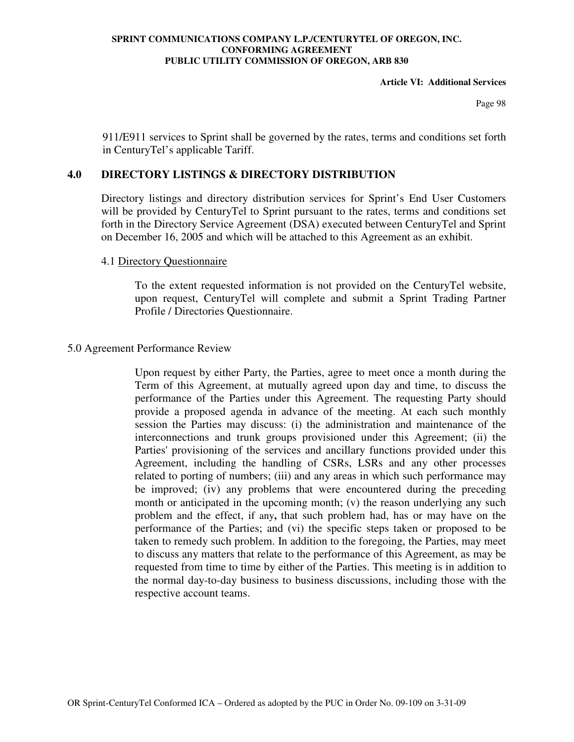### **Article VI: Additional Services**

Page 98

911/E911 services to Sprint shall be governed by the rates, terms and conditions set forth in CenturyTel's applicable Tariff.

# **4.0 DIRECTORY LISTINGS & DIRECTORY DISTRIBUTION**

Directory listings and directory distribution services for Sprint's End User Customers will be provided by CenturyTel to Sprint pursuant to the rates, terms and conditions set forth in the Directory Service Agreement (DSA) executed between CenturyTel and Sprint on December 16, 2005 and which will be attached to this Agreement as an exhibit.

## 4.1 Directory Questionnaire

To the extent requested information is not provided on the CenturyTel website, upon request, CenturyTel will complete and submit a Sprint Trading Partner Profile / Directories Questionnaire.

## 5.0 Agreement Performance Review

Upon request by either Party, the Parties, agree to meet once a month during the Term of this Agreement, at mutually agreed upon day and time, to discuss the performance of the Parties under this Agreement. The requesting Party should provide a proposed agenda in advance of the meeting. At each such monthly session the Parties may discuss: (i) the administration and maintenance of the interconnections and trunk groups provisioned under this Agreement; (ii) the Parties' provisioning of the services and ancillary functions provided under this Agreement, including the handling of CSRs, LSRs and any other processes related to porting of numbers; (iii) and any areas in which such performance may be improved; (iv) any problems that were encountered during the preceding month or anticipated in the upcoming month; (v) the reason underlying any such problem and the effect, if any**,** that such problem had, has or may have on the performance of the Parties; and (vi) the specific steps taken or proposed to be taken to remedy such problem. In addition to the foregoing, the Parties, may meet to discuss any matters that relate to the performance of this Agreement, as may be requested from time to time by either of the Parties. This meeting is in addition to the normal day-to-day business to business discussions, including those with the respective account teams.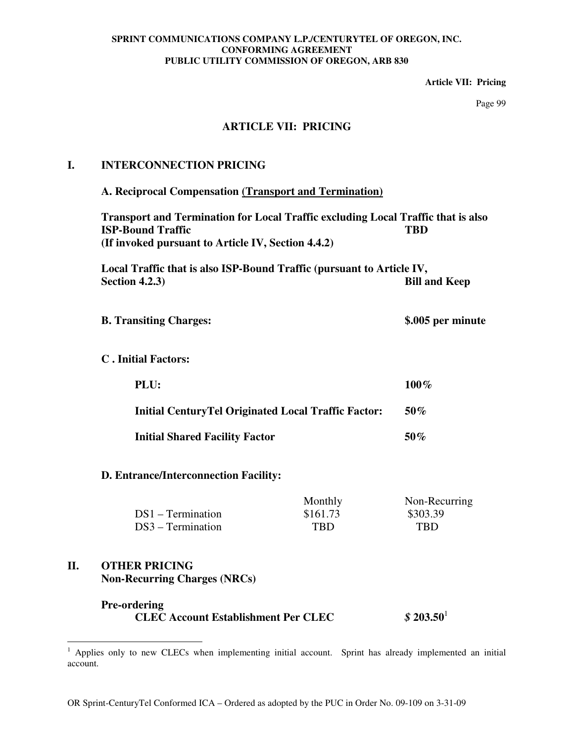**Article VII: Pricing** 

Page 99

# **ARTICLE VII: PRICING**

# **I. INTERCONNECTION PRICING**

**A. Reciprocal Compensation (Transport and Termination)**

**Transport and Termination for Local Traffic excluding Local Traffic that is also ISP-Bound Traffic TBD** TBD **(If invoked pursuant to Article IV, Section 4.4.2)** 

**Local Traffic that is also ISP-Bound Traffic (pursuant to Article IV, Section 4.2.3)** Bill and Keep

- **B. Transiting Charges: \$.005 per minute**
- **C . Initial Factors:**

| PLU:                                                        | 100%   |
|-------------------------------------------------------------|--------|
| <b>Initial Century Tel Originated Local Traffic Factor:</b> | $50\%$ |
| <b>Initial Shared Facility Factor</b>                       | $50\%$ |

**D. Entrance/Interconnection Facility:**

|                     | Monthly    | Non-Recurring |
|---------------------|------------|---------------|
| $DS1 - Termination$ | \$161.73   | \$303.39      |
| $DS3 - Termination$ | <b>TBD</b> | <b>TBD</b>    |

# **II. OTHER PRICING Non-Recurring Charges (NRCs)**

# **Pre-ordering CLEC Account Establishment Per CLEC** *\$* **203.50**<sup>1</sup>

<sup>&</sup>lt;sup>1</sup> Applies only to new CLECs when implementing initial account. Sprint has already implemented an initial account.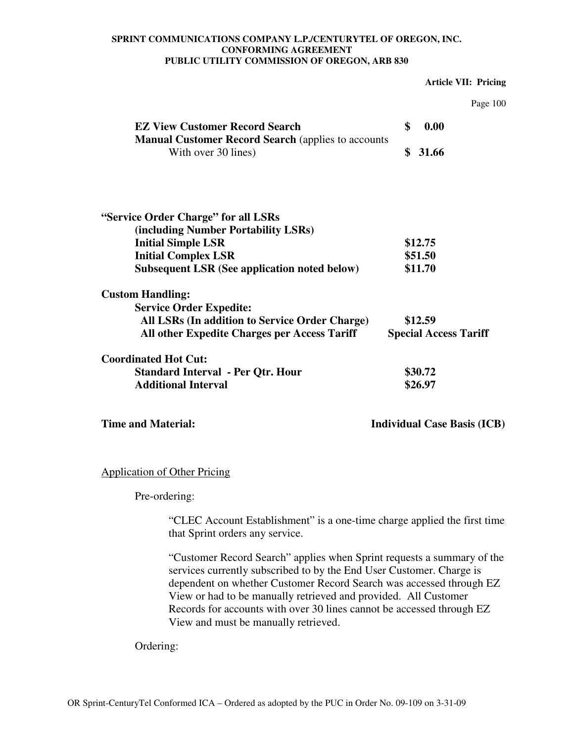#### **Article VII: Pricing**

| 4 C | ۱<br>И<br>I ( |
|-----|---------------|
|     |               |

| <b>EZ View Customer Record Search</b>                                            | \$<br>0.00                   |
|----------------------------------------------------------------------------------|------------------------------|
| <b>Manual Customer Record Search (applies to accounts</b><br>With over 30 lines) | \$<br>31.66                  |
|                                                                                  |                              |
| "Service Order Charge" for all LSRs                                              |                              |
| (including Number Portability LSRs)                                              |                              |
| <b>Initial Simple LSR</b>                                                        | \$12.75                      |
| <b>Initial Complex LSR</b>                                                       | \$51.50                      |
| <b>Subsequent LSR (See application noted below)</b>                              | \$11.70                      |
| <b>Custom Handling:</b>                                                          |                              |
| <b>Service Order Expedite:</b>                                                   |                              |
| All LSRs (In addition to Service Order Charge)                                   | \$12.59                      |
| All other Expedite Charges per Access Tariff                                     | <b>Special Access Tariff</b> |
| <b>Coordinated Hot Cut:</b>                                                      |                              |
| <b>Standard Interval - Per Qtr. Hour</b>                                         | \$30.72                      |
| <b>Additional Interval</b>                                                       | \$26.97                      |
|                                                                                  |                              |

**Time and Material:** Individual Case Basis (ICB)

# Application of Other Pricing

Pre-ordering:

"CLEC Account Establishment" is a one-time charge applied the first time that Sprint orders any service.

"Customer Record Search" applies when Sprint requests a summary of the services currently subscribed to by the End User Customer. Charge is dependent on whether Customer Record Search was accessed through EZ View or had to be manually retrieved and provided. All Customer Records for accounts with over 30 lines cannot be accessed through EZ View and must be manually retrieved.

Ordering: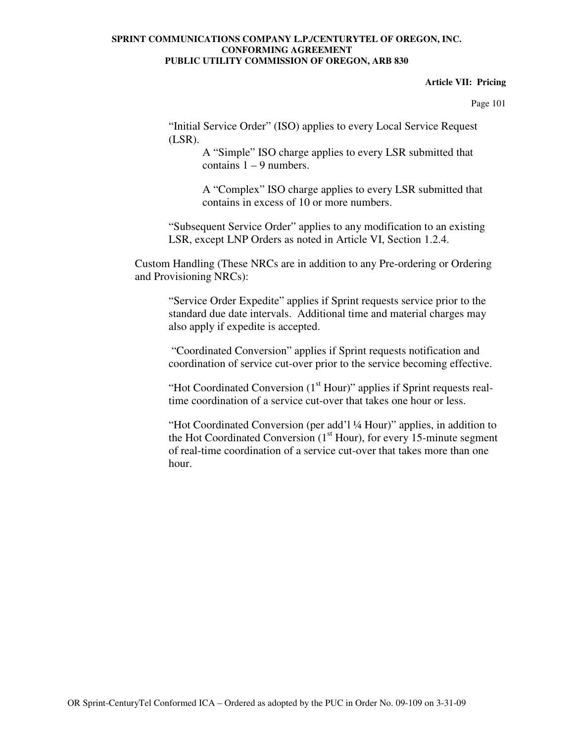### **Article VII: Pricing**

Page 101

"Initial Service Order" (ISO) applies to every Local Service Request (LSR).

> A "Simple" ISO charge applies to every LSR submitted that contains  $1 - 9$  numbers.

A "Complex" ISO charge applies to every LSR submitted that contains in excess of 10 or more numbers.

"Subsequent Service Order" applies to any modification to an existing LSR, except LNP Orders as noted in Article VI, Section 1.2.4.

Custom Handling (These NRCs are in addition to any Pre-ordering or Ordering and Provisioning NRCs):

"Service Order Expedite" applies if Sprint requests service prior to the standard due date intervals. Additional time and material charges may also apply if expedite is accepted.

 "Coordinated Conversion" applies if Sprint requests notification and coordination of service cut-over prior to the service becoming effective.

"Hot Coordinated Conversion  $(1<sup>st</sup> Hour)$ " applies if Sprint requests realtime coordination of a service cut-over that takes one hour or less.

"Hot Coordinated Conversion (per add'l ¼ Hour)" applies, in addition to the Hot Coordinated Conversion  $(1<sup>st</sup> Hour)$ , for every 15-minute segment of real-time coordination of a service cut-over that takes more than one hour.